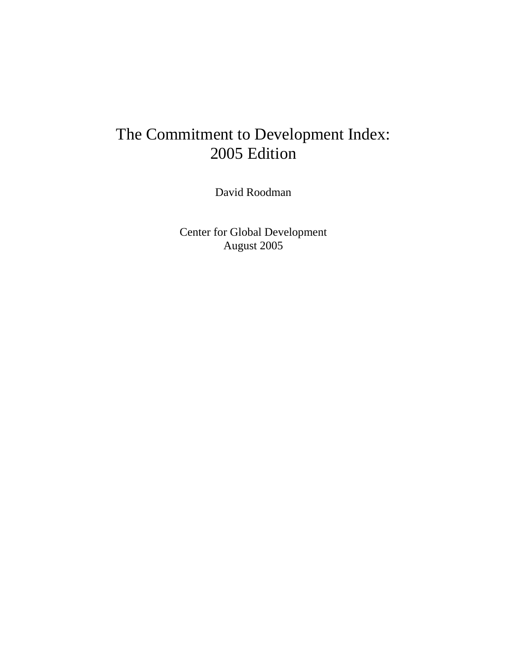David Roodman

Center for Global Development August 2005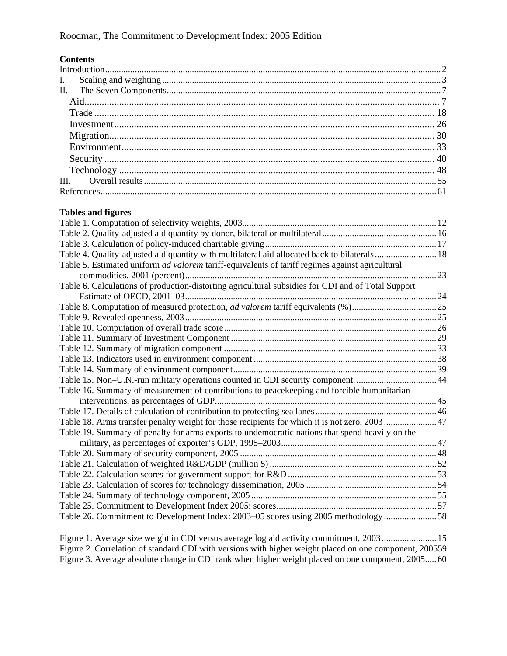### **Contents**

### **Tables and figures**

| Table 4. Quality-adjusted aid quantity with multilateral aid allocated back to bilaterals 18           |  |
|--------------------------------------------------------------------------------------------------------|--|
| Table 5. Estimated uniform <i>ad valorem</i> tariff-equivalents of tariff regimes against agricultural |  |
|                                                                                                        |  |
| Table 6. Calculations of production-distorting agricultural subsidies for CDI and of Total Support     |  |
|                                                                                                        |  |
|                                                                                                        |  |
|                                                                                                        |  |
|                                                                                                        |  |
|                                                                                                        |  |
|                                                                                                        |  |
|                                                                                                        |  |
|                                                                                                        |  |
| Table 15. Non-U.N.-run military operations counted in CDI security component. 44                       |  |
| Table 16. Summary of measurement of contributions to peacekeeping and forcible humanitarian            |  |
|                                                                                                        |  |
|                                                                                                        |  |
| Table 18. Arms transfer penalty weight for those recipients for which it is not zero, 2003 47          |  |
| Table 19. Summary of penalty for arms exports to undemocratic nations that spend heavily on the        |  |
|                                                                                                        |  |
|                                                                                                        |  |
|                                                                                                        |  |
|                                                                                                        |  |
|                                                                                                        |  |
|                                                                                                        |  |
|                                                                                                        |  |
| Table 26. Commitment to Development Index: 2003-05 scores using 2005 methodology 58                    |  |
|                                                                                                        |  |

[Figure 1. Average size weight in CDI versus average log aid activity commitment, 2003........................15](#page-15-0) [Figure 2. Correlation of standard CDI with versions with higher weight placed on one component, 200559](#page-59-0) [Figure 3. Average absolute change in CDI rank when higher weight placed on one component, 2005.....60](#page-60-0)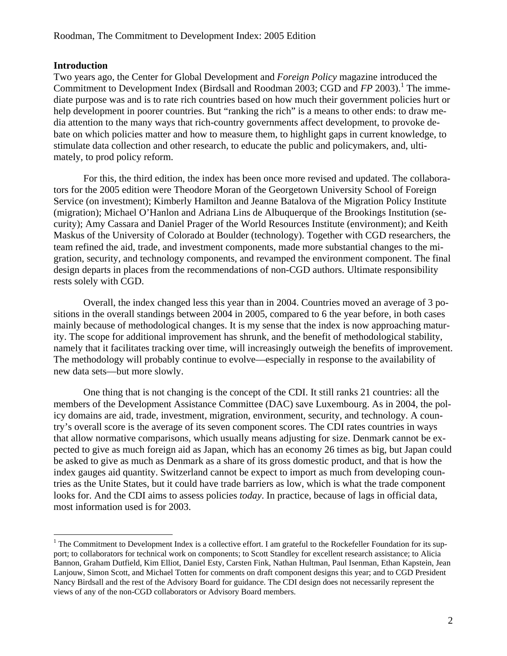### <span id="page-2-0"></span>**Introduction**

 $\overline{a}$ 

Two years ago, the Center for Global Development and *Foreign Policy* magazine introduced the Commitment to Development Index (Birdsall and Roodman 2003; CGD and *FP* 2003).<sup>[1](#page-2-1)</sup> The immediate purpose was and is to rate rich countries based on how much their government policies hurt or help development in poorer countries. But "ranking the rich" is a means to other ends: to draw media attention to the many ways that rich-country governments affect development, to provoke debate on which policies matter and how to measure them, to highlight gaps in current knowledge, to stimulate data collection and other research, to educate the public and policymakers, and, ultimately, to prod policy reform.

For this, the third edition, the index has been once more revised and updated. The collaborators for the 2005 edition were Theodore Moran of the Georgetown University School of Foreign Service (on investment); Kimberly Hamilton and Jeanne Batalova of the Migration Policy Institute (migration); Michael O'Hanlon and Adriana Lins de Albuquerque of the Brookings Institution (security); Amy Cassara and Daniel Prager of the World Resources Institute (environment); and Keith Maskus of the University of Colorado at Boulder (technology). Together with CGD researchers, the team refined the aid, trade, and investment components, made more substantial changes to the migration, security, and technology components, and revamped the environment component. The final design departs in places from the recommendations of non-CGD authors. Ultimate responsibility rests solely with CGD.

Overall, the index changed less this year than in 2004. Countries moved an average of 3 positions in the overall standings between 2004 in 2005, compared to 6 the year before, in both cases mainly because of methodological changes. It is my sense that the index is now approaching maturity. The scope for additional improvement has shrunk, and the benefit of methodological stability, namely that it facilitates tracking over time, will increasingly outweigh the benefits of improvement. The methodology will probably continue to evolve—especially in response to the availability of new data sets—but more slowly.

One thing that is not changing is the concept of the CDI. It still ranks 21 countries: all the members of the Development Assistance Committee (DAC) save Luxembourg. As in 2004, the policy domains are aid, trade, investment, migration, environment, security, and technology. A country's overall score is the average of its seven component scores. The CDI rates countries in ways that allow normative comparisons, which usually means adjusting for size. Denmark cannot be expected to give as much foreign aid as Japan, which has an economy 26 times as big, but Japan could be asked to give as much as Denmark as a share of its gross domestic product, and that is how the index gauges aid quantity. Switzerland cannot be expect to import as much from developing countries as the Unite States, but it could have trade barriers as low, which is what the trade component looks for. And the CDI aims to assess policies *today*. In practice, because of lags in official data, most information used is for 2003.

<span id="page-2-1"></span> $1$  The Commitment to Development Index is a collective effort. I am grateful to the Rockefeller Foundation for its support; to collaborators for technical work on components; to Scott Standley for excellent research assistance; to Alicia Bannon, Graham Dutfield, Kim Elliot, Daniel Esty, Carsten Fink, Nathan Hultman, Paul Isenman, Ethan Kapstein, Jean Lanjouw, Simon Scott, and Michael Totten for comments on draft component designs this year; and to CGD President Nancy Birdsall and the rest of the Advisory Board for guidance. The CDI design does not necessarily represent the views of any of the non-CGD collaborators or Advisory Board members.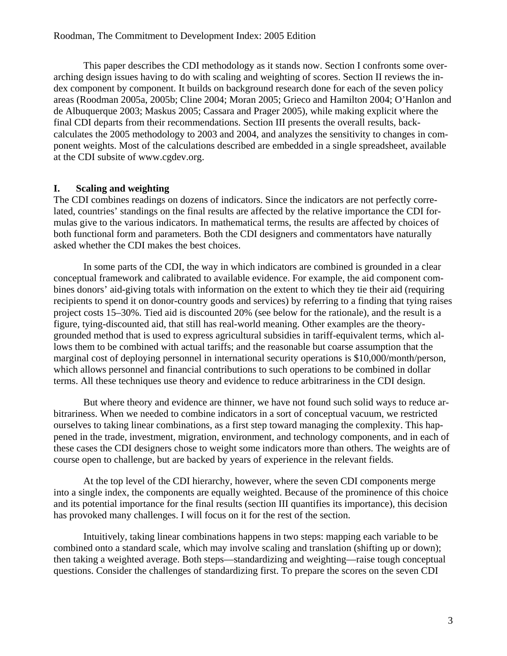<span id="page-3-0"></span>This paper describes the CDI methodology as it stands now. Section [I](#page-3-1) confronts some overarching design issues having to do with scaling and weighting of scores. Section [II](#page-7-1) reviews the index component by component. It builds on background research done for each of the seven policy areas (Roodman 2005a, 2005b; Cline 2004; Moran 2005; Grieco and Hamilton 2004; O'Hanlon and de Albuquerque 2003; Maskus 2005; Cassara and Prager 2005), while making explicit where the final CDI departs from their recommendations. Section [III](#page-55-1) presents the overall results, backcalculates the 2005 methodology to 2003 and 2004, and analyzes the sensitivity to changes in component weights. Most of the calculations described are embedded in a single spreadsheet, available at the CDI subsite of www.cgdev.org.

### **I. Scaling and weighting**

<span id="page-3-1"></span>The CDI combines readings on dozens of indicators. Since the indicators are not perfectly correlated, countries' standings on the final results are affected by the relative importance the CDI formulas give to the various indicators. In mathematical terms, the results are affected by choices of both functional form and parameters. Both the CDI designers and commentators have naturally asked whether the CDI makes the best choices.

In some parts of the CDI, the way in which indicators are combined is grounded in a clear conceptual framework and calibrated to available evidence. For example, the aid component combines donors' aid-giving totals with information on the extent to which they tie their aid (requiring recipients to spend it on donor-country goods and services) by referring to a finding that tying raises project costs 15–30%. Tied aid is discounted 20% (see below for the rationale), and the result is a figure, tying-discounted aid, that still has real-world meaning. Other examples are the theorygrounded method that is used to express agricultural subsidies in tariff-equivalent terms, which allows them to be combined with actual tariffs; and the reasonable but coarse assumption that the marginal cost of deploying personnel in international security operations is \$10,000/month/person, which allows personnel and financial contributions to such operations to be combined in dollar terms. All these techniques use theory and evidence to reduce arbitrariness in the CDI design.

But where theory and evidence are thinner, we have not found such solid ways to reduce arbitrariness. When we needed to combine indicators in a sort of conceptual vacuum, we restricted ourselves to taking linear combinations, as a first step toward managing the complexity. This happened in the trade, investment, migration, environment, and technology components, and in each of these cases the CDI designers chose to weight some indicators more than others. The weights are of course open to challenge, but are backed by years of experience in the relevant fields.

At the top level of the CDI hierarchy, however, where the seven CDI components merge into a single index, the components are equally weighted. Because of the prominence of this choice and its potential importance for the final results (section [III](#page-55-1) quantifies its importance), this decision has provoked many challenges. I will focus on it for the rest of the section.

Intuitively, taking linear combinations happens in two steps: mapping each variable to be combined onto a standard scale, which may involve scaling and translation (shifting up or down); then taking a weighted average. Both steps—standardizing and weighting—raise tough conceptual questions. Consider the challenges of standardizing first. To prepare the scores on the seven CDI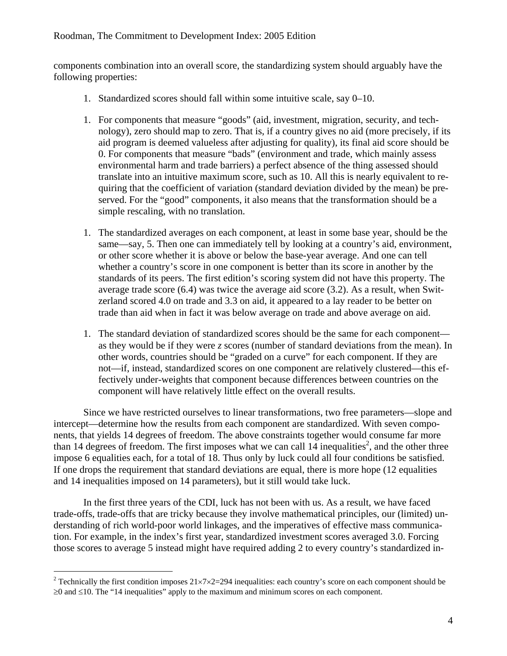components combination into an overall score, the standardizing system should arguably have the following properties:

- 1. Standardized scores should fall within some intuitive scale, say 0–10.
- 1. For components that measure "goods" (aid, investment, migration, security, and technology), zero should map to zero. That is, if a country gives no aid (more precisely, if its aid program is deemed valueless after adjusting for quality), its final aid score should be 0. For components that measure "bads" (environment and trade, which mainly assess environmental harm and trade barriers) a perfect absence of the thing assessed should translate into an intuitive maximum score, such as 10. All this is nearly equivalent to requiring that the coefficient of variation (standard deviation divided by the mean) be preserved. For the "good" components, it also means that the transformation should be a simple rescaling, with no translation.
- 1. The standardized averages on each component, at least in some base year, should be the same—say, 5. Then one can immediately tell by looking at a country's aid, environment, or other score whether it is above or below the base-year average. And one can tell whether a country's score in one component is better than its score in another by the standards of its peers. The first edition's scoring system did not have this property. The average trade score (6.4) was twice the average aid score (3.2). As a result, when Switzerland scored 4.0 on trade and 3.3 on aid, it appeared to a lay reader to be better on trade than aid when in fact it was below average on trade and above average on aid.
- 1. The standard deviation of standardized scores should be the same for each component as they would be if they were *z* scores (number of standard deviations from the mean). In other words, countries should be "graded on a curve" for each component. If they are not—if, instead, standardized scores on one component are relatively clustered—this effectively under-weights that component because differences between countries on the component will have relatively little effect on the overall results.

Since we have restricted ourselves to linear transformations, two free parameters—slope and intercept—determine how the results from each component are standardized. With seven components, that yields 14 degrees of freedom. The above constraints together would consume far more than 14 degrees of freedom. The first imposes what we can call  $14$  inequalities<sup>2</sup>, and the other three impose 6 equalities each, for a total of 18. Thus only by luck could all four conditions be satisfied. If one drops the requirement that standard deviations are equal, there is more hope (12 equalities and 14 inequalities imposed on 14 parameters), but it still would take luck.

In the first three years of the CDI, luck has not been with us. As a result, we have faced trade-offs, trade-offs that are tricky because they involve mathematical principles, our (limited) understanding of rich world-poor world linkages, and the imperatives of effective mass communication. For example, in the index's first year, standardized investment scores averaged 3.0. Forcing those scores to average 5 instead might have required adding 2 to every country's standardized in-

<span id="page-4-0"></span><sup>&</sup>lt;sup>2</sup> Technically the first condition imposes  $21\times7\times2=294$  inequalities: each country's score on each component should be ≥0 and ≤10. The "14 inequalities" apply to the maximum and minimum scores on each component.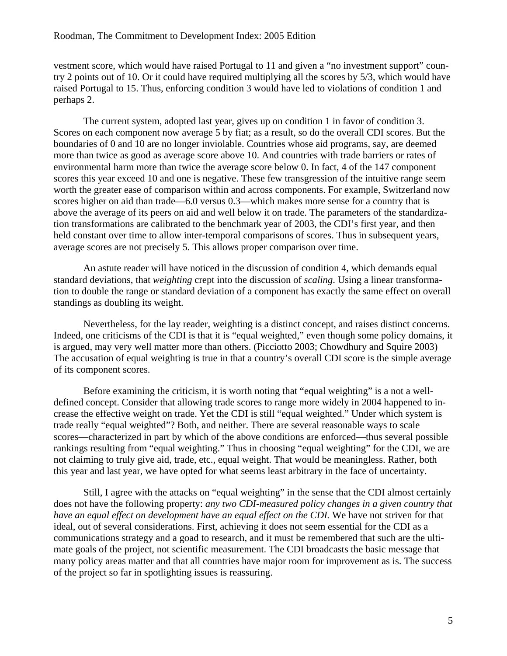vestment score, which would have raised Portugal to 11 and given a "no investment support" country 2 points out of 10. Or it could have required multiplying all the scores by 5/3, which would have raised Portugal to 15. Thus, enforcing condition 3 would have led to violations of condition 1 and perhaps 2.

The current system, adopted last year, gives up on condition 1 in favor of condition 3. Scores on each component now average 5 by fiat; as a result, so do the overall CDI scores. But the boundaries of 0 and 10 are no longer inviolable. Countries whose aid programs, say, are deemed more than twice as good as average score above 10. And countries with trade barriers or rates of environmental harm more than twice the average score below 0. In fact, 4 of the 147 component scores this year exceed 10 and one is negative. These few transgression of the intuitive range seem worth the greater ease of comparison within and across components. For example, Switzerland now scores higher on aid than trade—6.0 versus 0.3—which makes more sense for a country that is above the average of its peers on aid and well below it on trade. The parameters of the standardization transformations are calibrated to the benchmark year of 2003, the CDI's first year, and then held constant over time to allow inter-temporal comparisons of scores. Thus in subsequent years, average scores are not precisely 5. This allows proper comparison over time.

An astute reader will have noticed in the discussion of condition 4, which demands equal standard deviations, that *weighting* crept into the discussion of *scaling*. Using a linear transformation to double the range or standard deviation of a component has exactly the same effect on overall standings as doubling its weight.

Nevertheless, for the lay reader, weighting is a distinct concept, and raises distinct concerns. Indeed, one criticisms of the CDI is that it is "equal weighted," even though some policy domains, it is argued, may very well matter more than others. (Picciotto 2003; Chowdhury and Squire 2003) The accusation of equal weighting is true in that a country's overall CDI score is the simple average of its component scores.

Before examining the criticism, it is worth noting that "equal weighting" is a not a welldefined concept. Consider that allowing trade scores to range more widely in 2004 happened to increase the effective weight on trade. Yet the CDI is still "equal weighted." Under which system is trade really "equal weighted"? Both, and neither. There are several reasonable ways to scale scores—characterized in part by which of the above conditions are enforced—thus several possible rankings resulting from "equal weighting." Thus in choosing "equal weighting" for the CDI, we are not claiming to truly give aid, trade, etc., equal weight. That would be meaningless. Rather, both this year and last year, we have opted for what seems least arbitrary in the face of uncertainty.

Still, I agree with the attacks on "equal weighting" in the sense that the CDI almost certainly does not have the following property: *any two CDI-measured policy changes in a given country that have an equal effect on development have an equal effect on the CDI.* We have not striven for that ideal, out of several considerations. First, achieving it does not seem essential for the CDI as a communications strategy and a goad to research, and it must be remembered that such are the ultimate goals of the project, not scientific measurement. The CDI broadcasts the basic message that many policy areas matter and that all countries have major room for improvement as is. The success of the project so far in spotlighting issues is reassuring.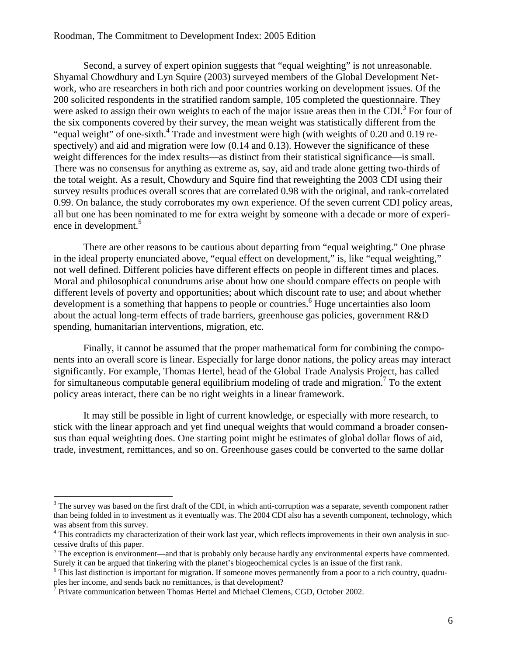Second, a survey of expert opinion suggests that "equal weighting" is not unreasonable. Shyamal Chowdhury and Lyn Squire (2003) surveyed members of the Global Development Network, who are researchers in both rich and poor countries working on development issues. Of the 200 solicited respondents in the stratified random sample, 105 completed the questionnaire. They were asked to assign their own weights to each of the major issue areas then in the CDI.<sup>[3](#page-6-0)</sup> For four of the six components covered by their survey, the mean weight was statistically different from the "equal weight" of one-sixth.<sup>4</sup> Trade and investment were high (with weights of 0.20 and 0.19 respectively) and aid and migration were low  $(0.14$  and  $0.13)$ . However the significance of these weight differences for the index results—as distinct from their statistical significance—is small. There was no consensus for anything as extreme as, say, aid and trade alone getting two-thirds of the total weight. As a result, Chowdury and Squire find that reweighting the 2003 CDI using their survey results produces overall scores that are correlated 0.98 with the original, and rank-correlated 0.99. On balance, the study corroborates my own experience. Of the seven current CDI policy areas, all but one has been nominated to me for extra weight by someone with a decade or more of experience in development.<sup>5</sup>

There are other reasons to be cautious about departing from "equal weighting." One phrase in the ideal property enunciated above, "equal effect on development," is, like "equal weighting," not well defined. Different policies have different effects on people in different times and places. Moral and philosophical conundrums arise about how one should compare effects on people with different levels of poverty and opportunities; about which discount rate to use; and about whether development is a something that happens to people or countries.<sup>[6](#page-6-3)</sup> Huge uncertainties also loom about the actual long-term effects of trade barriers, greenhouse gas policies, government R&D spending, humanitarian interventions, migration, etc.

Finally, it cannot be assumed that the proper mathematical form for combining the components into an overall score is linear. Especially for large donor nations, the policy areas may interact significantly. For example, Thomas Hertel, head of the Global Trade Analysis Project, has called for simultaneous computable general equilibrium modeling of trade and migration.<sup>[7](#page-6-4)</sup> To the extent policy areas interact, there can be no right weights in a linear framework.

It may still be possible in light of current knowledge, or especially with more research, to stick with the linear approach and yet find unequal weights that would command a broader consensus than equal weighting does. One starting point might be estimates of global dollar flows of aid, trade, investment, remittances, and so on. Greenhouse gases could be converted to the same dollar

<span id="page-6-0"></span> $3$  The survey was based on the first draft of the CDI, in which anti-corruption was a separate, seventh component rather than being folded in to investment as it eventually was. The 2004 CDI also has a seventh component, technology, which was absent from this survey.

<span id="page-6-1"></span> $<sup>4</sup>$  This contradicts my characterization of their work last year, which reflects improvements in their own analysis in suc-</sup> cessive drafts of this paper. 5

<span id="page-6-2"></span> $5$  The exception is environment—and that is probably only because hardly any environmental experts have commented. Surely it can be argued that tinkering with the planet's biogeochemical cycles is an issue of the first rank. 6

<span id="page-6-3"></span> $6$  This last distinction is important for migration. If someone moves permanently from a poor to a rich country, quadruples her income, and sends back no remittances, is that development? <sup>7</sup>

<span id="page-6-4"></span>Private communication between Thomas Hertel and Michael Clemens, CGD, October 2002.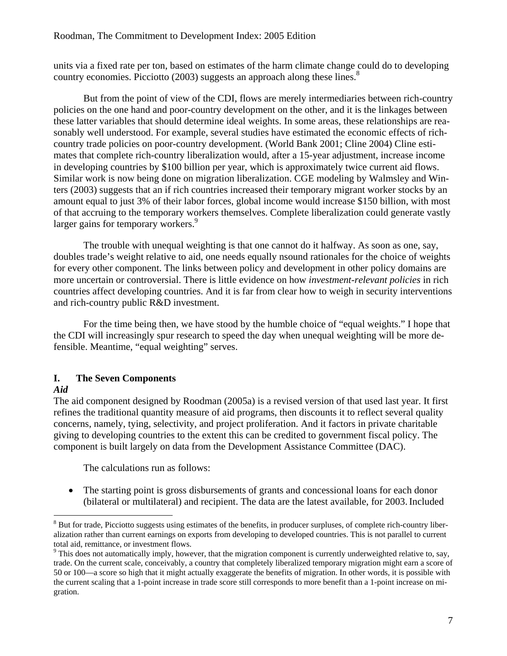<span id="page-7-0"></span>units via a fixed rate per ton, based on estimates of the harm climate change could do to developing country economies. Picciotto (2003) suggests an approach along these lines.<sup>[8](#page-7-2)</sup>

But from the point of view of the CDI, flows are merely intermediaries between rich-country policies on the one hand and poor-country development on the other, and it is the linkages between these latter variables that should determine ideal weights. In some areas, these relationships are reasonably well understood. For example, several studies have estimated the economic effects of richcountry trade policies on poor-country development. (World Bank 2001; Cline 2004) Cline estimates that complete rich-country liberalization would, after a 15-year adjustment, increase income in developing countries by \$100 billion per year, which is approximately twice current aid flows. Similar work is now being done on migration liberalization. CGE modeling by Walmsley and Winters (2003) suggests that an if rich countries increased their temporary migrant worker stocks by an amount equal to just 3% of their labor forces, global income would increase \$150 billion, with most of that accruing to the temporary workers themselves. Complete liberalization could generate vastly larger gains for temporary workers.<sup>9</sup>

The trouble with unequal weighting is that one cannot do it halfway. As soon as one, say, doubles trade's weight relative to aid, one needs equally nsound rationales for the choice of weights for every other component. The links between policy and development in other policy domains are more uncertain or controversial. There is little evidence on how *investment-relevant policies* in rich countries affect developing countries. And it is far from clear how to weigh in security interventions and rich-country public R&D investment.

For the time being then, we have stood by the humble choice of "equal weights." I hope that the CDI will increasingly spur research to speed the day when unequal weighting will be more defensible. Meantime, "equal weighting" serves.

### **I. The Seven Components**

### <span id="page-7-1"></span>*Aid*

 $\overline{a}$ 

The aid component designed by Roodman (2005a) is a revised version of that used last year. It first refines the traditional quantity measure of aid programs, then discounts it to reflect several quality concerns, namely, tying, selectivity, and project proliferation. And it factors in private charitable giving to developing countries to the extent this can be credited to government fiscal policy. The component is built largely on data from the Development Assistance Committee (DAC).

The calculations run as follows:

• The starting point is gross disbursements of grants and concessional loans for each donor (bilateral or multilateral) and recipient. The data are the latest available, for 2003. Included

<span id="page-7-2"></span> $8$  But for trade, Picciotto suggests using estimates of the benefits, in producer surpluses, of complete rich-country liberalization rather than current earnings on exports from developing to developed countries. This is not parallel to current total aid, remittance, or investment flows.

<span id="page-7-3"></span><sup>&</sup>lt;sup>9</sup> This does not automatically imply, however, that the migration component is currently underweighted relative to, say, trade. On the current scale, conceivably, a country that completely liberalized temporary migration might earn a score of 50 or 100—a score so high that it might actually exaggerate the benefits of migration. In other words, it is possible with the current scaling that a 1-point increase in trade score still corresponds to more benefit than a 1-point increase on migration.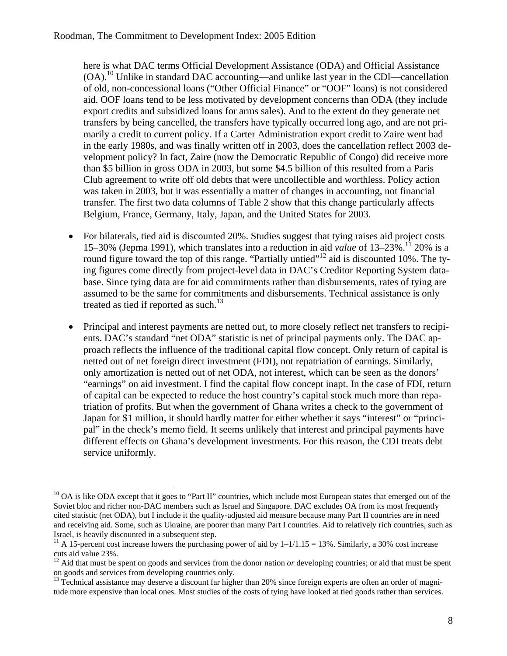here is what DAC terms Official Development Assistance (ODA) and Official Assistance  $(OA).<sup>10</sup>$  Unlike in standard DAC accounting—and unlike last year in the CDI—cancellation of old, non-concessional loans ("Other Official Finance" or "OOF" loans) is not considered aid. OOF loans tend to be less motivated by development concerns than ODA (they include export credits and subsidized loans for arms sales). And to the extent do they generate net transfers by being cancelled, the transfers have typically occurred long ago, and are not primarily a credit to current policy. If a Carter Administration export credit to Zaire went bad in the early 1980s, and was finally written off in 2003, does the cancellation reflect 2003 development policy? In fact, Zaire (now the Democratic Republic of Congo) did receive more than \$5 billion in gross ODA in 2003, but some \$4.5 billion of this resulted from a Paris Club agreement to write off old debts that were uncollectible and worthless. Policy action was taken in 2003, but it was essentially a matter of changes in accounting, not financial transfer. The first two data columns of [Table 2](#page-16-1) show that this change particularly affects Belgium, France, Germany, Italy, Japan, and the United States for 2003.

- For bilaterals, tied aid is discounted 20%. Studies suggest that tying raises aid project costs 15–30% (Jepma 1991), which translates into a reduction in aid *value* of 13–23%[.11](#page-8-1) 20% is a round figure toward the top of this range. "Partially untied"<sup>12</sup> aid is discounted 10%. The tying figures come directly from project-level data in DAC's Creditor Reporting System database. Since tying data are for aid commitments rather than disbursements, rates of tying are assumed to be the same for commitments and disbursements. Technical assistance is only treated as tied if reported as such. $^{13}$  $^{13}$  $^{13}$
- Principal and interest payments are netted out, to more closely reflect net transfers to recipients. DAC's standard "net ODA" statistic is net of principal payments only. The DAC approach reflects the influence of the traditional capital flow concept. Only return of capital is netted out of net foreign direct investment (FDI), not repatriation of earnings. Similarly, only amortization is netted out of net ODA, not interest, which can be seen as the donors' "earnings" on aid investment. I find the capital flow concept inapt. In the case of FDI, return of capital can be expected to reduce the host country's capital stock much more than repatriation of profits. But when the government of Ghana writes a check to the government of Japan for \$1 million, it should hardly matter for either whether it says "interest" or "principal" in the check's memo field. It seems unlikely that interest and principal payments have different effects on Ghana's development investments. For this reason, the CDI treats debt service uniformly.

<span id="page-8-0"></span> $10$  OA is like ODA except that it goes to "Part II" countries, which include most European states that emerged out of the Soviet bloc and richer non-DAC members such as Israel and Singapore. DAC excludes OA from its most frequently cited statistic (net ODA), but I include it the quality-adjusted aid measure because many Part II countries are in need and receiving aid. Some, such as Ukraine, are poorer than many Part I countries. Aid to relatively rich countries, such as

<span id="page-8-1"></span>Israel, is heavily discounted in a subsequent step.<br><sup>11</sup> A 15-percent cost increase lowers the purchasing power of aid by  $1-1/1.15 = 13%$ . Similarly, a 30% cost increase cuts aid value 23%.

<span id="page-8-2"></span> $^{12}$  Aid that must be spent on goods and services from the donor nation *or* developing countries; or aid that must be spent on goods and services from developing countries only.

<span id="page-8-3"></span><sup>&</sup>lt;sup>13</sup> Technical assistance may deserve a discount far higher than 20% since foreign experts are often an order of magnitude more expensive than local ones. Most studies of the costs of tying have looked at tied goods rather than services.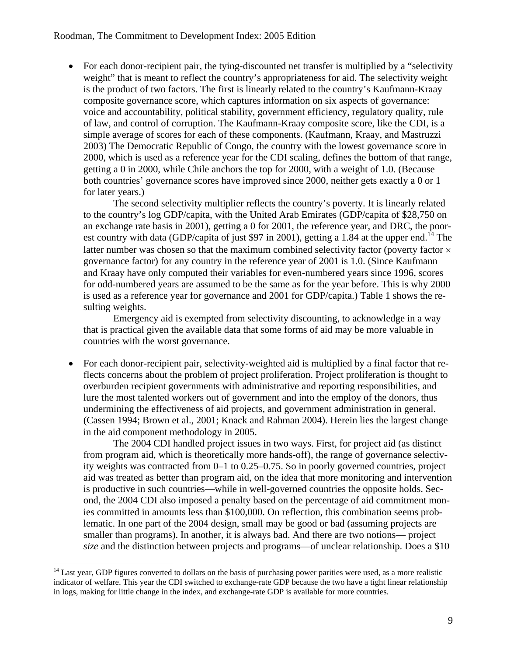• For each donor-recipient pair, the tying-discounted net transfer is multiplied by a "selectivity" weight" that is meant to reflect the country's appropriateness for aid. The selectivity weight is the product of two factors. The first is linearly related to the country's Kaufmann-Kraay composite governance score, which captures information on six aspects of governance: voice and accountability, political stability, government efficiency, regulatory quality, rule of law, and control of corruption. The Kaufmann-Kraay composite score, like the CDI, is a simple average of scores for each of these components. (Kaufmann, Kraay, and Mastruzzi 2003) The Democratic Republic of Congo, the country with the lowest governance score in 2000, which is used as a reference year for the CDI scaling, defines the bottom of that range, getting a 0 in 2000, while Chile anchors the top for 2000, with a weight of 1.0. (Because both countries' governance scores have improved since 2000, neither gets exactly a 0 or 1 for later years.)

The second selectivity multiplier reflects the country's poverty. It is linearly related to the country's log GDP/capita, with the United Arab Emirates (GDP/capita of \$28,750 on an exchange rate basis in 2001), getting a 0 for 2001, the reference year, and DRC, the poorest country with data (GDP/capita of just \$97 in 2001), getting a 1.84 at the upper end.<sup>14</sup> The latter number was chosen so that the maximum combined selectivity factor (poverty factor  $\times$ governance factor) for any country in the reference year of 2001 is 1.0. (Since Kaufmann and Kraay have only computed their variables for even-numbered years since 1996, scores for odd-numbered years are assumed to be the same as for the year before. This is why 2000 is used as a reference year for governance and 2001 for GDP/capita.) [Table 1](#page-12-1) shows the resulting weights.

Emergency aid is exempted from selectivity discounting, to acknowledge in a way that is practical given the available data that some forms of aid may be more valuable in countries with the worst governance.

• For each donor-recipient pair, selectivity-weighted aid is multiplied by a final factor that reflects concerns about the problem of project proliferation. Project proliferation is thought to overburden recipient governments with administrative and reporting responsibilities, and lure the most talented workers out of government and into the employ of the donors, thus undermining the effectiveness of aid projects, and government administration in general. (Cassen 1994; Brown et al., 2001; Knack and Rahman 2004). Herein lies the largest change in the aid component methodology in 2005.

The 2004 CDI handled project issues in two ways. First, for project aid (as distinct from program aid, which is theoretically more hands-off), the range of governance selectivity weights was contracted from 0–1 to 0.25–0.75. So in poorly governed countries, project aid was treated as better than program aid, on the idea that more monitoring and intervention is productive in such countries—while in well-governed countries the opposite holds. Second, the 2004 CDI also imposed a penalty based on the percentage of aid commitment monies committed in amounts less than \$100,000. On reflection, this combination seems problematic. In one part of the 2004 design, small may be good or bad (assuming projects are smaller than programs). In another, it is always bad. And there are two notions— project *size* and the distinction between projects and programs—of unclear relationship. Does a \$10

<span id="page-9-0"></span> $14$  Last year, GDP figures converted to dollars on the basis of purchasing power parities were used, as a more realistic indicator of welfare. This year the CDI switched to exchange-rate GDP because the two have a tight linear relationship in logs, making for little change in the index, and exchange-rate GDP is available for more countries.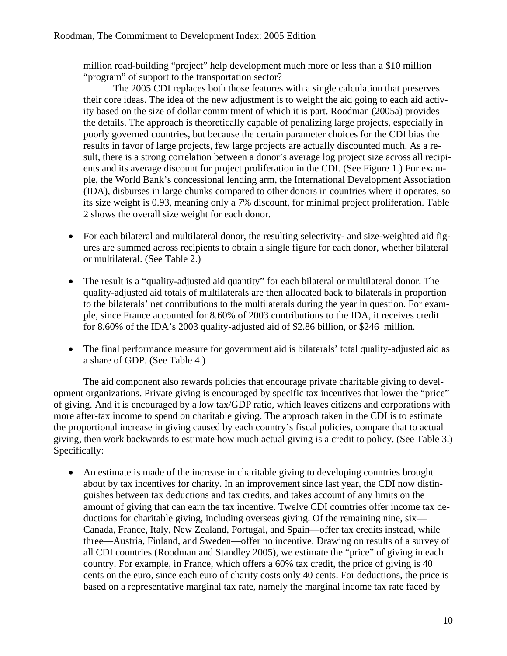million road-building "project" help development much more or less than a \$10 million "program" of support to the transportation sector?

The 2005 CDI replaces both those features with a single calculation that preserves their core ideas. The idea of the new adjustment is to weight the aid going to each aid activity based on the size of dollar commitment of which it is part. Roodman (2005a) provides the details. The approach is theoretically capable of penalizing large projects, especially in poorly governed countries, but because the certain parameter choices for the CDI bias the results in favor of large projects, few large projects are actually discounted much. As a result, there is a strong correlation between a donor's average log project size across all recipients and its average discount for project proliferation in the CDI. (See [Figure 1.](#page-15-1)) For example, the World Bank's concessional lending arm, the International Development Association (IDA), disburses in large chunks compared to other donors in countries where it operates, so its size weight is 0.93, meaning only a 7% discount, for minimal project proliferation. [Table](#page-16-1)  [2](#page-16-1) shows the overall size weight for each donor.

- For each bilateral and multilateral donor, the resulting selectivity- and size-weighted aid figures are summed across recipients to obtain a single figure for each donor, whether bilateral or multilateral. (See [Table 2.](#page-16-1))
- The result is a "quality-adjusted aid quantity" for each bilateral or multilateral donor. The quality-adjusted aid totals of multilaterals are then allocated back to bilaterals in proportion to the bilaterals' net contributions to the multilaterals during the year in question. For example, since France accounted for 8.60% of 2003 contributions to the IDA, it receives credit for 8.60% of the IDA's 2003 quality-adjusted aid of \$2.86 billion, or \$246 million.
- The final performance measure for government aid is bilaterals' total quality-adjusted aid as a share of GDP. (See [Table 4.](#page-18-1))

The aid component also rewards policies that encourage private charitable giving to development organizations. Private giving is encouraged by specific tax incentives that lower the "price" of giving. And it is encouraged by a low tax/GDP ratio, which leaves citizens and corporations with more after-tax income to spend on charitable giving. The approach taken in the CDI is to estimate the proportional increase in giving caused by each country's fiscal policies, compare that to actual giving, then work backwards to estimate how much actual giving is a credit to policy. (See [Table 3.](#page-17-1)) Specifically:

• An estimate is made of the increase in charitable giving to developing countries brought about by tax incentives for charity. In an improvement since last year, the CDI now distinguishes between tax deductions and tax credits, and takes account of any limits on the amount of giving that can earn the tax incentive. Twelve CDI countries offer income tax deductions for charitable giving, including overseas giving. Of the remaining nine, six— Canada, France, Italy, New Zealand, Portugal, and Spain—offer tax credits instead, while three—Austria, Finland, and Sweden—offer no incentive. Drawing on results of a survey of all CDI countries (Roodman and Standley 2005), we estimate the "price" of giving in each country. For example, in France, which offers a 60% tax credit, the price of giving is 40 cents on the euro, since each euro of charity costs only 40 cents. For deductions, the price is based on a representative marginal tax rate, namely the marginal income tax rate faced by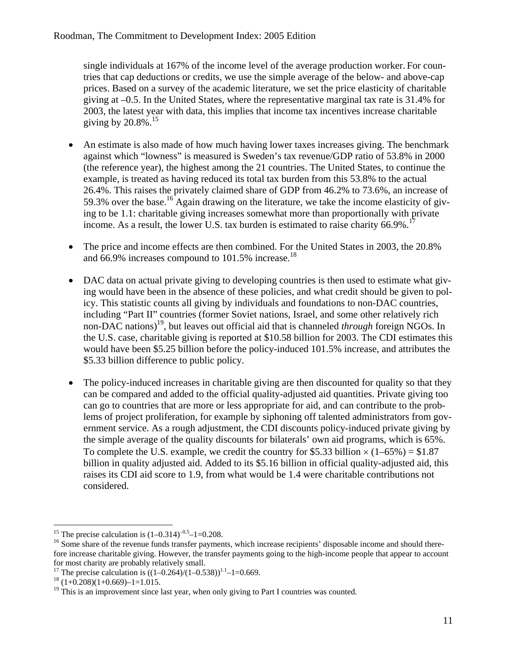single individuals at 167% of the income level of the average production worker. For countries that cap deductions or credits, we use the simple average of the below- and above-cap prices. Based on a survey of the academic literature, we set the price elasticity of charitable giving at –0.5. In the United States, where the representative marginal tax rate is 31.4% for 2003, the latest year with data, this implies that income tax incentives increase charitable giving by  $20.8\%$ .<sup>15</sup>

- An estimate is also made of how much having lower taxes increases giving. The benchmark against which "lowness" is measured is Sweden's tax revenue/GDP ratio of 53.8% in 2000 (the reference year), the highest among the 21 countries. The United States, to continue the example, is treated as having reduced its total tax burden from this 53.8% to the actual 26.4%. This raises the privately claimed share of GDP from 46.2% to 73.6%, an increase of 59.3% over the base.<sup>16</sup> Again drawing on the literature, we take the income elasticity of giving to be 1.1: charitable giving increases somewhat more than proportionally with private income. As a result, the lower U.S. tax burden is estimated to raise charity  $66.9\%$ .<sup>1</sup>
- The price and income effects are then combined. For the United States in 2003, the 20.8% and 66.9% increases compound to  $101.5\%$  increase.<sup>18</sup>
- DAC data on actual private giving to developing countries is then used to estimate what giving would have been in the absence of these policies, and what credit should be given to policy. This statistic counts all giving by individuals and foundations to non-DAC countries, including "Part II" countries (former Soviet nations, Israel, and some other relatively rich non-DAC nations)[19,](#page-11-4) but leaves out official aid that is channeled *through* foreign NGOs. In the U.S. case, charitable giving is reported at \$10.58 billion for 2003. The CDI estimates this would have been \$5.25 billion before the policy-induced 101.5% increase, and attributes the \$5.33 billion difference to public policy.
- The policy-induced increases in charitable giving are then discounted for quality so that they can be compared and added to the official quality-adjusted aid quantities. Private giving too can go to countries that are more or less appropriate for aid, and can contribute to the problems of project proliferation, for example by siphoning off talented administrators from government service. As a rough adjustment, the CDI discounts policy-induced private giving by the simple average of the quality discounts for bilaterals' own aid programs, which is 65%. To complete the U.S. example, we credit the country for \$5.33 billion  $\times$  (1–65%) = \$1.87 billion in quality adjusted aid. Added to its \$5.16 billion in official quality-adjusted aid, this raises its CDI aid score to 1.9, from what would be 1.4 were charitable contributions not considered.

<span id="page-11-0"></span><sup>&</sup>lt;sup>15</sup> The precise calculation is  $(1-0.314)^{-0.5}-1=0.208$ .

<span id="page-11-1"></span> $16$  Some share of the revenue funds transfer payments, which increase recipients' disposable income and should therefore increase charitable giving. However, the transfer payments going to the high-income people that appear to account for most charity are probably relatively small.<br><sup>17</sup> The precise calculation is  $((1-0.264)/(1-0.538))$ 

<span id="page-11-2"></span><sup>&</sup>lt;sup>17</sup> The precise calculation is  $((1-0.264)/(1-0.538))^{1.1}$ -1=0.669.<br><sup>18</sup> (1+0.208)(1+0.669)-1=1.015.

<span id="page-11-3"></span>

<span id="page-11-4"></span><sup>&</sup>lt;sup>19</sup> This is an improvement since last year, when only giving to Part I countries was counted.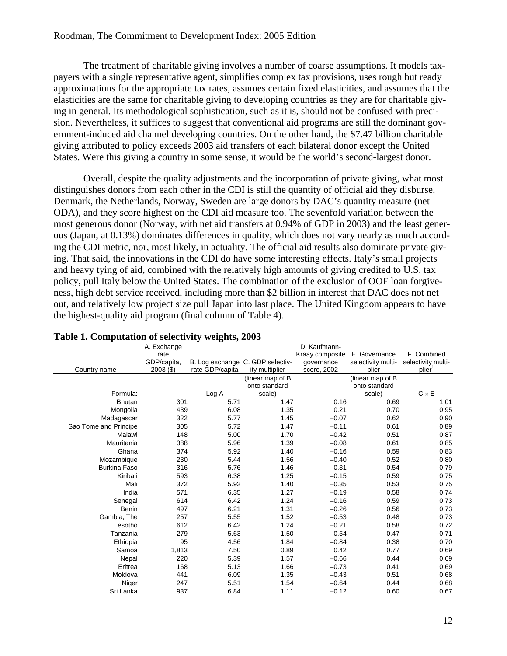<span id="page-12-0"></span>The treatment of charitable giving involves a number of coarse assumptions. It models taxpayers with a single representative agent, simplifies complex tax provisions, uses rough but ready approximations for the appropriate tax rates, assumes certain fixed elasticities, and assumes that the elasticities are the same for charitable giving to developing countries as they are for charitable giving in general. Its methodological sophistication, such as it is, should not be confused with precision. Nevertheless, it suffices to suggest that conventional aid programs are still the dominant government-induced aid channel developing countries. On the other hand, the \$7.47 billion charitable giving attributed to policy exceeds 2003 aid transfers of each bilateral donor except the United States. Were this giving a country in some sense, it would be the world's second-largest donor.

Overall, despite the quality adjustments and the incorporation of private giving, what most distinguishes donors from each other in the CDI is still the quantity of official aid they disburse. Denmark, the Netherlands, Norway, Sweden are large donors by DAC's quantity measure (net ODA), and they score highest on the CDI aid measure too. The sevenfold variation between the most generous donor (Norway, with net aid transfers at 0.94% of GDP in 2003) and the least generous (Japan, at 0.13%) dominates differences in quality, which does not vary nearly as much according the CDI metric, nor, most likely, in actuality. The official aid results also dominate private giving. That said, the innovations in the CDI do have some interesting effects. Italy's small projects and heavy tying of aid, combined with the relatively high amounts of giving credited to U.S. tax policy, pull Italy below the United States. The combination of the exclusion of OOF loan forgiveness, high debt service received, including more than \$2 billion in interest that DAC does not net out, and relatively low project size pull Japan into last place. The United Kingdom appears to have the highest-quality aid program (final column of [Table 4\)](#page-18-1).

| Country name          | A. Exchange<br>rate<br>GDP/capita,<br>$2003($ \$) | o<br>rate GDP/capita | B. Log exchange C. GDP selectiv-<br>ity multiplier | D. Kaufmann-<br>Kraay composite<br>governance<br>score, 2002 | E. Governance<br>selectivity multi-<br>plier | F. Combined<br>selectivity multi-<br>plier <sup>1</sup> |
|-----------------------|---------------------------------------------------|----------------------|----------------------------------------------------|--------------------------------------------------------------|----------------------------------------------|---------------------------------------------------------|
|                       |                                                   |                      | (linear map of B                                   |                                                              | (linear map of B                             |                                                         |
|                       |                                                   |                      | onto standard                                      |                                                              | onto standard                                |                                                         |
| Formula:              |                                                   | Log A                | scale)                                             |                                                              | scale)                                       | $C \times E$                                            |
| <b>Bhutan</b>         | 301                                               | 5.71                 | 1.47                                               | 0.16                                                         | 0.69                                         | 1.01                                                    |
| Mongolia              | 439                                               | 6.08                 | 1.35                                               | 0.21                                                         | 0.70                                         | 0.95                                                    |
| Madagascar            | 322                                               | 5.77                 | 1.45                                               | $-0.07$                                                      | 0.62                                         | 0.90                                                    |
| Sao Tome and Principe | 305                                               | 5.72                 | 1.47                                               | $-0.11$                                                      | 0.61                                         | 0.89                                                    |
| Malawi                | 148                                               | 5.00                 | 1.70                                               | $-0.42$                                                      | 0.51                                         | 0.87                                                    |
| Mauritania            | 388                                               | 5.96                 | 1.39                                               | $-0.08$                                                      | 0.61                                         | 0.85                                                    |
| Ghana                 | 374                                               | 5.92                 | 1.40                                               | $-0.16$                                                      | 0.59                                         | 0.83                                                    |
| Mozambique            | 230                                               | 5.44                 | 1.56                                               | $-0.40$                                                      | 0.52                                         | 0.80                                                    |
| <b>Burkina Faso</b>   | 316                                               | 5.76                 | 1.46                                               | $-0.31$                                                      | 0.54                                         | 0.79                                                    |
| Kiribati              | 593                                               | 6.38                 | 1.25                                               | $-0.15$                                                      | 0.59                                         | 0.75                                                    |
| Mali                  | 372                                               | 5.92                 | 1.40                                               | $-0.35$                                                      | 0.53                                         | 0.75                                                    |
| India                 | 571                                               | 6.35                 | 1.27                                               | $-0.19$                                                      | 0.58                                         | 0.74                                                    |
| Senegal               | 614                                               | 6.42                 | 1.24                                               | $-0.16$                                                      | 0.59                                         | 0.73                                                    |
| Benin                 | 497                                               | 6.21                 | 1.31                                               | $-0.26$                                                      | 0.56                                         | 0.73                                                    |
| Gambia, The           | 257                                               | 5.55                 | 1.52                                               | $-0.53$                                                      | 0.48                                         | 0.73                                                    |
| Lesotho               | 612                                               | 6.42                 | 1.24                                               | $-0.21$                                                      | 0.58                                         | 0.72                                                    |
| Tanzania              | 279                                               | 5.63                 | 1.50                                               | $-0.54$                                                      | 0.47                                         | 0.71                                                    |
| Ethiopia              | 95                                                | 4.56                 | 1.84                                               | $-0.84$                                                      | 0.38                                         | 0.70                                                    |
| Samoa                 | 1,813                                             | 7.50                 | 0.89                                               | 0.42                                                         | 0.77                                         | 0.69                                                    |
| Nepal                 | 220                                               | 5.39                 | 1.57                                               | $-0.66$                                                      | 0.44                                         | 0.69                                                    |
| Eritrea               | 168                                               | 5.13                 | 1.66                                               | $-0.73$                                                      | 0.41                                         | 0.69                                                    |
| Moldova               | 441                                               | 6.09                 | 1.35                                               | $-0.43$                                                      | 0.51                                         | 0.68                                                    |
| Niger                 | 247                                               | 5.51                 | 1.54                                               | $-0.64$                                                      | 0.44                                         | 0.68                                                    |
| Sri Lanka             | 937                                               | 6.84                 | 1.11                                               | $-0.12$                                                      | 0.60                                         | 0.67                                                    |

### <span id="page-12-1"></span>**Table 1. Computation of selectivity weights, 2003**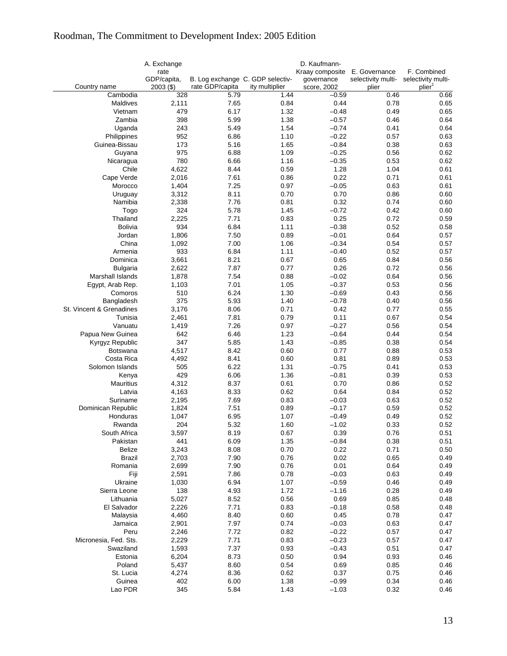|                               | A. Exchange<br>rate<br>GDP/capita, | B. Log exchange C. GDP selectiv- |                | D. Kaufmann-<br>Kraay composite<br>governance | E. Governance<br>selectivity multi- | F. Combined<br>selectivity multi- |
|-------------------------------|------------------------------------|----------------------------------|----------------|-----------------------------------------------|-------------------------------------|-----------------------------------|
| Country name                  | $2003($ \$)                        | rate GDP/capita                  | ity multiplier | score, 2002                                   | plier                               | plier <sup>1</sup>                |
| Cambodia                      | 328                                | 5.79                             | 1.44           | $-0.59$                                       | 0.46                                | 0.66                              |
| Maldives                      | 2,111                              | 7.65                             | 0.84           | 0.44                                          | 0.78                                | 0.65                              |
| Vietnam                       | 479                                | 6.17                             | 1.32           | $-0.48$                                       | 0.49                                | 0.65                              |
| Zambia                        | 398                                | 5.99                             | 1.38           | $-0.57$                                       | 0.46                                | 0.64                              |
| Uganda                        | 243                                | 5.49                             | 1.54           | $-0.74$                                       | 0.41                                | 0.64                              |
| Philippines                   | 952                                | 6.86                             | 1.10           | $-0.22$                                       | 0.57                                | 0.63                              |
| Guinea-Bissau                 | 173                                | 5.16                             | 1.65           | $-0.84$                                       | 0.38                                | 0.63                              |
| Guyana                        | 975                                | 6.88                             | 1.09           | $-0.25$                                       | 0.56                                | 0.62                              |
| Nicaragua                     | 780                                | 6.66                             | 1.16           | $-0.35$                                       | 0.53                                | 0.62                              |
| Chile                         | 4,622                              | 8.44                             | 0.59           | 1.28                                          | 1.04                                | 0.61                              |
| Cape Verde                    | 2,016                              | 7.61                             | 0.86           | 0.22                                          | 0.71                                | 0.61                              |
| Morocco                       | 1,404                              | 7.25                             | 0.97           | $-0.05$                                       | 0.63                                | 0.61                              |
| Uruguay                       | 3,312                              | 8.11                             | 0.70           | 0.70                                          | 0.86                                | 0.60                              |
| Namibia                       | 2,338                              | 7.76                             | 0.81           | 0.32                                          | 0.74                                | 0.60                              |
| Togo                          | 324                                | 5.78                             | 1.45           | $-0.72$                                       | 0.42                                | 0.60                              |
| Thailand                      | 2,225                              | 7.71                             | 0.83           | 0.25                                          | 0.72                                | 0.59                              |
| Bolivia                       | 934                                | 6.84                             | 1.11           | $-0.38$                                       | 0.52                                | 0.58                              |
| Jordan                        | 1,806                              | 7.50                             | 0.89           | $-0.01$                                       | 0.64                                | 0.57                              |
| China                         | 1,092                              | 7.00                             | 1.06           | $-0.34$                                       | 0.54                                | 0.57                              |
| Armenia                       | 933                                | 6.84                             | 1.11           | $-0.40$                                       | 0.52                                | 0.57                              |
| Dominica                      | 3,661                              | 8.21                             | 0.67           | 0.65                                          | 0.84                                | 0.56                              |
| <b>Bulgaria</b>               | 2,622                              | 7.87                             | 0.77           | 0.26                                          | 0.72                                | 0.56                              |
| Marshall Islands              | 1,878                              | 7.54                             | 0.88           | $-0.02$                                       | 0.64                                | 0.56                              |
| Egypt, Arab Rep.              | 1,103                              | 7.01                             | 1.05           | $-0.37$                                       | 0.53                                | 0.56                              |
| Comoros                       | 510                                | 6.24                             | 1.30           | $-0.69$                                       | 0.43                                | 0.56                              |
| Bangladesh                    | 375                                | 5.93                             | 1.40           | $-0.78$                                       | 0.40                                | 0.56                              |
| St. Vincent & Grenadines      | 3,176                              | 8.06                             | 0.71           | 0.42                                          | 0.77                                | 0.55                              |
| Tunisia                       | 2,461                              | 7.81                             | 0.79           | 0.11                                          | 0.67                                | 0.54                              |
| Vanuatu                       | 1,419                              | 7.26                             | 0.97           | $-0.27$                                       | 0.56                                | 0.54                              |
| Papua New Guinea              | 642                                | 6.46                             | 1.23           | $-0.64$                                       | 0.44                                | 0.54                              |
| Kyrgyz Republic               | 347                                | 5.85                             | 1.43           | $-0.85$                                       | 0.38                                | 0.54                              |
| <b>Botswana</b>               | 4,517                              | 8.42                             | 0.60           | 0.77                                          | 0.88                                | 0.53                              |
| Costa Rica<br>Solomon Islands | 4,492<br>505                       | 8.41<br>6.22                     | 0.60<br>1.31   | 0.81<br>$-0.75$                               | 0.89<br>0.41                        | 0.53<br>0.53                      |
|                               | 429                                | 6.06                             | 1.36           | $-0.81$                                       | 0.39                                | 0.53                              |
| Kenya<br>Mauritius            | 4,312                              | 8.37                             | 0.61           | 0.70                                          | 0.86                                | 0.52                              |
| Latvia                        | 4,163                              | 8.33                             | 0.62           | 0.64                                          | 0.84                                | 0.52                              |
| Suriname                      | 2,195                              | 7.69                             | 0.83           | $-0.03$                                       | 0.63                                | 0.52                              |
| Dominican Republic            | 1,824                              | 7.51                             | 0.89           | $-0.17$                                       | 0.59                                | 0.52                              |
| Honduras                      | 1,047                              | 6.95                             | 1.07           | $-0.49$                                       | 0.49                                | 0.52                              |
| Rwanda                        | 204                                | 5.32                             | 1.60           | $-1.02$                                       | 0.33                                | 0.52                              |
| South Africa                  | 3,597                              | 8.19                             | 0.67           | 0.39                                          | 0.76                                | 0.51                              |
| Pakistan                      | 441                                | 6.09                             | 1.35           | $-0.84$                                       | 0.38                                | 0.51                              |
| Belize                        | 3,243                              | 8.08                             | 0.70           | 0.22                                          | 0.71                                | 0.50                              |
| <b>Brazil</b>                 | 2,703                              | 7.90                             | 0.76           | 0.02                                          | 0.65                                | 0.49                              |
| Romania                       | 2,699                              | 7.90                             | 0.76           | 0.01                                          | 0.64                                | 0.49                              |
| Fiji                          | 2,591                              | 7.86                             | 0.78           | $-0.03$                                       | 0.63                                | 0.49                              |
| Ukraine                       | 1,030                              | 6.94                             | 1.07           | $-0.59$                                       | 0.46                                | 0.49                              |
| Sierra Leone                  | 138                                | 4.93                             | 1.72           | $-1.16$                                       | 0.28                                | 0.49                              |
| Lithuania                     | 5,027                              | 8.52                             | 0.56           | 0.69                                          | 0.85                                | 0.48                              |
| El Salvador                   | 2,226                              | 7.71                             | 0.83           | $-0.18$                                       | 0.58                                | 0.48                              |
| Malaysia                      | 4,460                              | 8.40                             | 0.60           | 0.45                                          | 0.78                                | 0.47                              |
| Jamaica                       | 2,901                              | 7.97                             | 0.74           | $-0.03$                                       | 0.63                                | 0.47                              |
| Peru                          | 2,246                              | 7.72                             | 0.82           | $-0.22$                                       | 0.57                                | 0.47                              |
| Micronesia, Fed. Sts.         | 2,229                              | 7.71                             | 0.83           | $-0.23$                                       | 0.57                                | 0.47                              |
| Swaziland                     | 1,593                              | 7.37                             | 0.93           | $-0.43$                                       | 0.51                                | 0.47                              |
| Estonia                       | 6,204                              | 8.73                             | 0.50           | 0.94                                          | 0.93                                | 0.46                              |
| Poland                        | 5,437                              | 8.60                             | 0.54           | 0.69                                          | 0.85                                | 0.46                              |
| St. Lucia                     | 4,274                              | 8.36                             | 0.62           | 0.37                                          | 0.75                                | 0.46                              |
| Guinea                        | 402                                | 6.00                             | 1.38           | $-0.99$                                       | 0.34                                | 0.46                              |
| Lao PDR                       | 345                                | 5.84                             | 1.43           | $-1.03$                                       | 0.32                                | 0.46                              |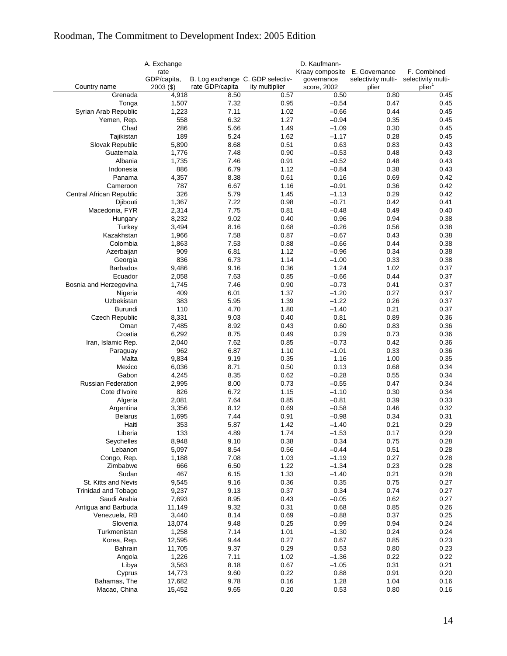|                            | A. Exchange<br>rate        |                                                     |                | D. Kaufmann-<br>Kraay composite | E. Governance               | F. Combined                              |
|----------------------------|----------------------------|-----------------------------------------------------|----------------|---------------------------------|-----------------------------|------------------------------------------|
| Country name               | GDP/capita,<br>$2003($ \$) | B. Log exchange C. GDP selectiv-<br>rate GDP/capita | ity multiplier | governance<br>score, 2002       | selectivity multi-<br>plier | selectivity multi-<br>plier <sup>1</sup> |
| Grenada                    | 4,918                      | 8.50                                                | 0.57           | 0.50                            | 0.80                        | 0.45                                     |
| Tonga                      | 1,507                      | 7.32                                                | 0.95           | $-0.54$                         | 0.47                        | 0.45                                     |
| Syrian Arab Republic       | 1,223                      | 7.11                                                | 1.02           | $-0.66$                         | 0.44                        | 0.45                                     |
| Yemen, Rep.                | 558                        | 6.32                                                | 1.27           | $-0.94$                         | 0.35                        | 0.45                                     |
| Chad                       | 286                        | 5.66                                                | 1.49           | $-1.09$                         | 0.30                        | 0.45                                     |
| Tajikistan                 | 189                        | 5.24                                                | 1.62           | $-1.17$                         | 0.28                        | 0.45                                     |
| Slovak Republic            | 5,890                      | 8.68                                                | 0.51           | 0.63                            | 0.83                        | 0.43                                     |
| Guatemala                  | 1,776                      | 7.48                                                | 0.90           | $-0.53$                         | 0.48                        | 0.43                                     |
| Albania                    | 1,735                      | 7.46                                                | 0.91           | $-0.52$                         | 0.48                        | 0.43                                     |
| Indonesia                  | 886                        | 6.79                                                | 1.12           | $-0.84$                         | 0.38                        | 0.43                                     |
| Panama                     | 4,357                      | 8.38                                                | 0.61           | 0.16                            | 0.69                        | 0.42                                     |
| Cameroon                   | 787                        | 6.67                                                | 1.16           | $-0.91$                         | 0.36                        | 0.42                                     |
| Central African Republic   | 326                        | 5.79                                                | 1.45           | $-1.13$                         | 0.29                        | 0.42                                     |
| Djibouti                   | 1,367                      | 7.22                                                | 0.98           | $-0.71$                         | 0.42                        | 0.41                                     |
| Macedonia, FYR             | 2,314                      | 7.75                                                | 0.81           | $-0.48$                         | 0.49                        | 0.40                                     |
| Hungary                    | 8,232                      | 9.02                                                | 0.40           | 0.96                            | 0.94                        | 0.38                                     |
| Turkey                     | 3,494                      | 8.16                                                | 0.68           | $-0.26$                         | 0.56                        | 0.38                                     |
| Kazakhstan                 | 1,966                      | 7.58                                                | 0.87           | $-0.67$                         | 0.43                        | 0.38                                     |
| Colombia                   | 1,863                      | 7.53                                                | 0.88           | $-0.66$                         | 0.44                        | 0.38                                     |
| Azerbaijan                 | 909                        | 6.81                                                | 1.12           | $-0.96$                         | 0.34                        | 0.38                                     |
| Georgia                    | 836                        | 6.73                                                | 1.14           | $-1.00$                         | 0.33                        | 0.38                                     |
| <b>Barbados</b>            | 9,486                      | 9.16                                                | 0.36           | 1.24                            | 1.02                        | 0.37                                     |
| Ecuador                    | 2,058                      | 7.63                                                | 0.85           | $-0.66$                         | 0.44                        | 0.37                                     |
| Bosnia and Herzegovina     | 1,745                      | 7.46                                                | 0.90           | $-0.73$                         | 0.41                        | 0.37                                     |
| Nigeria                    | 409                        | 6.01                                                | 1.37           | $-1.20$                         | 0.27                        | 0.37                                     |
| Uzbekistan                 | 383                        | 5.95                                                | 1.39           | $-1.22$                         | 0.26                        | 0.37                                     |
| Burundi                    | 110                        | 4.70                                                | 1.80           | $-1.40$                         | 0.21                        | 0.37                                     |
| Czech Republic             | 8,331                      | 9.03                                                | 0.40           | 0.81                            | 0.89                        | 0.36                                     |
| Oman                       | 7,485                      | 8.92                                                | 0.43           | 0.60                            | 0.83                        | 0.36                                     |
| Croatia                    | 6,292                      | 8.75                                                | 0.49           | 0.29                            | 0.73                        | 0.36                                     |
| Iran, Islamic Rep.         | 2,040<br>962               | 7.62<br>6.87                                        | 0.85<br>1.10   | $-0.73$<br>$-1.01$              | 0.42<br>0.33                | 0.36<br>0.36                             |
| Paraguay<br>Malta          | 9,834                      | 9.19                                                | 0.35           | 1.16                            | 1.00                        | 0.35                                     |
| Mexico                     | 6,036                      | 8.71                                                | 0.50           | 0.13                            | 0.68                        | 0.34                                     |
| Gabon                      | 4,245                      | 8.35                                                | 0.62           | $-0.28$                         | 0.55                        | 0.34                                     |
| <b>Russian Federation</b>  | 2,995                      | 8.00                                                | 0.73           | $-0.55$                         | 0.47                        | 0.34                                     |
| Cote d'Ivoire              | 826                        | 6.72                                                | 1.15           | $-1.10$                         | 0.30                        | 0.34                                     |
| Algeria                    | 2,081                      | 7.64                                                | 0.85           | $-0.81$                         | 0.39                        | 0.33                                     |
| Argentina                  | 3,356                      | 8.12                                                | 0.69           | $-0.58$                         | 0.46                        | 0.32                                     |
| <b>Belarus</b>             | 1,695                      | 7.44                                                | 0.91           | $-0.98$                         | 0.34                        | 0.31                                     |
| Haiti                      | 353                        | 5.87                                                | 1.42           | $-1.40$                         | 0.21                        | 0.29                                     |
| Liberia                    | 133                        | 4.89                                                | 1.74           | $-1.53$                         | 0.17                        | 0.29                                     |
| Seychelles                 | 8,948                      | 9.10                                                | 0.38           | 0.34                            | 0.75                        | 0.28                                     |
| Lebanon                    | 5,097                      | 8.54                                                | 0.56           | $-0.44$                         | 0.51                        | 0.28                                     |
| Congo, Rep.                | 1,188                      | 7.08                                                | 1.03           | $-1.19$                         | 0.27                        | 0.28                                     |
| Zimbabwe                   | 666                        | 6.50                                                | 1.22           | $-1.34$                         | 0.23                        | 0.28                                     |
| Sudan                      | 467                        | 6.15                                                | 1.33           | $-1.40$                         | 0.21                        | 0.28                                     |
| St. Kitts and Nevis        | 9,545                      | 9.16                                                | 0.36           | 0.35                            | 0.75                        | 0.27                                     |
| <b>Trinidad and Tobago</b> | 9,237                      | 9.13                                                | 0.37           | 0.34                            | 0.74                        | 0.27                                     |
| Saudi Arabia               | 7,693                      | 8.95                                                | 0.43           | $-0.05$                         | 0.62                        | 0.27                                     |
| Antigua and Barbuda        | 11,149                     | 9.32                                                | 0.31           | 0.68                            | 0.85                        | 0.26                                     |
| Venezuela, RB              | 3,440                      | 8.14                                                | 0.69           | $-0.88$                         | 0.37                        | 0.25                                     |
| Slovenia                   | 13,074                     | 9.48                                                | 0.25           | 0.99                            | 0.94                        | 0.24                                     |
| Turkmenistan               | 1,258                      | 7.14                                                | 1.01           | $-1.30$                         | 0.24                        | 0.24                                     |
| Korea, Rep.                | 12,595                     | 9.44                                                | 0.27           | 0.67                            | 0.85                        | 0.23                                     |
| Bahrain                    | 11,705                     | 9.37                                                | 0.29           | 0.53                            | 0.80                        | 0.23                                     |
| Angola                     | 1,226                      | 7.11                                                | 1.02           | $-1.36$                         | 0.22                        | 0.22                                     |
| Libya                      | 3,563                      | 8.18                                                | 0.67           | $-1.05$                         | 0.31                        | 0.21                                     |
| Cyprus                     | 14,773                     | 9.60                                                | 0.22           | 0.88                            | 0.91                        | 0.20                                     |
| Bahamas, The               | 17,682                     | 9.78                                                | 0.16           | 1.28                            | 1.04                        | 0.16                                     |
| Macao, China               | 15,452                     | 9.65                                                | 0.20           | 0.53                            | 0.80                        | 0.16                                     |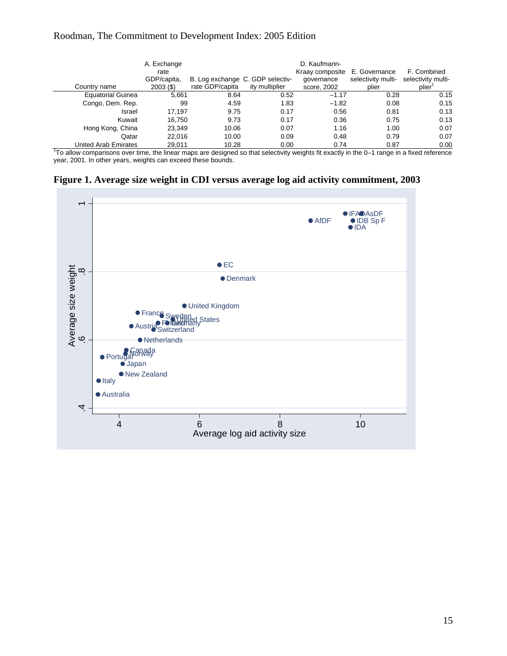<span id="page-15-0"></span>

| Country name             | A. Exchange<br>rate<br>GDP/capita,<br>$2003($ \$) | B. Log exchange C. GDP selectiv-<br>rate GDP/capita | ity multiplier | D. Kaufmann-<br>Kraay composite<br>qovernance<br>score, 2002 | E. Governance<br>selectivity multi-<br>plier | F. Combined<br>selectivity multi-<br>plier |
|--------------------------|---------------------------------------------------|-----------------------------------------------------|----------------|--------------------------------------------------------------|----------------------------------------------|--------------------------------------------|
| <b>Equatorial Guinea</b> | 5.661                                             | 8.64                                                | 0.52           | $-1.17$                                                      | 0.28                                         | 0.15                                       |
| Congo, Dem. Rep.         | 99                                                | 4.59                                                | 1.83           | $-1.82$                                                      | 0.08                                         | 0.15                                       |
| Israel                   | 17.197                                            | 9.75                                                | 0.17           | 0.56                                                         | 0.81                                         | 0.13                                       |
| Kuwait                   | 16.750                                            | 9.73                                                | 0.17           | 0.36                                                         | 0.75                                         | 0.13                                       |
| Hong Kong, China         | 23,349                                            | 10.06                                               | 0.07           | 1.16                                                         | 1.00                                         | 0.07                                       |
| Qatar                    | 22.016                                            | 10.00                                               | 0.09           | 0.48                                                         | 0.79                                         | 0.07                                       |
| United Arab Emirates     | 29.011                                            | 10.28                                               | 0.00           | 0.74                                                         | 0.87                                         | 0.00                                       |

United Arab Emirates 29,011 10.28 0.00 0.74 0.87 0.00<br>To allow comparisons over time, the linear maps are designed so that selectivity weights fit exactly in the 0–1 range in a fixed reference year, 2001. In other years, weights can exceed these bounds.

<span id="page-15-1"></span>

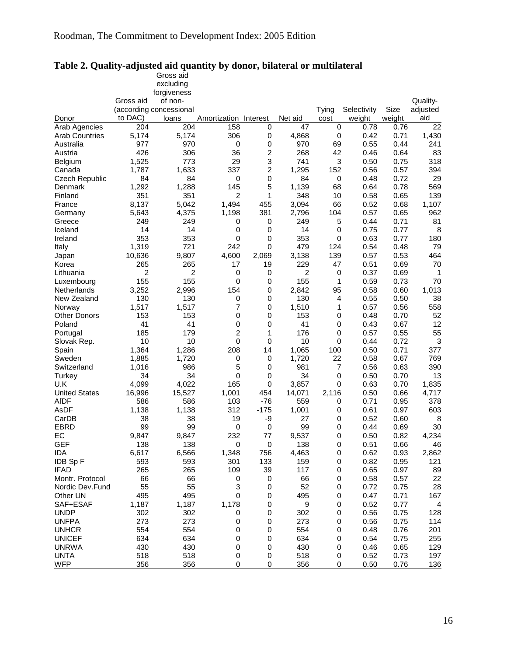|                       |           | Gross aid               |                       |           |         |       |             |        |                |
|-----------------------|-----------|-------------------------|-----------------------|-----------|---------|-------|-------------|--------|----------------|
|                       |           | excluding               |                       |           |         |       |             |        |                |
|                       |           | forgiveness             |                       |           |         |       |             |        |                |
|                       | Gross aid | of non-                 |                       |           |         |       |             |        | Quality-       |
|                       |           | (according concessional |                       |           |         | Tying | Selectivity | Size   | adjusted       |
| Donor                 | to DAC)   | loans                   | Amortization Interest |           | Net aid | cost  | weight      | weight | aid            |
| Arab Agencies         | 204       | 204                     | 158                   | 0         | 47      | 0     | 0.78        | 0.76   | 22             |
| <b>Arab Countries</b> | 5,174     | 5,174                   | 306                   | 0         | 4,868   | 0     | 0.42        | 0.71   | 1,430          |
| Australia             | 977       | 970                     | 0                     | 0         | 970     | 69    | 0.55        | 0.44   | 241            |
| Austria               | 426       | 306                     | 36                    | 2         | 268     | 42    | 0.46        | 0.64   | 83             |
| <b>Belgium</b>        | 1,525     | 773                     | 29                    | 3         | 741     | 3     | 0.50        | 0.75   | 318            |
| Canada                | 1,787     | 1,633                   | 337                   | 2         | 1,295   | 152   | 0.56        | 0.57   | 394            |
| Czech Republic        | 84        | 84                      | 0                     | 0         | 84      | 0     | 0.48        | 0.72   | 29             |
| Denmark               | 1,292     | 1,288                   | 145                   | 5         | 1,139   | 68    | 0.64        | 0.78   | 569            |
| Finland               | 351       | 351                     | 2                     | 1         | 348     | 10    | 0.58        | 0.65   | 139            |
|                       |           |                         |                       |           |         |       |             |        |                |
| France                | 8,137     | 5,042                   | 1,494                 | 455       | 3,094   | 66    | 0.52        | 0.68   | 1,107          |
| Germany               | 5,643     | 4,375                   | 1,198                 | 381       | 2,796   | 104   | 0.57        | 0.65   | 962            |
| Greece                | 249       | 249                     | 0                     | 0         | 249     | 5     | 0.44        | 0.71   | 81             |
| Iceland               | 14        | 14                      | 0                     | 0         | 14      | 0     | 0.75        | 0.77   | 8              |
| Ireland               | 353       | 353                     | 0                     | 0         | 353     | 0     | 0.63        | 0.77   | 180            |
| Italy                 | 1,319     | 721                     | 242                   | 0         | 479     | 124   | 0.54        | 0.48   | 79             |
| Japan                 | 10,636    | 9,807                   | 4,600                 | 2,069     | 3,138   | 139   | 0.57        | 0.53   | 464            |
| Korea                 | 265       | 265                     | 17                    | 19        | 229     | 47    | 0.51        | 0.69   | 70             |
| Lithuania             | 2         | 2                       | 0                     | 0         | 2       | 0     | 0.37        | 0.69   | 1              |
| Luxembourg            | 155       | 155                     | 0                     | 0         | 155     | 1     | 0.59        | 0.73   | 70             |
| Netherlands           | 3,252     | 2,996                   | 154                   | 0         | 2,842   | 95    | 0.58        | 0.60   | 1,013          |
| New Zealand           | 130       | 130                     | 0                     | 0         | 130     | 4     | 0.55        | 0.50   | 38             |
| Norway                | 1,517     | 1,517                   | 7                     | 0         | 1,510   | 1     | 0.57        | 0.56   | 558            |
| <b>Other Donors</b>   | 153       | 153                     | 0                     | 0         | 153     | 0     | 0.48        | 0.70   | 52             |
| Poland                | 41        | 41                      | 0                     | 0         | 41      | 0     | 0.43        | 0.67   | 12             |
| Portugal              | 185       | 179                     | 2                     | 1         | 176     | 0     | 0.57        | 0.55   | 55             |
| Slovak Rep.           | 10        | 10                      | 0                     | 0         | 10      | 0     | 0.44        | 0.72   | 3              |
| Spain                 | 1,364     | 1,286                   | 208                   | 14        | 1,065   | 100   | 0.50        | 0.71   | 377            |
| Sweden                | 1,885     | 1,720                   | 0                     | 0         | 1,720   | 22    | 0.58        | 0.67   | 769            |
| Switzerland           | 1,016     | 986                     | 5                     | 0         | 981     | 7     | 0.56        | 0.63   | 390            |
| Turkey                | 34        | 34                      | 0                     | 0         | 34      | 0     | 0.50        | 0.70   | 13             |
| U.K                   | 4,099     | 4,022                   | 165                   | 0         | 3,857   | 0     | 0.63        | 0.70   | 1,835          |
| <b>United States</b>  | 16,996    | 15,527                  | 1,001                 | 454       | 14,071  | 2,116 | 0.50        | 0.66   | 4,717          |
| <b>AfDF</b>           | 586       | 586                     | 103                   | $-76$     | 559     | 0     | 0.71        | 0.95   | 378            |
| AsDF                  | 1,138     | 1,138                   | 312                   | $-175$    | 1,001   | 0     | 0.61        | 0.97   | 603            |
| CarDB                 | 38        | 38                      | 19                    | -9        | 27      | 0     | 0.52        | 0.60   | 8              |
| <b>EBRD</b>           | 99        | 99                      | $\pmb{0}$             | 0         | 99      | 0     | 0.44        | 0.69   | 30             |
| EC                    | 9,847     | 9,847                   | 232                   | 77        | 9,537   | 0     | 0.50        | 0.82   | 4,234          |
| <b>GEF</b>            | 138       | 138                     | $\pmb{0}$             | $\pmb{0}$ | 138     | 0     | 0.51        | 0.66   | 46             |
| IDA                   | 6,617     | 6,566                   | 1,348                 | 756       | 4,463   | 0     | 0.62        | 0.93   | 2,862          |
| IDB Sp F              | 593       | 593                     | 301                   | 133       | 159     | 0     | 0.82        | 0.95   | 121            |
| <b>IFAD</b>           | 265       | 265                     | 109                   | 39        | 117     | 0     | 0.65        | 0.97   | 89             |
| Montr. Protocol       | 66        | 66                      | 0                     | 0         | 66      | 0     | 0.58        | 0.57   | 22             |
| Nordic Dev.Fund       | 55        | 55                      | 3                     | 0         | 52      | 0     | 0.72        | 0.75   | 28             |
| Other UN              | 495       | 495                     | 0                     | 0         | 495     | 0     | 0.47        | 0.71   | 167            |
| SAF+ESAF              | 1,187     | 1,187                   | 1,178                 | 0         | 9       | 0     | 0.52        | 0.77   | $\overline{4}$ |
| <b>UNDP</b>           | 302       | 302                     | 0                     | 0         | 302     | 0     | 0.56        | 0.75   | 128            |
| <b>UNFPA</b>          | 273       | 273                     | 0                     | 0         | 273     | 0     | 0.56        | 0.75   | 114            |
| <b>UNHCR</b>          | 554       | 554                     | 0                     | 0         | 554     | 0     | 0.48        | 0.76   | 201            |
| <b>UNICEF</b>         | 634       | 634                     | 0                     | 0         | 634     | 0     | 0.54        | 0.75   | 255            |
| <b>UNRWA</b>          | 430       | 430                     | 0                     | 0         | 430     | 0     | 0.46        | 0.65   | 129            |
| <b>UNTA</b>           | 518       | 518                     | 0                     | 0         | 518     | 0     | 0.52        | 0.73   | 197            |
| <b>WFP</b>            | 356       | 356                     | 0                     | 0         | 356     | 0     | 0.50        | 0.76   | 136            |
|                       |           |                         |                       |           |         |       |             |        |                |

#### <span id="page-16-1"></span><span id="page-16-0"></span>**Table 2. Quality-adjusted aid quantity by donor, bilateral or multilateral**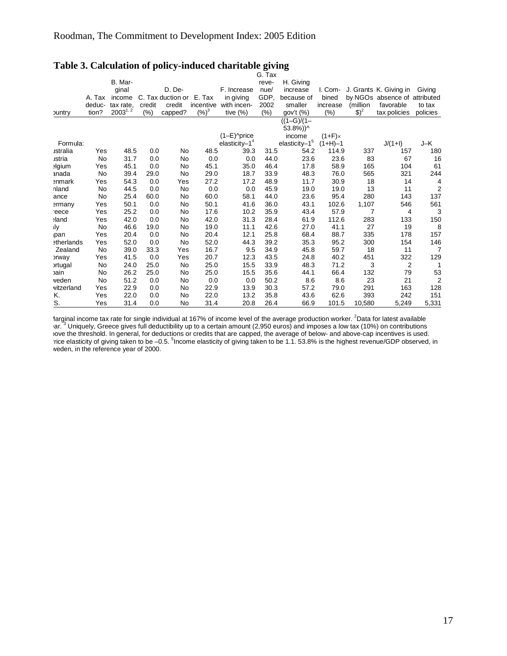|                   |        |              |        |                   |           |                            | G. Tax |                 |                |          |                               |                |
|-------------------|--------|--------------|--------|-------------------|-----------|----------------------------|--------|-----------------|----------------|----------|-------------------------------|----------------|
|                   |        | B. Mar-      |        |                   |           |                            | reve-  | H. Giving       |                |          |                               |                |
|                   |        | ginal        |        | D. De-            |           | F. Increase                | nue/   | increase        | I. Com-        |          | J. Grants K. Giving in        | Giving         |
|                   | A. Tax | income       |        | C. Tax duction or | E. Tax    | in giving                  | GDP,   | because of      | bined          |          | by NGOs absence of attributed |                |
|                   | deduc- | tax rate.    | credit | credit            | incentive | with incen-                | 2002   | smaller         | increase       | (million | favorable                     | to tax         |
| <b>buntry</b>     | tion?  | $2003^{1,2}$ | $(\%)$ | capped?           | $(%)^3$   | tive $(\%)$                | (%)    | gov't (%)       | (% )           | $$)^2$   | tax policies                  | policies       |
|                   |        |              |        |                   |           |                            |        | $((1-G)/(1 -$   |                |          |                               |                |
|                   |        |              |        |                   |           |                            |        | 53.8%))^        |                |          |                               |                |
|                   |        |              |        |                   |           | $(1-E)$ <sup>o</sup> price |        | income          | $(1+F) \times$ |          |                               |                |
| Formula:          |        |              |        |                   |           | elasticity $-14$           |        | $elasticity-15$ | $(1+H)-1$      |          | $J/(1+I)$                     | J-K            |
| ustralia          | Yes    | 48.5         | 0.0    | No                | 48.5      | 39.3                       | 31.5   | 54.2            | 114.9          | 337      | 157                           | 180            |
| ustria            | No     | 31.7         | 0.0    | No                | 0.0       | 0.0                        | 44.0   | 23.6            | 23.6           | 83       | 67                            | 16             |
| elgium            | Yes    | 45.1         | 0.0    | No                | 45.1      | 35.0                       | 46.4   | 17.8            | 58.9           | 165      | 104                           | 61             |
| anada             | No     | 39.4         | 29.0   | No                | 29.0      | 18.7                       | 33.9   | 48.3            | 76.0           | 565      | 321                           | 244            |
| <b>enmark</b>     | Yes    | 54.3         | 0.0    | Yes               | 27.2      | 17.2                       | 48.9   | 11.7            | 30.9           | 18       | 14                            | 4              |
| nland             | No     | 44.5         | 0.0    | No                | 0.0       | 0.0                        | 45.9   | 19.0            | 19.0           | 13       | 11                            | $\overline{2}$ |
| ance              | No     | 25.4         | 60.0   | No                | 60.0      | 58.1                       | 44.0   | 23.6            | 95.4           | 280      | 143                           | 137            |
| ermany            | Yes    | 50.1         | 0.0    | No                | 50.1      | 41.6                       | 36.0   | 43.1            | 102.6          | 1,107    | 546                           | 561            |
| reece             | Yes    | 25.2         | 0.0    | No                | 17.6      | 10.2                       | 35.9   | 43.4            | 57.9           | 7        | 4                             | 3              |
| and:              | Yes    | 42.0         | 0.0    | No                | 42.0      | 31.3                       | 28.4   | 61.9            | 112.6          | 283      | 133                           | 150            |
| ıly               | No     | 46.6         | 19.0   | No                | 19.0      | 11.1                       | 42.6   | 27.0            | 41.1           | 27       | 19                            | 8              |
| ipan              | Yes    | 20.4         | 0.0    | No                | 20.4      | 12.1                       | 25.8   | 68.4            | 88.7           | 335      | 178                           | 157            |
| <b>etherlands</b> | Yes    | 52.0         | 0.0    | No                | 52.0      | 44.3                       | 39.2   | 35.3            | 95.2           | 300      | 154                           | 146            |
| Zealand           | No     | 39.0         | 33.3   | Yes               | 16.7      | 9.5                        | 34.9   | 45.8            | 59.7           | 18       | 11                            | 7              |
| <b>prway</b>      | Yes    | 41.5         | 0.0    | Yes               | 20.7      | 12.3                       | 43.5   | 24.8            | 40.2           | 451      | 322                           | 129            |
| <b>ortugal</b>    | No     | 24.0         | 25.0   | No                | 25.0      | 15.5                       | 33.9   | 48.3            | 71.2           | 3        | 2                             | 1              |
| cain              | No     | 26.2         | 25.0   | No                | 25.0      | 15.5                       | 35.6   | 44.1            | 66.4           | 132      | 79                            | 53             |
| veden             | No     | 51.2         | 0.0    | No                | 0.0       | 0.0                        | 50.2   | 8.6             | 8.6            | 23       | 21                            | $\overline{2}$ |
| vitzerland        | Yes    | 22.9         | 0.0    | No                | 22.9      | 13.9                       | 30.3   | 57.2            | 79.0           | 291      | 163                           | 128            |
| Κ.                | Yes    | 22.0         | 0.0    | No                | 22.0      | 13.2                       | 35.8   | 43.6            | 62.6           | 393      | 242                           | 151            |
| S.                | Yes    | 31.4         | 0.0    | No                | 31.4      | 20.8                       | 26.4   | 66.9            | 101.5          | 10.580   | 5,249                         | 5,331          |

### <span id="page-17-1"></span><span id="page-17-0"></span>**Table 3. Calculation of policy-induced charitable giving**

larginal income tax rate for single individual at 167% of income level of the average production worker. <sup>2</sup>Data for latest available ar.<sup>3</sup> Uniquely, Greece gives full deductibility up to a certain amount (2,950 euros) and imposes a low tax (10%) on contributions bove the threshold. In general, for deductions or credits that are capped, the average of below- and above-cap incentives is used. rice elasticity of giving taken to be  $-0.5$ . <sup>5</sup> Income elasticity of giving taken to be 1.1. 53.8% is the highest revenue/GDP observed, in weden, in the reference year of 2000.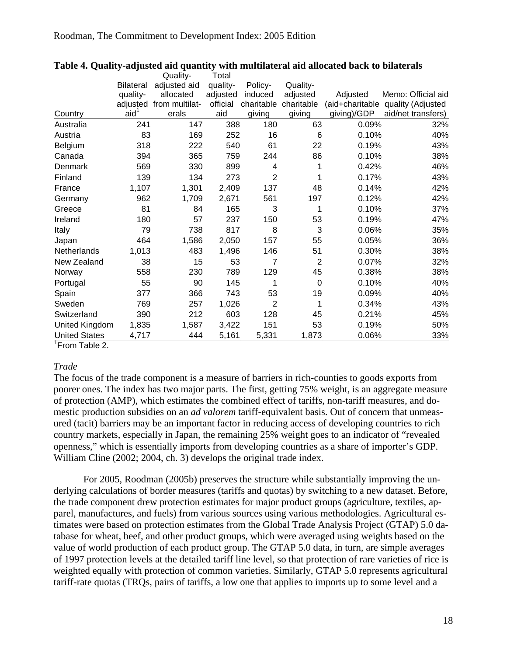|                      |                  | Quality-                | Total    |                |                |                 |                    |
|----------------------|------------------|-------------------------|----------|----------------|----------------|-----------------|--------------------|
|                      | <b>Bilateral</b> | adjusted aid            | quality- | Policy-        | Quality-       |                 |                    |
|                      | quality-         | allocated               | adjusted | induced        | adjusted       | Adjusted        | Memo: Official aid |
|                      |                  | adjusted from multilat- | official | charitable     | charitable     | (aid+charitable | quality (Adjusted  |
| Country              | aid <sup>1</sup> | erals                   | aid      | giving         | giving         | giving)/GDP     | aid/net transfers) |
| Australia            | 241              | 147                     | 388      | 180            | 63             | 0.09%           | 32%                |
| Austria              | 83               | 169                     | 252      | 16             | 6              | 0.10%           | 40%                |
| Belgium              | 318              | 222                     | 540      | 61             | 22             | 0.19%           | 43%                |
| Canada               | 394              | 365                     | 759      | 244            | 86             | 0.10%           | 38%                |
| Denmark              | 569              | 330                     | 899      | 4              | 1              | 0.42%           | 46%                |
| Finland              | 139              | 134                     | 273      | $\overline{2}$ | 1              | 0.17%           | 43%                |
| France               | 1,107            | 1,301                   | 2,409    | 137            | 48             | 0.14%           | 42%                |
| Germany              | 962              | 1,709                   | 2,671    | 561            | 197            | 0.12%           | 42%                |
| Greece               | 81               | 84                      | 165      | 3              | 1              | 0.10%           | 37%                |
| Ireland              | 180              | 57                      | 237      | 150            | 53             | 0.19%           | 47%                |
| Italy                | 79               | 738                     | 817      | 8              | 3              | 0.06%           | 35%                |
| Japan                | 464              | 1,586                   | 2,050    | 157            | 55             | 0.05%           | 36%                |
| Netherlands          | 1,013            | 483                     | 1,496    | 146            | 51             | 0.30%           | 38%                |
| New Zealand          | 38               | 15                      | 53       | 7              | $\overline{2}$ | 0.07%           | 32%                |
| Norway               | 558              | 230                     | 789      | 129            | 45             | 0.38%           | 38%                |
| Portugal             | 55               | 90                      | 145      | 1              | $\mathbf 0$    | 0.10%           | 40%                |
| Spain                | 377              | 366                     | 743      | 53             | 19             | 0.09%           | 40%                |
| Sweden               | 769              | 257                     | 1,026    | $\overline{2}$ | 1              | 0.34%           | 43%                |
| Switzerland          | 390              | 212                     | 603      | 128            | 45             | 0.21%           | 45%                |
| United Kingdom       | 1,835            | 1,587                   | 3,422    | 151            | 53             | 0.19%           | 50%                |
| <b>United States</b> | 4,717            | 444                     | 5,161    | 5,331          | 1,873          | 0.06%           | 33%                |

#### <span id="page-18-1"></span><span id="page-18-0"></span>**Table 4. Quality-adjusted aid quantity with multilateral aid allocated back to bilaterals**

<sup>1</sup> From Table 2.

### *Trade*

The focus of the trade component is a measure of barriers in rich-counties to goods exports from poorer ones. The index has two major parts. The first, getting 75% weight, is an aggregate measure of protection (AMP), which estimates the combined effect of tariffs, non-tariff measures, and domestic production subsidies on an *ad valorem* tariff-equivalent basis. Out of concern that unmeasured (tacit) barriers may be an important factor in reducing access of developing countries to rich country markets, especially in Japan, the remaining 25% weight goes to an indicator of "revealed openness," which is essentially imports from developing countries as a share of importer's GDP. William Cline (2002; 2004, ch. 3) develops the original trade index.

For 2005, Roodman (2005b) preserves the structure while substantially improving the underlying calculations of border measures (tariffs and quotas) by switching to a new dataset. Before, the trade component drew protection estimates for major product groups (agriculture, textiles, apparel, manufactures, and fuels) from various sources using various methodologies. Agricultural estimates were based on protection estimates from the Global Trade Analysis Project (GTAP) 5.0 database for wheat, beef, and other product groups, which were averaged using weights based on the value of world production of each product group. The GTAP 5.0 data, in turn, are simple averages of 1997 protection levels at the detailed tariff line level, so that protection of rare varieties of rice is weighted equally with protection of common varieties. Similarly, GTAP 5.0 represents agricultural tariff-rate quotas (TRQs, pairs of tariffs, a low one that applies to imports up to some level and a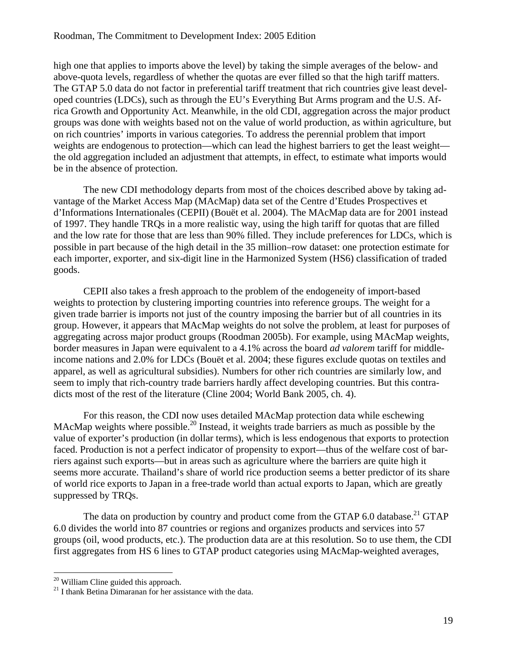high one that applies to imports above the level) by taking the simple averages of the below- and above-quota levels, regardless of whether the quotas are ever filled so that the high tariff matters. The GTAP 5.0 data do not factor in preferential tariff treatment that rich countries give least developed countries (LDCs), such as through the EU's Everything But Arms program and the U.S. Africa Growth and Opportunity Act. Meanwhile, in the old CDI, aggregation across the major product groups was done with weights based not on the value of world production, as within agriculture, but on rich countries' imports in various categories. To address the perennial problem that import weights are endogenous to protection—which can lead the highest barriers to get the least weight the old aggregation included an adjustment that attempts, in effect, to estimate what imports would be in the absence of protection.

The new CDI methodology departs from most of the choices described above by taking advantage of the Market Access Map (MAcMap) data set of the Centre d'Etudes Prospectives et d'Informations Internationales (CEPII) (Bouët et al. 2004). The MAcMap data are for 2001 instead of 1997. They handle TRQs in a more realistic way, using the high tariff for quotas that are filled and the low rate for those that are less than 90% filled. They include preferences for LDCs, which is possible in part because of the high detail in the 35 million–row dataset: one protection estimate for each importer, exporter, and six-digit line in the Harmonized System (HS6) classification of traded goods.

CEPII also takes a fresh approach to the problem of the endogeneity of import-based weights to protection by clustering importing countries into reference groups. The weight for a given trade barrier is imports not just of the country imposing the barrier but of all countries in its group. However, it appears that MAcMap weights do not solve the problem, at least for purposes of aggregating across major product groups (Roodman 2005b). For example, using MAcMap weights, border measures in Japan were equivalent to a 4.1% across the board *ad valorem* tariff for middleincome nations and 2.0% for LDCs (Bouët et al. 2004; these figures exclude quotas on textiles and apparel, as well as agricultural subsidies). Numbers for other rich countries are similarly low, and seem to imply that rich-country trade barriers hardly affect developing countries. But this contradicts most of the rest of the literature (Cline 2004; World Bank 2005, ch. 4).

For this reason, the CDI now uses detailed MAcMap protection data while eschewing MAcMap weights where possible.<sup>20</sup> Instead, it weights trade barriers as much as possible by the value of exporter's production (in dollar terms), which is less endogenous that exports to protection faced. Production is not a perfect indicator of propensity to export—thus of the welfare cost of barriers against such exports—but in areas such as agriculture where the barriers are quite high it seems more accurate. Thailand's share of world rice production seems a better predictor of its share of world rice exports to Japan in a free-trade world than actual exports to Japan, which are greatly suppressed by TRQs.

The data on production by country and product come from the GTAP 6.0 database.<sup>21</sup> GTAP 6.0 divides the world into 87 countries or regions and organizes products and services into 57 groups (oil, wood products, etc.). The production data are at this resolution. So to use them, the CDI first aggregates from HS 6 lines to GTAP product categories using MAcMap-weighted averages,

<span id="page-19-1"></span><span id="page-19-0"></span>

<sup>&</sup>lt;sup>20</sup> William Cline guided this approach.<br><sup>21</sup> I thank Betina Dimaranan for her assistance with the data.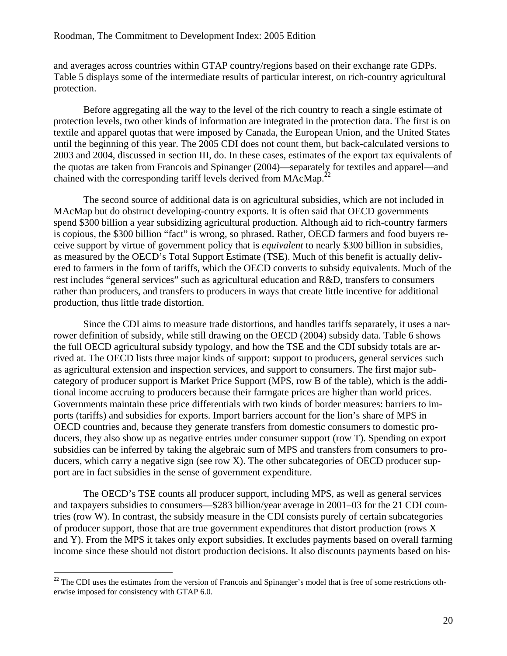and averages across countries within GTAP country/regions based on their exchange rate GDPs. [Table 5](#page-23-1) displays some of the intermediate results of particular interest, on rich-country agricultural protection.

Before aggregating all the way to the level of the rich country to reach a single estimate of protection levels, two other kinds of information are integrated in the protection data. The first is on textile and apparel quotas that were imposed by Canada, the European Union, and the United States until the beginning of this year. The 2005 CDI does not count them, but back-calculated versions to 2003 and 2004, discussed in section [III,](#page-55-1) do. In these cases, estimates of the export tax equivalents of the quotas are taken from Francois and Spinanger (2004)—separately for textiles and apparel—and chained with the corresponding tariff levels derived from MAcMap.<sup>[22](#page-20-0)</sup>

The second source of additional data is on agricultural subsidies, which are not included in MAcMap but do obstruct developing-country exports. It is often said that OECD governments spend \$300 billion a year subsidizing agricultural production. Although aid to rich-country farmers is copious, the \$300 billion "fact" is wrong, so phrased. Rather, OECD farmers and food buyers receive support by virtue of government policy that is *equivalent* to nearly \$300 billion in subsidies, as measured by the OECD's Total Support Estimate (TSE). Much of this benefit is actually delivered to farmers in the form of tariffs, which the OECD converts to subsidy equivalents. Much of the rest includes "general services" such as agricultural education and R&D, transfers to consumers rather than producers, and transfers to producers in ways that create little incentive for additional production, thus little trade distortion.

Since the CDI aims to measure trade distortions, and handles tariffs separately, it uses a narrower definition of subsidy, while still drawing on the OECD (2004) subsidy data. [Table 6](#page-24-1) shows the full OECD agricultural subsidy typology, and how the TSE and the CDI subsidy totals are arrived at. The OECD lists three major kinds of support: support to producers, general services such as agricultural extension and inspection services, and support to consumers. The first major subcategory of producer support is Market Price Support (MPS, row B of the table), which is the additional income accruing to producers because their farmgate prices are higher than world prices. Governments maintain these price differentials with two kinds of border measures: barriers to imports (tariffs) and subsidies for exports. Import barriers account for the lion's share of MPS in OECD countries and, because they generate transfers from domestic consumers to domestic producers, they also show up as negative entries under consumer support (row T). Spending on export subsidies can be inferred by taking the algebraic sum of MPS and transfers from consumers to producers, which carry a negative sign (see row X). The other subcategories of OECD producer support are in fact subsidies in the sense of government expenditure.

The OECD's TSE counts all producer support, including MPS, as well as general services and taxpayers subsidies to consumers—\$283 billion/year average in 2001–03 for the 21 CDI countries (row W). In contrast, the subsidy measure in the CDI consists purely of certain subcategories of producer support, those that are true government expenditures that distort production (rows X and Y). From the MPS it takes only export subsidies. It excludes payments based on overall farming income since these should not distort production decisions. It also discounts payments based on his-

<span id="page-20-0"></span> $22$  The CDI uses the estimates from the version of Francois and Spinanger's model that is free of some restrictions otherwise imposed for consistency with GTAP 6.0.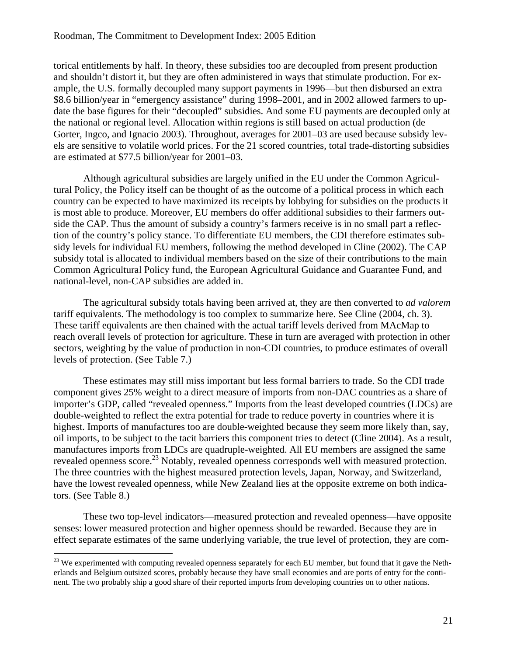torical entitlements by half. In theory, these subsidies too are decoupled from present production and shouldn't distort it, but they are often administered in ways that stimulate production. For example, the U.S. formally decoupled many support payments in 1996—but then disbursed an extra \$8.6 billion/year in "emergency assistance" during 1998–2001, and in 2002 allowed farmers to update the base figures for their "decoupled" subsidies. And some EU payments are decoupled only at the national or regional level. Allocation within regions is still based on actual production (de Gorter, Ingco, and Ignacio 2003). Throughout, averages for 2001–03 are used because subsidy levels are sensitive to volatile world prices. For the 21 scored countries, total trade-distorting subsidies are estimated at \$77.5 billion/year for 2001–03.

Although agricultural subsidies are largely unified in the EU under the Common Agricultural Policy, the Policy itself can be thought of as the outcome of a political process in which each country can be expected to have maximized its receipts by lobbying for subsidies on the products it is most able to produce. Moreover, EU members do offer additional subsidies to their farmers outside the CAP. Thus the amount of subsidy a country's farmers receive is in no small part a reflection of the country's policy stance. To differentiate EU members, the CDI therefore estimates subsidy levels for individual EU members, following the method developed in Cline (2002). The CAP subsidy total is allocated to individual members based on the size of their contributions to the main Common Agricultural Policy fund, the European Agricultural Guidance and Guarantee Fund, and national-level, non-CAP subsidies are added in.

The agricultural subsidy totals having been arrived at, they are then converted to *ad valorem* tariff equivalents. The methodology is too complex to summarize here. See Cline (2004, ch. 3). These tariff equivalents are then chained with the actual tariff levels derived from MAcMap to reach overall levels of protection for agriculture. These in turn are averaged with protection in other sectors, weighting by the value of production in non-CDI countries, to produce estimates of overall levels of protection. (See [Table 7.](#page-25-1))

These estimates may still miss important but less formal barriers to trade. So the CDI trade component gives 25% weight to a direct measure of imports from non-DAC countries as a share of importer's GDP, called "revealed openness." Imports from the least developed countries (LDCs) are double-weighted to reflect the extra potential for trade to reduce poverty in countries where it is highest. Imports of manufactures too are double-weighted because they seem more likely than, say, oil imports, to be subject to the tacit barriers this component tries to detect (Cline 2004). As a result, manufactures imports from LDCs are quadruple-weighted. All EU members are assigned the same revealed openness score.<sup>23</sup> Notably, revealed openness corresponds well with measured protection. The three countries with the highest measured protection levels, Japan, Norway, and Switzerland, have the lowest revealed openness, while New Zealand lies at the opposite extreme on both indicators. (See [Table 8.](#page-25-2))

These two top-level indicators—measured protection and revealed openness—have opposite senses: lower measured protection and higher openness should be rewarded. Because they are in effect separate estimates of the same underlying variable, the true level of protection, they are com-

<span id="page-21-0"></span> $^{23}$  We experimented with computing revealed openness separately for each EU member, but found that it gave the Netherlands and Belgium outsized scores, probably because they have small economies and are ports of entry for the continent. The two probably ship a good share of their reported imports from developing countries on to other nations.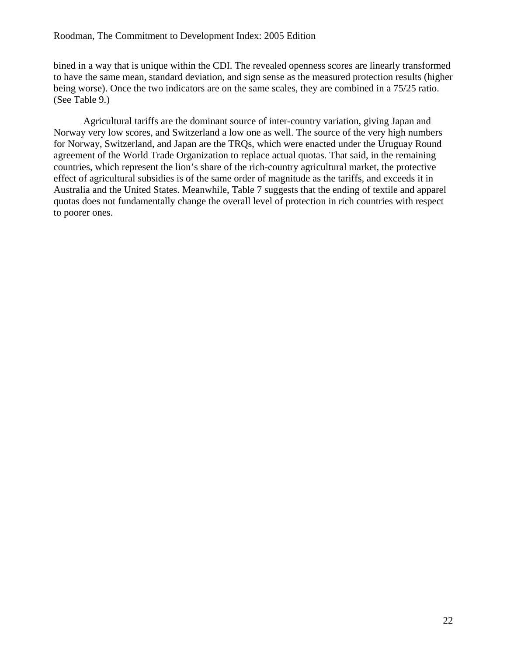bined in a way that is unique within the CDI. The revealed openness scores are linearly transformed to have the same mean, standard deviation, and sign sense as the measured protection results (higher being worse). Once the two indicators are on the same scales, they are combined in a 75/25 ratio. (See [Table 9.](#page-26-1))

Agricultural tariffs are the dominant source of inter-country variation, giving Japan and Norway very low scores, and Switzerland a low one as well. The source of the very high numbers for Norway, Switzerland, and Japan are the TRQs, which were enacted under the Uruguay Round agreement of the World Trade Organization to replace actual quotas. That said, in the remaining countries, which represent the lion's share of the rich-country agricultural market, the protective effect of agricultural subsidies is of the same order of magnitude as the tariffs, and exceeds it in Australia and the United States. Meanwhile, [Table 7](#page-25-1) suggests that the ending of textile and apparel quotas does not fundamentally change the overall level of protection in rich countries with respect to poorer ones.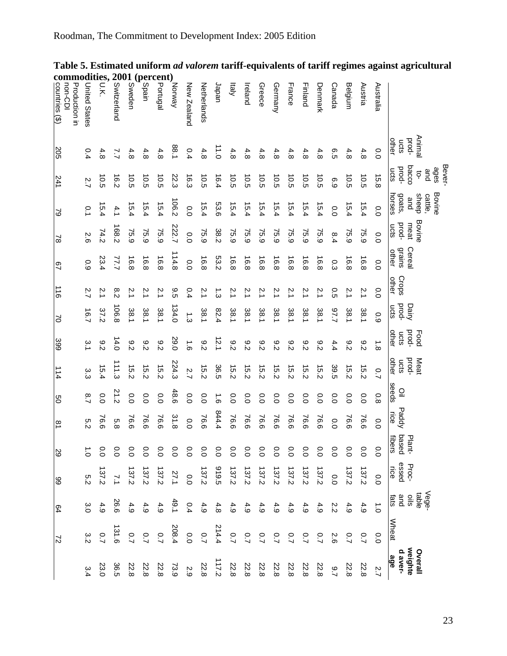|                                                                                                                                                                                                                                                                                      | Animal<br>poud- | Bever-<br>bacco<br>ages<br>and<br>ុ | Bovine<br>sheep<br>cattle,<br>and | Bovine<br>meat | Cereal                 |                | Dairy           | prod-<br>Food  | poop-<br>Meat  |                      |                | Plant-               | Proc-<br>essed   | Vege-<br>$rac{1}{s}$ |           |                |
|--------------------------------------------------------------------------------------------------------------------------------------------------------------------------------------------------------------------------------------------------------------------------------------|-----------------|-------------------------------------|-----------------------------------|----------------|------------------------|----------------|-----------------|----------------|----------------|----------------------|----------------|----------------------|------------------|----------------------|-----------|----------------|
|                                                                                                                                                                                                                                                                                      | other<br>ucts   | prod-<br>ucts                       | horses<br>goats,                  | prod-<br>ucts  | <b>grains</b><br>other | Crops<br>other | pod-<br>ucts    | other<br>ucts  | other<br>ucts  | seeds<br>$\subseteq$ | Paddy<br>ice   | base<br>fibers<br>ဝီ | rice             | and<br>tats          |           | Wheat          |
| Australia                                                                                                                                                                                                                                                                            | $\overline{0}$  | 15.8                                | 0.0                               | 0.0            | 0.0                    | 0.0            | 0.9             | $\frac{1}{8}$  | $\overline{C}$ | $\overline{8}$       | 0.0            | °0                   | 0.0              |                      | $\vec{C}$ | $\overline{O}$ |
| Austria                                                                                                                                                                                                                                                                              | 4.8             | 10.5                                | 15.4                              | 75.9           | 16.8                   | 2.1            | 38.1            | $\frac{8}{2}$  | 15.2           | $\overline{0}$       | 76.6           | $\overline{0}$       | 137.2            | 4.9                  |           | $\overline{C}$ |
| Belgium                                                                                                                                                                                                                                                                              | 4.8             | 10.5                                | 15.4                              | 75.9           | 16.8                   | $\tilde{c}$    | 18.1            | $\overline{c}$ | 15.2           | O.O                  | 76.6           | $\overline{O}$       | 137.2            | 4.9                  |           | $\overline{C}$ |
| Canada                                                                                                                                                                                                                                                                               | c.5             | 6.9                                 | 0.0                               | 8.4            | م.<br>م                | 0.5            | 7.79            | 4.4            | 39.5           | O.O                  | 0.0            | $\overline{O}$       | 0.0              | 2.2                  |           | 2.6            |
| Denmark                                                                                                                                                                                                                                                                              | 4.8             | 10.5                                | 15.4                              | 75.9           | 16.8                   | 2.1            | 38.1            | 9.2            | 15.2           | С.                   | 76.6           | $\overline{0}$       | 137.2            | 4.9                  |           | $\overline{2}$ |
| Finland                                                                                                                                                                                                                                                                              | 4.8             | 10.5                                | 15.4                              | 75.9           | 16.8                   | 2.1            | 38.1            | 9.2            | $\overline{5}$ | O.O                  | 76.6           | $\overline{0}$       | 137.2            | 4.9                  |           | $\overline{C}$ |
| France                                                                                                                                                                                                                                                                               | 4.8             | 10.5                                | 15.4                              | 75.9           | 16.8                   | 2.1            | 38.1            | $\frac{8}{5}$  | 15.2           | O.O                  | 76.6           | $\overline{0}$       | 27.2             | 4.9                  |           | $\overline{C}$ |
| Germany                                                                                                                                                                                                                                                                              | 4.8             | 10.5                                | 15.4                              | 75.9           | 16.8                   | 2.1            | 38.1            | 8.2            | 15.2           | $\overline{0}$       | 76.6           | 0.0                  | 137.2            | 4.9                  |           | $\overline{C}$ |
| Greece                                                                                                                                                                                                                                                                               | 4.8             | 10.5                                | 15.4                              | 75.9           | 16.8                   | 2.1            | 185.1           | 9.2            | 15.2           | O.O                  | 76.6           | 0.0                  | 137.2            | 4.9                  |           | $\overline{C}$ |
| reland                                                                                                                                                                                                                                                                               | 4.8             | 10.5                                | 15.4                              | 75.9           | 16.8                   | 2.1            | 38.1            | $\frac{8}{2}$  | 15.2           | $\overline{0}$       | 76.6           | $\frac{0}{0}$        | 137.2            | 4.9                  |           | $\overline{C}$ |
| kialy                                                                                                                                                                                                                                                                                | 4.8             | 10.5                                | 15.4                              | 75.9           | 16.8                   | $\frac{2}{3}$  | 38.1            | 8.2            | 15.2           | $\overline{O}$       | 76.6           | 0.0                  | 137.2            | 4.9                  |           | $\overline{C}$ |
| Japan                                                                                                                                                                                                                                                                                | I-i<br>O        | 16.4                                | 53.6                              | 38.2           | 53.2                   | بن<br>3        | 82.4            | 12.1           | 36.5           | $\vec{e}$            | 844.4          | 0.0                  | 319.5            | 4.8                  |           | 214.4          |
| Netherlands                                                                                                                                                                                                                                                                          | 4.8             | 10.5                                | 15.4                              | 75.9           | 16.8                   | 2.1            | 38.1            | 8.2            | 15.2           | $\overline{0}$       | 76.6           | $\frac{0}{0}$        | 137.2            | 4.9                  |           | $\overline{2}$ |
| New Zealand                                                                                                                                                                                                                                                                          | 0.4             | 16.3                                | 0.0                               | 0.0            | 0.0                    | 0.4            | $\ddot{\omega}$ | $\overline{9}$ | 2.7            | 0.0                  | 0.0            | 0.0                  | 0.0              | 0.4                  |           | 0.0            |
| Norway                                                                                                                                                                                                                                                                               | 1.88            | 22.3                                | 106.2                             | 222.7          | 114.8                  | 9.5            | 134.0           | 0.62           | 224.3          | 48.6                 | 31.8           | $\overline{O}$       | 27.1             | 49.1                 |           | 208.4          |
|                                                                                                                                                                                                                                                                                      | 4.8             | 10.5                                | 15.4                              | 75.9           | 16.8                   | 2.1            | 38.1            | $\frac{8}{5}$  | 15.2           | 0.0                  | 76.6           | 0.0                  | 137.2            | 4.9                  |           | $\overline{C}$ |
| (percent)<br>$\frac{6}{5}$<br>$\frac{6}{5}$<br>$\frac{1}{5}$<br>$\frac{6}{5}$<br>$\frac{1}{5}$<br>$\frac{1}{5}$                                                                                                                                                                      | 4.8             | 10.5                                | 15.4                              | 75.9           | 16.8                   | 2.1            | 38.1            | $\frac{8}{5}$  | 15.2           | 0.0                  | 76.6           | $\overline{O}$       | 137.2            | 4.9                  |           | $\overline{2}$ |
| Sweden                                                                                                                                                                                                                                                                               | 4.8             | 10.5                                | 15.4                              | 75.9           | 16.8                   | Z.             | 38.1            | $\frac{8}{2}$  | 15.2           | 0.0                  | 76.6           | $\overline{O}$       | 137.2            | 4.9                  |           | $\overline{2}$ |
| 1001<br>Samatan<br>Samatan<br>Divita<br>Divita<br>Divita<br>Divita<br>Divita<br>Divita<br>Divita<br>Divita<br>Divita<br>Divita<br>Divita<br>Divita<br>Divita<br>Divita<br>Divita<br>Divita<br>Divita<br>Divita<br>Divita<br>Divita<br>Divita<br>Divita<br>Divita<br>Divita<br>Divita | 7.7             | 16.2                                | 4.1                               | 168.2          | 77.7                   | 8.2            | 106.8           | 14.0           | 111.3          | 21.2                 | 5.8            | $\overline{O}$       | $\overline{7.1}$ | 26.6                 |           | 31.6           |
| odities,<br>υ.Κ                                                                                                                                                                                                                                                                      | 4.8             | 10.5                                | 5.4                               | 74.2           | 23.4                   | 2.1            | 37.2            | 9.2            | 15.4           | 0.0                  | 76.6           | $\overline{O}$       | 137.2            | 4.9                  |           | $\overline{C}$ |
| United States                                                                                                                                                                                                                                                                        | 0.4             | 2.7                                 | °.                                | 2.6            | 0.9                    | 2.7            | 16.7            | ς.             | دن<br>م        | $\frac{8}{1}$        | s:2            | $\vec{C}$            | 5.2              | 3.0                  |           | 3.2            |
| Production in<br>non-CDI                                                                                                                                                                                                                                                             |                 |                                     |                                   |                | 29                     |                | S               |                | 114            | ပ္ပ                  | $\overline{8}$ |                      |                  |                      |           |                |
| countries (\$)                                                                                                                                                                                                                                                                       | 205             | 241                                 | $\mathcal{S}$                     | $\approx$      |                        | 911            |                 | 399            |                |                      |                | 29                   | 88               | 64                   |           | $\overline{z}$ |

### <span id="page-23-1"></span><span id="page-23-0"></span>**Table 5. Estimated uniform** *ad valorem* **tariff-equivalents of tariff regimes against agricultural commodities, 2001 (percent)**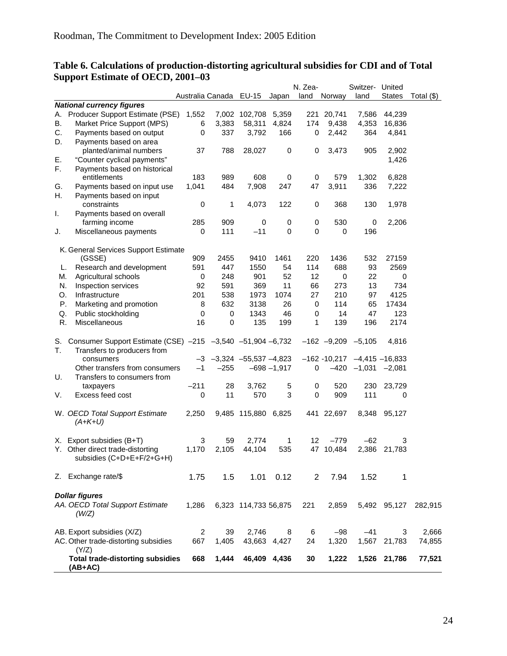|    |                                                            |                |                        |                             |                | N. Zea-      |                                | Switzer- United |               |              |
|----|------------------------------------------------------------|----------------|------------------------|-----------------------------|----------------|--------------|--------------------------------|-----------------|---------------|--------------|
|    |                                                            |                | Australia Canada EU-15 |                             | Japan          | land         | Norway                         | land            | <b>States</b> | Total $(\$)$ |
|    | <b>National currency figures</b>                           |                |                        |                             |                |              |                                |                 |               |              |
| А. | Producer Support Estimate (PSE)                            | 1,552          |                        | 7,002 102,708               | 5,359          | 221          | 20,741                         | 7,586           | 44,239        |              |
| В. | Market Price Support (MPS)                                 | 6              | 3,383                  | 58,311                      | 4,824          | 174          | 9,438                          | 4,353           | 16,836        |              |
| C. | Payments based on output                                   | 0              | 337                    | 3,792                       | 166            | 0            | 2,442                          | 364             | 4,841         |              |
| D. | Payments based on area                                     |                |                        |                             |                |              |                                |                 |               |              |
|    | planted/animal numbers                                     | 37             | 788                    | 28,027                      | 0              | 0            | 3,473                          | 905             | 2,902         |              |
| Е. | "Counter cyclical payments"                                |                |                        |                             |                |              |                                |                 | 1,426         |              |
| F. | Payments based on historical                               |                |                        |                             |                |              |                                |                 |               |              |
|    | entitlements                                               | 183            | 989                    | 608                         | 0              | 0            | 579                            | 1,302           | 6,828         |              |
| G. | Payments based on input use                                | 1,041          | 484                    | 7,908                       | 247            | 47           | 3,911                          | 336             | 7,222         |              |
| Η. | Payments based on input                                    |                |                        |                             |                |              |                                |                 |               |              |
|    | constraints                                                | 0              | 1                      | 4,073                       | 122            | 0            | 368                            | 130             | 1,978         |              |
| Τ. | Payments based on overall                                  |                |                        |                             |                |              |                                |                 |               |              |
|    | farming income                                             | 285            | 909                    | 0                           | 0              | 0            | 530                            | 0               | 2,206         |              |
| J. | Miscellaneous payments                                     | 0              | 111                    | $-11$                       | 0              | 0            | 0                              | 196             |               |              |
|    |                                                            |                |                        |                             |                |              |                                |                 |               |              |
|    | K. General Services Support Estimate                       |                |                        |                             |                |              |                                |                 |               |              |
|    | (GSSE)                                                     | 909            | 2455                   | 9410                        | 1461           | 220          | 1436                           | 532             | 27159         |              |
| L. | Research and development                                   | 591            | 447                    | 1550                        | 54             | 114          | 688                            | 93              | 2569          |              |
|    |                                                            |                |                        |                             | 52             | 12           |                                | 22              |               |              |
| M. | Agricultural schools                                       | 0              | 248                    | 901                         |                |              | 0                              |                 | 0             |              |
| N. | Inspection services                                        | 92             | 591                    | 369                         | 11             | 66           | 273                            | 13              | 734           |              |
| O. | Infrastructure                                             | 201            | 538                    | 1973                        | 1074           | 27           | 210                            | 97              | 4125          |              |
| Ρ. | Marketing and promotion                                    | 8              | 632                    | 3138                        | 26             | 0            | 114                            | 65              | 17434         |              |
| Q. | Public stockholding                                        | 0              | 0                      | 1343                        | 46             | 0            | 14                             | 47              | 123           |              |
| R. | Miscellaneous                                              | 16             | 0                      | 135                         | 199            | 1            | 139                            | 196             | 2174          |              |
|    |                                                            |                |                        |                             |                |              |                                |                 |               |              |
| S. | Consumer Support Estimate (CSE) -215 -3,540 -51,904 -6,732 |                |                        |                             |                |              | $-162$ $-9,209$ $-5,105$       |                 | 4,816         |              |
| Т. | Transfers to producers from                                |                |                        |                             |                |              |                                |                 |               |              |
|    | consumers                                                  | -3             |                        | $-3,324$ $-55,537$ $-4,823$ |                |              | $-162 - 10,217 -4,415 -16,833$ |                 |               |              |
|    | Other transfers from consumers                             | $-1$           | $-255$                 |                             | $-698 - 1,917$ | 0            | $-420$                         | $-1,031$        | $-2,081$      |              |
| U. | Transfers to consumers from                                |                |                        |                             |                |              |                                |                 |               |              |
|    | taxpayers                                                  | $-211$         | 28                     | 3,762                       | 5              | 0            | 520                            | 230             | 23,729        |              |
| V. | Excess feed cost                                           | 0              | 11                     | 570                         | 3              | $\mathbf 0$  | 909                            | 111             | 0             |              |
|    |                                                            |                |                        |                             |                |              |                                |                 |               |              |
|    | W. OECD Total Support Estimate                             | 2,250          |                        | 9,485 115,880 6,825         |                |              | 441 22,697                     | 8,348           | 95,127        |              |
|    | $(A+K+U)$                                                  |                |                        |                             |                |              |                                |                 |               |              |
|    |                                                            |                |                        |                             |                |              |                                |                 |               |              |
|    | X. Export subsidies (B+T)                                  | 3              | 59                     | 2,774                       | 1              | 12           | $-779$                         | $-62$           | 3             |              |
|    | Y. Other direct trade-distorting                           | 1,170          | 2,105                  | 44,104                      | 535            | 47           | 10,484                         | 2,386           | 21,783        |              |
|    | subsidies (C+D+E+F/2+G+H)                                  |                |                        |                             |                |              |                                |                 |               |              |
|    |                                                            |                |                        |                             |                |              |                                |                 |               |              |
|    | Z. Exchange rate/\$                                        | 1.75           | 1.5                    | 1.01                        | 0.12           | $\mathbf{2}$ | 7.94                           | 1.52            | 1             |              |
|    |                                                            |                |                        |                             |                |              |                                |                 |               |              |
|    | <b>Dollar figures</b>                                      |                |                        |                             |                |              |                                |                 |               |              |
|    | AA. OECD Total Support Estimate                            | 1,286          |                        | 6,323 114,733 56,875        |                | 221          | 2,859                          |                 | 5,492 95,127  | 282,915      |
|    | (W/Z)                                                      |                |                        |                             |                |              |                                |                 |               |              |
|    |                                                            |                |                        |                             |                |              |                                |                 |               |              |
|    | AB. Export subsidies (X/Z)                                 | $\overline{2}$ | 39                     | 2,746                       | 8              | 6            | $-98$                          | $-41$           | 3             | 2,666        |
|    | AC. Other trade-distorting subsidies                       | 667            | 1,405                  | 43,663 4,427                |                | 24           | 1,320                          |                 | 1,567 21,783  | 74,855       |
|    | (Y/Z)                                                      |                |                        |                             |                |              |                                |                 |               |              |
|    | <b>Total trade-distorting subsidies</b>                    | 668            | 1,444                  | 46,409 4,436                |                | 30           | 1,222                          |                 | 1,526 21,786  | 77,521       |
|    | (AB+AC)                                                    |                |                        |                             |                |              |                                |                 |               |              |

### <span id="page-24-1"></span><span id="page-24-0"></span>**Table 6. Calculations of production-distorting agricultural subsidies for CDI and of Total Support Estimate of OECD, 2001–03**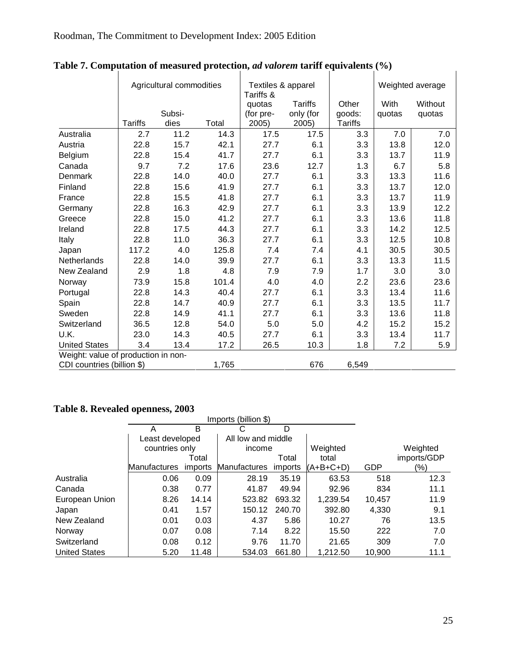|                                     |                | Agricultural commodities |       | Textiles & apparel<br>Tariffs & |                             |                 |                | Weighted average  |
|-------------------------------------|----------------|--------------------------|-------|---------------------------------|-----------------------------|-----------------|----------------|-------------------|
|                                     |                | Subsi-                   |       | quotas<br>(for pre-             | <b>Tariffs</b><br>only (for | Other<br>goods: | With<br>quotas | Without<br>quotas |
|                                     | <b>Tariffs</b> | dies                     | Total | 2005)                           | 2005)                       | <b>Tariffs</b>  |                |                   |
| Australia                           | 2.7            | 11.2                     | 14.3  | 17.5                            | 17.5                        | 3.3             | 7.0            | 7.0               |
| Austria                             | 22.8           | 15.7                     | 42.1  | 27.7                            | 6.1                         | 3.3             | 13.8           | 12.0              |
| Belgium                             | 22.8           | 15.4                     | 41.7  | 27.7                            | 6.1                         | 3.3             | 13.7           | 11.9              |
| Canada                              | 9.7            | 7.2                      | 17.6  | 23.6                            | 12.7                        | 1.3             | 6.7            | 5.8               |
| Denmark                             | 22.8           | 14.0                     | 40.0  | 27.7                            | 6.1                         | 3.3             | 13.3           | 11.6              |
| Finland                             | 22.8           | 15.6                     | 41.9  | 27.7                            | 6.1                         | 3.3             | 13.7           | 12.0              |
| France                              | 22.8           | 15.5                     | 41.8  | 27.7                            | 6.1                         | 3.3             | 13.7           | 11.9              |
| Germany                             | 22.8           | 16.3                     | 42.9  | 27.7                            | 6.1                         | 3.3             | 13.9           | 12.2              |
| Greece                              | 22.8           | 15.0                     | 41.2  | 27.7                            | 6.1                         | 3.3             | 13.6           | 11.8              |
| Ireland                             | 22.8           | 17.5                     | 44.3  | 27.7                            | 6.1                         | 3.3             | 14.2           | 12.5              |
| Italy                               | 22.8           | 11.0                     | 36.3  | 27.7                            | 6.1                         | 3.3             | 12.5           | 10.8              |
| Japan                               | 117.2          | 4.0                      | 125.8 | 7.4                             | 7.4                         | 4.1             | 30.5           | 30.5              |
| Netherlands                         | 22.8           | 14.0                     | 39.9  | 27.7                            | 6.1                         | 3.3             | 13.3           | 11.5              |
| New Zealand                         | 2.9            | 1.8                      | 4.8   | 7.9                             | 7.9                         | 1.7             | 3.0            | 3.0               |
| Norway                              | 73.9           | 15.8                     | 101.4 | 4.0                             | 4.0                         | 2.2             | 23.6           | 23.6              |
| Portugal                            | 22.8           | 14.3                     | 40.4  | 27.7                            | 6.1                         | 3.3             | 13.4           | 11.6              |
| Spain                               | 22.8           | 14.7                     | 40.9  | 27.7                            | 6.1                         | 3.3             | 13.5           | 11.7              |
| Sweden                              | 22.8           | 14.9                     | 41.1  | 27.7                            | 6.1                         | 3.3             | 13.6           | 11.8              |
| Switzerland                         | 36.5           | 12.8                     | 54.0  | 5.0                             | 5.0                         | 4.2             | 15.2           | 15.2              |
| U.K.                                | 23.0           | 14.3                     | 40.5  | 27.7                            | 6.1                         | 3.3             | 13.4           | 11.7              |
| <b>United States</b>                | 3.4            | 13.4                     | 17.2  | 26.5                            | 10.3                        | 1.8             | 7.2            | 5.9               |
| Weight: value of production in non- |                |                          |       |                                 |                             |                 |                |                   |
| CDI countries (billion \$)          |                |                          | 1,765 |                                 | 676                         | 6,549           |                |                   |

### <span id="page-25-1"></span><span id="page-25-0"></span>**Table 7. Computation of measured protection,** *ad valorem* **tariff equivalents (%)**

### <span id="page-25-2"></span>**Table 8. Revealed openness, 2003**

|                      |                 |         | Imports (billion \$) |         |           |        |             |
|----------------------|-----------------|---------|----------------------|---------|-----------|--------|-------------|
|                      | A               | B       | С                    | D       |           |        |             |
|                      | Least developed |         | All low and middle   |         |           |        |             |
|                      | countries only  |         | income               |         | Weighted  |        | Weighted    |
|                      |                 | Total   |                      | Total   | total     |        | imports/GDP |
|                      | Manufactures    | imports | Manufactures         | imports | (A+B+C+D) | GDP    | (%)         |
| Australia            | 0.06            | 0.09    | 28.19                | 35.19   | 63.53     | 518    | 12.3        |
| Canada               | 0.38            | 0.77    | 41.87                | 49.94   | 92.96     | 834    | 11.1        |
| European Union       | 8.26            | 14.14   | 523.82               | 693.32  | 1,239.54  | 10,457 | 11.9        |
| Japan                | 0.41            | 1.57    | 150.12               | 240.70  | 392.80    | 4,330  | 9.1         |
| New Zealand          | 0.01            | 0.03    | 4.37                 | 5.86    | 10.27     | 76     | 13.5        |
| Norway               | 0.07            | 0.08    | 7.14                 | 8.22    | 15.50     | 222    | 7.0         |
| Switzerland          | 0.08            | 0.12    | 9.76                 | 11.70   | 21.65     | 309    | 7.0         |
| <b>United States</b> | 5.20            | 11.48   | 534.03               | 661.80  | 1,212.50  | 10.900 | 11.1        |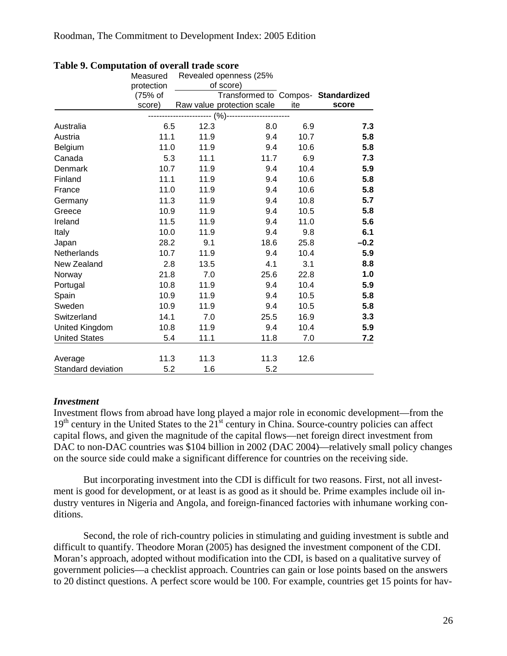|                      | Measured   |      | Revealed openness (25%              |      |        |
|----------------------|------------|------|-------------------------------------|------|--------|
|                      | protection |      | of score)                           |      |        |
|                      | (75% of    |      | Transformed to Compos- Standardized |      |        |
|                      | score)     |      | Raw value protection scale          | ite  | score  |
|                      |            |      | $(%)-$                              |      |        |
| Australia            | 6.5        | 12.3 | 8.0                                 | 6.9  | 7.3    |
| Austria              | 11.1       | 11.9 | 9.4                                 | 10.7 | 5.8    |
| Belgium              | 11.0       | 11.9 | 9.4                                 | 10.6 | 5.8    |
| Canada               | 5.3        | 11.1 | 11.7                                | 6.9  | 7.3    |
| Denmark              | 10.7       | 11.9 | 9.4                                 | 10.4 | 5.9    |
| Finland              | 11.1       | 11.9 | 9.4                                 | 10.6 | 5.8    |
| France               | 11.0       | 11.9 | 9.4                                 | 10.6 | 5.8    |
| Germany              | 11.3       | 11.9 | 9.4                                 | 10.8 | 5.7    |
| Greece               | 10.9       | 11.9 | 9.4                                 | 10.5 | 5.8    |
| Ireland              | 11.5       | 11.9 | 9.4                                 | 11.0 | 5.6    |
| Italy                | 10.0       | 11.9 | 9.4                                 | 9.8  | 6.1    |
| Japan                | 28.2       | 9.1  | 18.6                                | 25.8 | $-0.2$ |
| Netherlands          | 10.7       | 11.9 | 9.4                                 | 10.4 | 5.9    |
| New Zealand          | 2.8        | 13.5 | 4.1                                 | 3.1  | 8.8    |
| Norway               | 21.8       | 7.0  | 25.6                                | 22.8 | 1.0    |
| Portugal             | 10.8       | 11.9 | 9.4                                 | 10.4 | 5.9    |
| Spain                | 10.9       | 11.9 | 9.4                                 | 10.5 | 5.8    |
| Sweden               | 10.9       | 11.9 | 9.4                                 | 10.5 | 5.8    |
| Switzerland          | 14.1       | 7.0  | 25.5                                | 16.9 | 3.3    |
| United Kingdom       | 10.8       | 11.9 | 9.4                                 | 10.4 | 5.9    |
| <b>United States</b> | 5.4        | 11.1 | 11.8                                | 7.0  | 7.2    |
|                      |            |      |                                     |      |        |
| Average              | 11.3       | 11.3 | 11.3                                | 12.6 |        |
| Standard deviation   | 5.2        | 1.6  | 5.2                                 |      |        |

### <span id="page-26-1"></span><span id="page-26-0"></span>**Table 9. Computation of overall trade score**

### *Investment*

Investment flows from abroad have long played a major role in economic development—from the 19<sup>th</sup> century in the United States to the 21<sup>st</sup> century in China. Source-country policies can affect capital flows, and given the magnitude of the capital flows—net foreign direct investment from DAC to non-DAC countries was \$104 billion in 2002 (DAC 2004)—relatively small policy changes on the source side could make a significant difference for countries on the receiving side.

But incorporating investment into the CDI is difficult for two reasons. First, not all investment is good for development, or at least is as good as it should be. Prime examples include oil industry ventures in Nigeria and Angola, and foreign-financed factories with inhumane working conditions.

Second, the role of rich-country policies in stimulating and guiding investment is subtle and difficult to quantify. Theodore Moran (2005) has designed the investment component of the CDI. Moran's approach, adopted without modification into the CDI, is based on a qualitative survey of government policies—a checklist approach. Countries can gain or lose points based on the answers to 20 distinct questions. A perfect score would be 100. For example, countries get 15 points for hav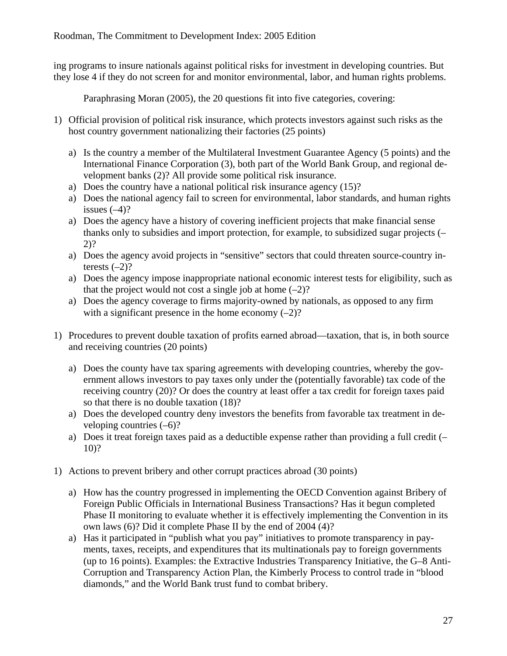ing programs to insure nationals against political risks for investment in developing countries. But they lose 4 if they do not screen for and monitor environmental, labor, and human rights problems.

Paraphrasing Moran (2005), the 20 questions fit into five categories, covering:

- 1) Official provision of political risk insurance, which protects investors against such risks as the host country government nationalizing their factories (25 points)
	- a) Is the country a member of the Multilateral Investment Guarantee Agency (5 points) and the International Finance Corporation (3), both part of the World Bank Group, and regional development banks (2)? All provide some political risk insurance.
	- a) Does the country have a national political risk insurance agency (15)?
	- a) Does the national agency fail to screen for environmental, labor standards, and human rights issues  $(-4)$ ?
	- a) Does the agency have a history of covering inefficient projects that make financial sense thanks only to subsidies and import protection, for example, to subsidized sugar projects (– 2)?
	- a) Does the agency avoid projects in "sensitive" sectors that could threaten source-country interests  $(-2)$ ?
	- a) Does the agency impose inappropriate national economic interest tests for eligibility, such as that the project would not cost a single job at home  $(-2)$ ?
	- a) Does the agency coverage to firms majority-owned by nationals, as opposed to any firm with a significant presence in the home economy  $(-2)$ ?
- 1) Procedures to prevent double taxation of profits earned abroad—taxation, that is, in both source and receiving countries (20 points)
	- a) Does the county have tax sparing agreements with developing countries, whereby the government allows investors to pay taxes only under the (potentially favorable) tax code of the receiving country (20)? Or does the country at least offer a tax credit for foreign taxes paid so that there is no double taxation (18)?
	- a) Does the developed country deny investors the benefits from favorable tax treatment in developing countries  $(-6)$ ?
	- a) Does it treat foreign taxes paid as a deductible expense rather than providing a full credit (– 10)?
- 1) Actions to prevent bribery and other corrupt practices abroad (30 points)
	- a) How has the country progressed in implementing the OECD Convention against Bribery of Foreign Public Officials in International Business Transactions? Has it begun completed Phase II monitoring to evaluate whether it is effectively implementing the Convention in its own laws (6)? Did it complete Phase II by the end of 2004 (4)?
	- a) Has it participated in "publish what you pay" initiatives to promote transparency in payments, taxes, receipts, and expenditures that its multinationals pay to foreign governments (up to 16 points). Examples: the Extractive Industries Transparency Initiative, the G–8 Anti-Corruption and Transparency Action Plan, the Kimberly Process to control trade in "blood diamonds," and the World Bank trust fund to combat bribery.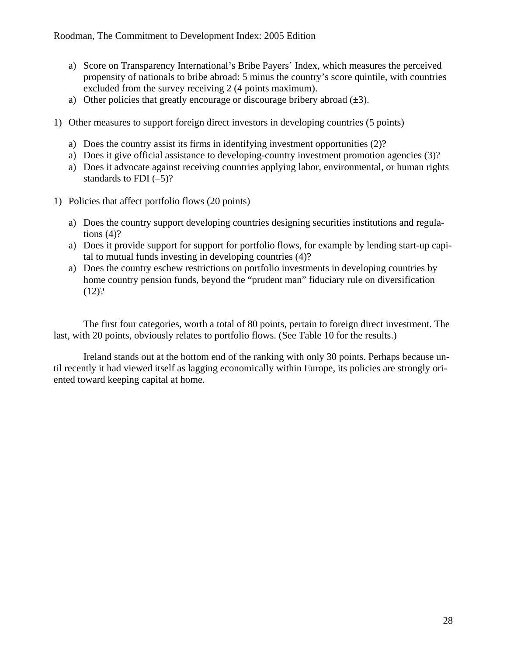- a) Score on Transparency International's Bribe Payers' Index, which measures the perceived propensity of nationals to bribe abroad: 5 minus the country's score quintile, with countries excluded from the survey receiving 2 (4 points maximum).
- a) Other policies that greatly encourage or discourage bribery abroad  $(\pm 3)$ .
- 1) Other measures to support foreign direct investors in developing countries (5 points)
	- a) Does the country assist its firms in identifying investment opportunities (2)?
	- a) Does it give official assistance to developing-country investment promotion agencies (3)?
	- a) Does it advocate against receiving countries applying labor, environmental, or human rights standards to FDI  $(-5)$ ?
- 1) Policies that affect portfolio flows (20 points)
	- a) Does the country support developing countries designing securities institutions and regulations  $(4)$ ?
	- a) Does it provide support for support for portfolio flows, for example by lending start-up capital to mutual funds investing in developing countries (4)?
	- a) Does the country eschew restrictions on portfolio investments in developing countries by home country pension funds, beyond the "prudent man" fiduciary rule on diversification  $(12)?$

The first four categories, worth a total of 80 points, pertain to foreign direct investment. The last, with 20 points, obviously relates to portfolio flows. (See [Table 10](#page-29-1) for the results.)

Ireland stands out at the bottom end of the ranking with only 30 points. Perhaps because until recently it had viewed itself as lagging economically within Europe, its policies are strongly oriented toward keeping capital at home.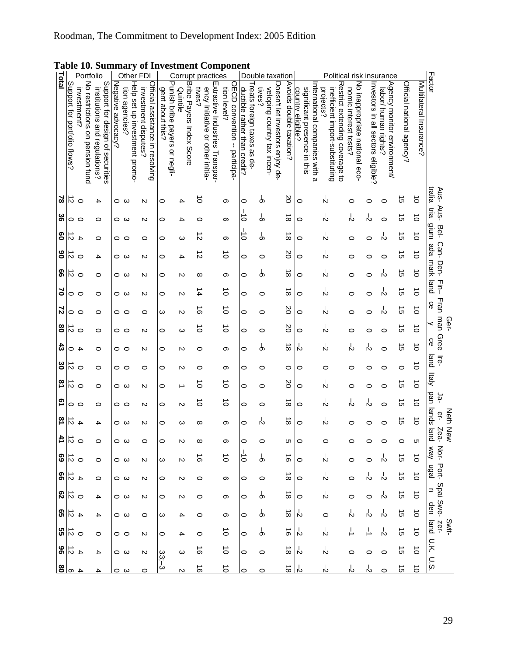| Total                        |                 | Portfolio                                         |                                                                   |                    |                 |                               | Other FDI                                                |                                                   |          |                           | Corrupt practices                                                            |             |                               | Double taxation                                            |         |                             |                                 |                         |                                                                                               |                                              |                                               | Political risk insurance                                |                                    |                                                     |                           |                         | Factor                       |
|------------------------------|-----------------|---------------------------------------------------|-------------------------------------------------------------------|--------------------|-----------------|-------------------------------|----------------------------------------------------------|---------------------------------------------------|----------|---------------------------|------------------------------------------------------------------------------|-------------|-------------------------------|------------------------------------------------------------|---------|-----------------------------|---------------------------------|-------------------------|-----------------------------------------------------------------------------------------------|----------------------------------------------|-----------------------------------------------|---------------------------------------------------------|------------------------------------|-----------------------------------------------------|---------------------------|-------------------------|------------------------------|
| Support for portfolio flows? |                 | No restrictions<br>investment?<br>on pension fund | Support for design of securities<br>institutions and regulations? | Negative advocacy? | tion agencies?  | Help set up investment promo- | Official assistance in resolving<br>investment disputes? | Punish bribe payers or negli-<br>gent about this? | Quintile | Bribe Payers Index Scoore | Extractive Industries Transpar-<br>ency Initiative or other initia-<br>tives | tion level? | OECD convention -- Participa- | reats foreign taxes as de-<br>ductible rather than credit? | tives   | veloping country tax incen- | Doesn't let investors enjoy de- | Avoids double taxation? | International companies with<br>significant presence in this<br>country eligible?<br>$\omega$ | projects?<br>inefficient import-substituting | Restrict extending coverage<br>$\overline{5}$ | No inappropriate national eco-<br>nomic interest tests? | Investors in all sectors eligible? | Agency monitor environment/<br>labor/ human rights? | Official national agency? | Multilateral Insurance? |                              |
| $\approx$                    | $\vec{v}$       | $\circ$                                           | 4                                                                 | 0                  | ω               |                               | N                                                        | 0                                                 | 4        |                           | $\circ$                                                                      | თ           |                               | 0                                                          | တ်      |                             |                                 | SO                      | 0                                                                                             | Ň                                            |                                               | 0                                                       | c                                  | 0                                                   | cл                        | $\vec{o}$               | tralia<br>Aus-               |
| ွ့                           | 0               | $\circ$                                           | 0                                                                 | 0                  | $\omega$        |                               | N                                                        | 0                                                 | 4        |                           | 0                                                                            | တ           |                               | ਠੋ                                                         | Ⴛ       |                             |                                 | ${}^{\circ}$            | 0                                                                                             | Y,                                           |                                               | Y                                                       | Ň                                  | O                                                   | ੌ                         | $\vec{0}$               | Aus-<br>Eia                  |
| 80                           | $\vec{v}$       | $\overline{+}$                                    | $\circ$                                                           | 0                  | $\circ$         |                               | 0                                                        | 0                                                 | ω        |                           | N                                                                            | თ           |                               | $\circ$                                                    | ႕       |                             |                                 | $\infty$                | 0                                                                                             | Ň                                            |                                               | 0                                                       | 0                                  | N                                                   | ∸<br>Cη                   | $\vec{o}$               | gium<br>Bel-                 |
| ိ                            | $\vec{v}$       | $\circ$                                           | 4                                                                 |                    | ဝ ယ             |                               | N                                                        | 0                                                 | 4        |                           | ನ                                                                            | ਠੇ          |                               | 0                                                          | 0       |                             |                                 | S0                      | 0                                                                                             | k,                                           |                                               | 0                                                       | c                                  | O                                                   | $\vec{\sigma}$            | $\vec{0}$               | Can-<br>epe                  |
| 99                           | $\vec{v}$       | $\circ$                                           | 0                                                                 | 0                  | دى              |                               | N                                                        | 0                                                 | N        |                           | ∞                                                                            | თ           |                               | 0                                                          | Ò       |                             |                                 | ∸<br>$\infty$           | 0                                                                                             | Ň                                            |                                               | 0                                                       | 0                                  | Ň                                                   | $\vec{q}$                 | $\vec{o}$               | mark<br><b>Den-</b>          |
| 5                            | $\circ$ $\circ$ |                                                   | 0                                                                 |                    | ဝ ယ             |                               | N                                                        | 0                                                 | N        |                           | 14                                                                           | ਠੋ          |                               | 0                                                          | 0       |                             |                                 | $\overline{\infty}$     | 0                                                                                             | r?                                           |                                               | 0                                                       | 0                                  | Ň                                                   | ੌ                         | $\vec{o}$               | 콜<br>land                    |
| 2                            | 0               | $\circ$                                           | $\circ$                                                           | 0                  | $\circ$         |                               | $\circ$                                                  | ω                                                 | N        |                           | თ                                                                            | $\vec{0}$   |                               | 0                                                          | 0       |                             |                                 | 20                      | 0                                                                                             | Ń                                            |                                               | 0                                                       | 0                                  | Ň                                                   | ີ ຕ                       | $\vec{o}$               | Fran<br>င္ပ                  |
| 8                            | $\vec{v}$       | $\circ$                                           | 0                                                                 | 0                  | $\circ$         |                               | N                                                        | 0                                                 | ω        |                           | ਠੋ                                                                           | ਠੋ          |                               | 0                                                          | 0       |                             |                                 | SO                      | 0                                                                                             | Y                                            |                                               | 0                                                       | c                                  | 0                                                   | ঈ                         | $\vec{0}$               | uew<br>Ger-<br>≺             |
| $\boldsymbol{3}$             | 0               | 4                                                 | 0                                                                 | 0                  | $\circ$         |                               | N                                                        | 0                                                 | N        |                           | 0                                                                            | თ           |                               | 0                                                          | රා      |                             |                                 | ∸<br>$\infty$           | Ņ                                                                                             | Ń                                            |                                               | r,                                                      | Ň                                  | O                                                   | $\vec{a}$                 | $\vec{o}$               | Gree<br>ce                   |
| ఠ                            | ನ               | $\circ$                                           | 0                                                                 | 0                  | $\circ$         |                               | 0                                                        | 0                                                 | N        |                           | 0                                                                            | თ           |                               | 0                                                          | 0       |                             |                                 | 0                       | 0                                                                                             | 0                                            |                                               | 0                                                       | c                                  | 0                                                   | 0                         | $\vec{0}$               | land<br>이                    |
| $\overline{\mathbf{z}}$      | $\vec{v}$       | $\circ$                                           | 0                                                                 |                    | ဝ ယ             |                               | N                                                        | 0                                                 |          |                           | Ó                                                                            | $\vec{0}$   |                               | 0                                                          | 0       |                             |                                 | SO                      | 0                                                                                             | Ň                                            |                                               | 0                                                       | c                                  | 0                                                   | $\vec{a}$                 | $\vec{0}$               | $\frac{1}{2}$                |
| 2                            | 0               | $\circ$                                           | 0                                                                 | 0                  | $\circ$         |                               | N                                                        | 0                                                 | N        |                           | ∸<br>$\circ$                                                                 | $\vec{o}$   |                               | 0                                                          | 0       |                             |                                 | $\infty$                | 0                                                                                             | Ņ                                            |                                               | r?                                                      | Ň                                  | 0                                                   | $\vec{\sigma}$            | $\vec{o}$               | pan<br>-و                    |
| $\overline{3}$               | $\vec{v}$       | 4                                                 | 4                                                                 | $\circ$            | ω               |                               | N                                                        | 0                                                 | ω        |                           | ∞                                                                            | တ           |                               | 0                                                          | Y       |                             |                                 | ∸<br>$\infty$           | $\circ$                                                                                       | Ň                                            |                                               | 0                                                       | 0                                  | 0                                                   | $\vec{q}$                 | $\vec{0}$               | lands<br>Neth<br>우           |
| 41<br>$\overline{5}$         |                 | $\circ$                                           | 0                                                                 | 0                  | ω               |                               | 0                                                        | 0                                                 | N        |                           | ∞                                                                            | თ           |                               | 0                                                          | 0       |                             |                                 | Оı                      | $\circ$                                                                                       | 0                                            |                                               | 0                                                       | 0                                  | 0                                                   | $\circ$                   | Cл                      | <b>New</b><br>land<br>Zea-   |
| $\frac{1}{60}$               |                 |                                                   | 0                                                                 |                    | ဝ ယ             |                               | N                                                        | ω                                                 | N        |                           | ಹ                                                                            | $\vec{o}$   |                               | ਰੋ                                                         | မှ      |                             |                                 | $\vec{0}$               | 0                                                                                             | Ŗ                                            |                                               | 0                                                       | 0                                  | ぃ                                                   | ज                         | $\vec{0}$               | <b>Kem</b><br>Nor-           |
| $rac{4}{66}$                 |                 |                                                   | $\circ$                                                           |                    | ဝ ယ             |                               | N                                                        | $\circ$                                           | N        |                           | 0                                                                            | တ           |                               | 0                                                          | $\circ$ |                             |                                 | $\vec{8}$               | $\circ$                                                                                       | Ϋ́                                           |                                               | 0                                                       | ß                                  | P                                                   | $\vec{c}$                 | $\vec{o}$               | Port-<br>ligal               |
| 62                           | $\vec{D}$ o     |                                                   | 4                                                                 |                    | ဝ ယ             |                               | N                                                        | $\circ$                                           | N        |                           | 0                                                                            | တ           |                               | 0                                                          | စ       |                             |                                 | $\vec{a}$               | 0                                                                                             | Ŗ                                            |                                               | 0                                                       | $\circ$                            | ņ                                                   | $\vec{\sigma}$            | $\vec{o}$               | Spai<br>$\Rightarrow$        |
| ဌာ                           | $\vec{5}$       | $\overline{4}$                                    | 4                                                                 |                    | ဝ ယ             |                               | $\circ$                                                  | ω                                                 | 4        |                           | 0                                                                            | თ           |                               | 0                                                          | ႕       |                             |                                 | $\vec{8}$               | ৸                                                                                             | $\circ$                                      |                                               | Y                                                       | Y                                  | ņ                                                   | 5Ì                        | $\vec{0}$               | Swe-<br>den                  |
| $\frac{12}{25}$              |                 |                                                   | $\circ$                                                           |                    | $\circ$ $\circ$ |                               | N                                                        | $\circ$                                           | 4        |                           | 0                                                                            | $\vec{o}$   |                               | 0                                                          | ႕       |                             |                                 | $\vec{0}$               | r,                                                                                            | Ŗ                                            |                                               |                                                         |                                    | Y                                                   | $\vec{\Omega}$            | $\vec{o}$               | <b>Swit-</b><br>zer-<br>land |
| $rac{4}{28}$                 |                 |                                                   | 4                                                                 |                    | ဝ ယ             |                               | N                                                        | $33,-3$                                           | ω        |                           | ಕ                                                                            | $\vec{o}$   |                               | $\circ$                                                    | $\circ$ |                             |                                 | $\vec{\circ}$           | ৸                                                                                             | Ŗ                                            |                                               | 0                                                       | 0                                  | $\circ$                                             | $\vec{\sigma}$            | $\vec{o}$               | U.K.                         |
| $\frac{8}{2}$ പ              |                 |                                                   |                                                                   |                    | င္ ယ            |                               | 0                                                        |                                                   | N        |                           | $\vec{5}$                                                                    | $\vec{0}$   |                               |                                                            |         |                             |                                 | $\vec{\infty}$          | <u>ა</u>                                                                                      |                                              |                                               |                                                         |                                    |                                                     | $\vec{5}$                 | $\vec{0}$               | 0.5                          |

### <span id="page-29-1"></span><span id="page-29-0"></span>**Table 10. Summary of Investment Component**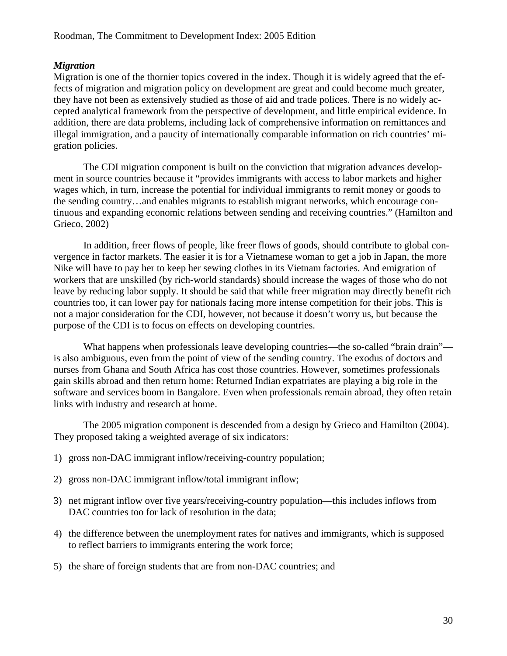### <span id="page-30-0"></span>*Migration*

Migration is one of the thornier topics covered in the index. Though it is widely agreed that the effects of migration and migration policy on development are great and could become much greater, they have not been as extensively studied as those of aid and trade polices. There is no widely accepted analytical framework from the perspective of development, and little empirical evidence. In addition, there are data problems, including lack of comprehensive information on remittances and illegal immigration, and a paucity of internationally comparable information on rich countries' migration policies.

The CDI migration component is built on the conviction that migration advances development in source countries because it "provides immigrants with access to labor markets and higher wages which, in turn, increase the potential for individual immigrants to remit money or goods to the sending country…and enables migrants to establish migrant networks, which encourage continuous and expanding economic relations between sending and receiving countries." (Hamilton and Grieco, 2002)

In addition, freer flows of people, like freer flows of goods, should contribute to global convergence in factor markets. The easier it is for a Vietnamese woman to get a job in Japan, the more Nike will have to pay her to keep her sewing clothes in its Vietnam factories. And emigration of workers that are unskilled (by rich-world standards) should increase the wages of those who do not leave by reducing labor supply. It should be said that while freer migration may directly benefit rich countries too, it can lower pay for nationals facing more intense competition for their jobs. This is not a major consideration for the CDI, however, not because it doesn't worry us, but because the purpose of the CDI is to focus on effects on developing countries.

What happens when professionals leave developing countries—the so-called "brain drain" is also ambiguous, even from the point of view of the sending country. The exodus of doctors and nurses from Ghana and South Africa has cost those countries. However, sometimes professionals gain skills abroad and then return home: Returned Indian expatriates are playing a big role in the software and services boom in Bangalore. Even when professionals remain abroad, they often retain links with industry and research at home.

The 2005 migration component is descended from a design by Grieco and Hamilton (2004). They proposed taking a weighted average of six indicators:

- 1) gross non-DAC immigrant inflow/receiving-country population;
- 2) gross non-DAC immigrant inflow/total immigrant inflow;
- 3) net migrant inflow over five years/receiving-country population—this includes inflows from DAC countries too for lack of resolution in the data:
- 4) the difference between the unemployment rates for natives and immigrants, which is supposed to reflect barriers to immigrants entering the work force;
- 5) the share of foreign students that are from non-DAC countries; and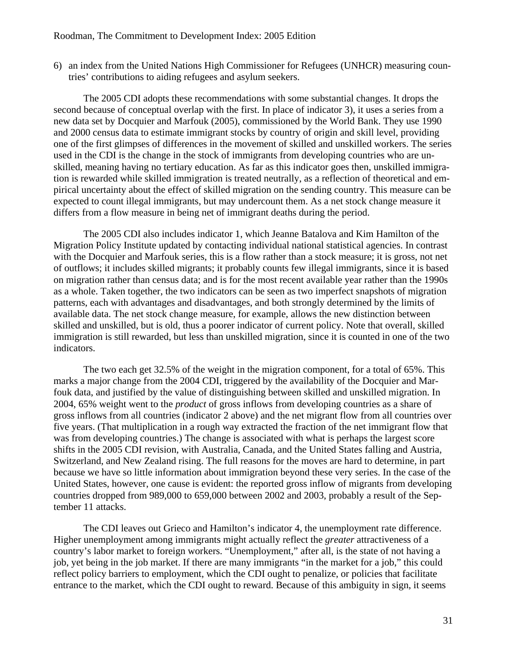6) an index from the United Nations High Commissioner for Refugees (UNHCR) measuring countries' contributions to aiding refugees and asylum seekers.

The 2005 CDI adopts these recommendations with some substantial changes. It drops the second because of conceptual overlap with the first. In place of indicator 3), it uses a series from a new data set by Docquier and Marfouk (2005), commissioned by the World Bank. They use 1990 and 2000 census data to estimate immigrant stocks by country of origin and skill level, providing one of the first glimpses of differences in the movement of skilled and unskilled workers. The series used in the CDI is the change in the stock of immigrants from developing countries who are unskilled, meaning having no tertiary education. As far as this indicator goes then, unskilled immigration is rewarded while skilled immigration is treated neutrally, as a reflection of theoretical and empirical uncertainty about the effect of skilled migration on the sending country. This measure can be expected to count illegal immigrants, but may undercount them. As a net stock change measure it differs from a flow measure in being net of immigrant deaths during the period.

The 2005 CDI also includes indicator 1, which Jeanne Batalova and Kim Hamilton of the Migration Policy Institute updated by contacting individual national statistical agencies. In contrast with the Docquier and Marfouk series, this is a flow rather than a stock measure; it is gross, not net of outflows; it includes skilled migrants; it probably counts few illegal immigrants, since it is based on migration rather than census data; and is for the most recent available year rather than the 1990s as a whole. Taken together, the two indicators can be seen as two imperfect snapshots of migration patterns, each with advantages and disadvantages, and both strongly determined by the limits of available data. The net stock change measure, for example, allows the new distinction between skilled and unskilled, but is old, thus a poorer indicator of current policy. Note that overall, skilled immigration is still rewarded, but less than unskilled migration, since it is counted in one of the two indicators.

The two each get 32.5% of the weight in the migration component, for a total of 65%. This marks a major change from the 2004 CDI, triggered by the availability of the Docquier and Marfouk data, and justified by the value of distinguishing between skilled and unskilled migration. In 2004, 65% weight went to the *product* of gross inflows from developing countries as a share of gross inflows from all countries (indicator 2 above) and the net migrant flow from all countries over five years. (That multiplication in a rough way extracted the fraction of the net immigrant flow that was from developing countries.) The change is associated with what is perhaps the largest score shifts in the 2005 CDI revision, with Australia, Canada, and the United States falling and Austria, Switzerland, and New Zealand rising. The full reasons for the moves are hard to determine, in part because we have so little information about immigration beyond these very series. In the case of the United States, however, one cause is evident: the reported gross inflow of migrants from developing countries dropped from 989,000 to 659,000 between 2002 and 2003, probably a result of the September 11 attacks.

The CDI leaves out Grieco and Hamilton's indicator 4, the unemployment rate difference. Higher unemployment among immigrants might actually reflect the *greater* attractiveness of a country's labor market to foreign workers. "Unemployment," after all, is the state of not having a job, yet being in the job market. If there are many immigrants "in the market for a job," this could reflect policy barriers to employment, which the CDI ought to penalize, or policies that facilitate entrance to the market, which the CDI ought to reward. Because of this ambiguity in sign, it seems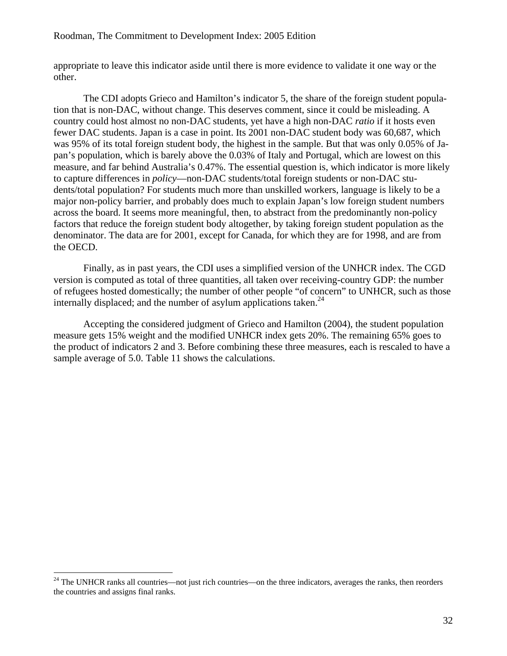appropriate to leave this indicator aside until there is more evidence to validate it one way or the other.

The CDI adopts Grieco and Hamilton's indicator 5, the share of the foreign student population that is non-DAC, without change. This deserves comment, since it could be misleading. A country could host almost no non-DAC students, yet have a high non-DAC *ratio* if it hosts even fewer DAC students. Japan is a case in point. Its 2001 non-DAC student body was 60,687, which was 95% of its total foreign student body, the highest in the sample. But that was only 0.05% of Japan's population, which is barely above the 0.03% of Italy and Portugal, which are lowest on this measure, and far behind Australia's 0.47%. The essential question is, which indicator is more likely to capture differences in *policy*—non-DAC students/total foreign students or non-DAC students/total population? For students much more than unskilled workers, language is likely to be a major non-policy barrier, and probably does much to explain Japan's low foreign student numbers across the board. It seems more meaningful, then, to abstract from the predominantly non-policy factors that reduce the foreign student body altogether, by taking foreign student population as the denominator. The data are for 2001, except for Canada, for which they are for 1998, and are from the OECD.

Finally, as in past years, the CDI uses a simplified version of the UNHCR index. The CGD version is computed as total of three quantities, all taken over receiving-country GDP: the number of refugees hosted domestically; the number of other people "of concern" to UNHCR, such as those internally displaced; and the number of asylum applications taken.<sup>24</sup>

Accepting the considered judgment of Grieco and Hamilton (2004), the student population measure gets 15% weight and the modified UNHCR index gets 20%. The remaining 65% goes to the product of indicators 2 and 3. Before combining these three measures, each is rescaled to have a sample average of 5.0. [Table 11](#page-33-1) shows the calculations.

<span id="page-32-0"></span><sup>&</sup>lt;sup>24</sup> The UNHCR ranks all countries—not just rich countries—on the three indicators, averages the ranks, then reorders the countries and assigns final ranks.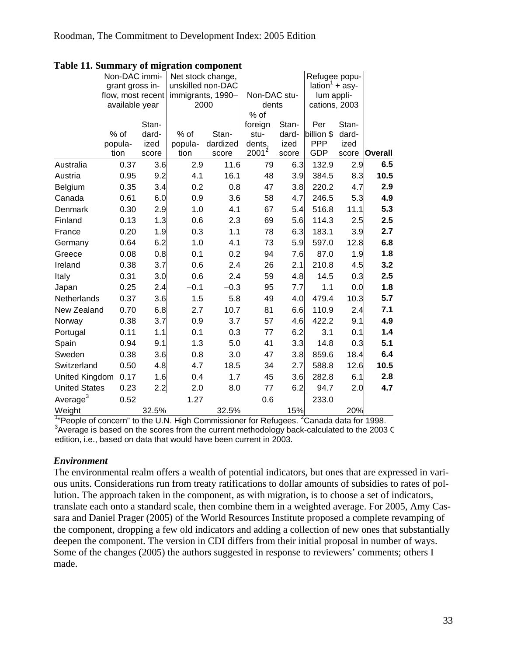|                      | Non-DAC immi-     |       | Net stock change, |          |                 |       | Refugee popu-              |       |                |
|----------------------|-------------------|-------|-------------------|----------|-----------------|-------|----------------------------|-------|----------------|
|                      | grant gross in-   |       | unskilled non-DAC |          |                 |       | lation <sup>1</sup> + asy- |       |                |
|                      | flow, most recent |       | immigrants, 1990- |          | Non-DAC stu-    |       | lum appli-                 |       |                |
|                      | available year    |       | 2000              |          | dents           |       | cations, 2003              |       |                |
|                      |                   | Stan- |                   |          | % of<br>foreign | Stan- | Per                        | Stan- |                |
|                      | % of              | dard- | $%$ of            | Stan-    | stu-            | dard- | billion \$                 | dard- |                |
|                      | popula-           | ized  | popula-           | dardized | dents,          | ized  | <b>PPP</b>                 | ized  |                |
|                      | tion              | score | tion              | score    | $2001^2$        | score | <b>GDP</b>                 | score | <b>Overall</b> |
| Australia            | 0.37              | 3.6   | 2.9               | 11.6     | 79              | 6.3   | 132.9                      | 2.9   | 6.5            |
| Austria              | 0.95              | 9.2   | 4.1               | 16.1     | 48              | 3.9   | 384.5                      | 8.3   | 10.5           |
| Belgium              | 0.35              | 3.4   | 0.2               | 0.8      | 47              | 3.8   | 220.2                      | 4.7   | 2.9            |
| Canada               | 0.61              | 6.0   | 0.9               | 3.6      | 58              | 4.7   | 246.5                      | 5.3   | 4.9            |
| Denmark              | 0.30              | 2.9   | 1.0               | 4.1      | 67              | 5.4   | 516.8                      | 11.1  | 5.3            |
| Finland              | 0.13              | 1.3   | 0.6               | 2.3      | 69              | 5.6   | 114.3                      | 2.5   | 2.5            |
| France               | 0.20              | 1.9   | 0.3               | 1.1      | 78              | 6.3   | 183.1                      | 3.9   | 2.7            |
| Germany              | 0.64              | 6.2   | 1.0               | 4.1      | 73              | 5.9   | 597.0                      | 12.8  | 6.8            |
| Greece               | 0.08              | 0.8   | 0.1               | 0.2      | 94              | 7.6   | 87.0                       | 1.9   | 1.8            |
| Ireland              | 0.38              | 3.7   | 0.6               | 2.4      | 26              | 2.1   | 210.8                      | 4.5   | 3.2            |
| Italy                | 0.31              | 3.0   | 0.6               | 2.4      | 59              | 4.8   | 14.5                       | 0.3   | 2.5            |
| Japan                | 0.25              | 2.4   | $-0.1$            | $-0.3$   | 95              | 7.7   | 1.1                        | 0.0   | 1.8            |
| Netherlands          | 0.37              | 3.6   | 1.5               | 5.8      | 49              | 4.0   | 479.4                      | 10.3  | 5.7            |
| New Zealand          | 0.70              | 6.8   | 2.7               | 10.7     | 81              | 6.6   | 110.9                      | 2.4   | 7.1            |
| Norway               | 0.38              | 3.7   | 0.9               | 3.7      | 57              | 4.6   | 422.2                      | 9.1   | 4.9            |
| Portugal             | 0.11              | 1.1   | 0.1               | 0.3      | 77              | 6.2   | 3.1                        | 0.1   | 1.4            |
| Spain                | 0.94              | 9.1   | 1.3               | 5.0      | 41              | 3.3   | 14.8                       | 0.3   | 5.1            |
| Sweden               | 0.38              | 3.6   | 0.8               | 3.0      | 47              | 3.8   | 859.6                      | 18.4  | 6.4            |
| Switzerland          | 0.50              | 4.8   | 4.7               | 18.5     | 34              | 2.7   | 588.8                      | 12.6  | 10.5           |
| United Kingdom       | 0.17              | 1.6   | 0.4               | 1.7      | 45              | 3.6   | 282.8                      | 6.1   | 2.8            |
| <b>United States</b> | 0.23              | 2.2   | 2.0               | 8.0      | 77              | 6.2   | 94.7                       | 2.0   | 4.7            |
| Average <sup>3</sup> | 0.52              |       | 1.27              |          | 0.6             |       | 233.0                      |       |                |
| Weight               |                   | 32.5% |                   | 32.5%    |                 | 15%   |                            | 20%   |                |

### <span id="page-33-1"></span><span id="page-33-0"></span>**Table 11. Summary of migration component**

<sup>1</sup> People of concern" to the U.N. High Commissioner for Refugees. <sup>2</sup> Canada data for 1998. <sup>3</sup> Average is based on the scores from the current methodology back-calculated to the 2003 C edition, i.e., based on data that would have been current in 2003.

### *Environment*

The environmental realm offers a wealth of potential indicators, but ones that are expressed in various units. Considerations run from treaty ratifications to dollar amounts of subsidies to rates of pollution. The approach taken in the component, as with migration, is to choose a set of indicators, translate each onto a standard scale, then combine them in a weighted average. For 2005, Amy Cassara and Daniel Prager (2005) of the World Resources Institute proposed a complete revamping of the component, dropping a few old indicators and adding a collection of new ones that substantially deepen the component. The version in CDI differs from their initial proposal in number of ways. Some of the changes (2005) the authors suggested in response to reviewers' comments; others I made.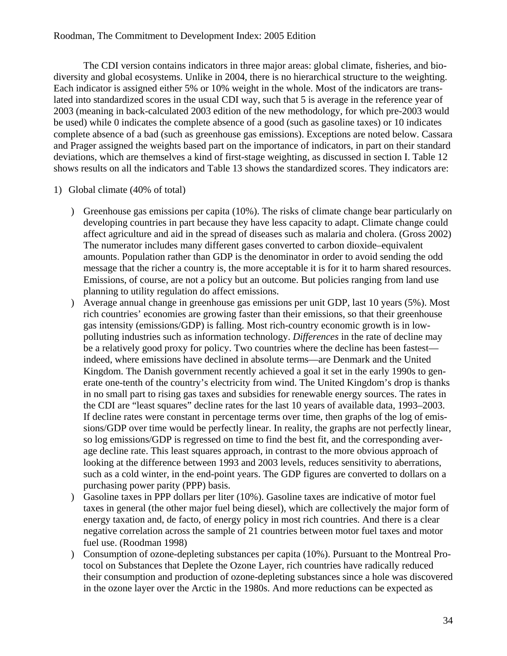The CDI version contains indicators in three major areas: global climate, fisheries, and biodiversity and global ecosystems. Unlike in 2004, there is no hierarchical structure to the weighting. Each indicator is assigned either 5% or 10% weight in the whole. Most of the indicators are translated into standardized scores in the usual CDI way, such that 5 is average in the reference year of 2003 (meaning in back-calculated 2003 edition of the new methodology, for which pre-2003 would be used) while 0 indicates the complete absence of a good (such as gasoline taxes) or 10 indicates complete absence of a bad (such as greenhouse gas emissions). Exceptions are noted below. Cassara and Prager assigned the weights based part on the importance of indicators, in part on their standard deviations, which are themselves a kind of first-stage weighting, as discussed in section [I.](#page-3-1) [Table 12](#page-38-1)  shows results on all the indicators and [Table 13](#page-39-1) shows the standardized scores. They indicators are:

- 1) Global climate (40% of total)
	- ) Greenhouse gas emissions per capita (10%). The risks of climate change bear particularly on developing countries in part because they have less capacity to adapt. Climate change could affect agriculture and aid in the spread of diseases such as malaria and cholera. (Gross 2002) The numerator includes many different gases converted to carbon dioxide–equivalent amounts. Population rather than GDP is the denominator in order to avoid sending the odd message that the richer a country is, the more acceptable it is for it to harm shared resources. Emissions, of course, are not a policy but an outcome. But policies ranging from land use planning to utility regulation do affect emissions.
	- ) Average annual change in greenhouse gas emissions per unit GDP, last 10 years (5%). Most rich countries' economies are growing faster than their emissions, so that their greenhouse gas intensity (emissions/GDP) is falling. Most rich-country economic growth is in lowpolluting industries such as information technology. *Differences* in the rate of decline may be a relatively good proxy for policy. Two countries where the decline has been fastest indeed, where emissions have declined in absolute terms—are Denmark and the United Kingdom. The Danish government recently achieved a goal it set in the early 1990s to generate one-tenth of the country's electricity from wind. The United Kingdom's drop is thanks in no small part to rising gas taxes and subsidies for renewable energy sources. The rates in the CDI are "least squares" decline rates for the last 10 years of available data, 1993–2003. If decline rates were constant in percentage terms over time, then graphs of the log of emissions/GDP over time would be perfectly linear. In reality, the graphs are not perfectly linear, so log emissions/GDP is regressed on time to find the best fit, and the corresponding average decline rate. This least squares approach, in contrast to the more obvious approach of looking at the difference between 1993 and 2003 levels, reduces sensitivity to aberrations, such as a cold winter, in the end-point years. The GDP figures are converted to dollars on a purchasing power parity (PPP) basis.
	- ) Gasoline taxes in PPP dollars per liter (10%). Gasoline taxes are indicative of motor fuel taxes in general (the other major fuel being diesel), which are collectively the major form of energy taxation and, de facto, of energy policy in most rich countries. And there is a clear negative correlation across the sample of 21 countries between motor fuel taxes and motor fuel use. (Roodman 1998)
	- ) Consumption of ozone-depleting substances per capita (10%). Pursuant to the Montreal Protocol on Substances that Deplete the Ozone Layer, rich countries have radically reduced their consumption and production of ozone-depleting substances since a hole was discovered in the ozone layer over the Arctic in the 1980s. And more reductions can be expected as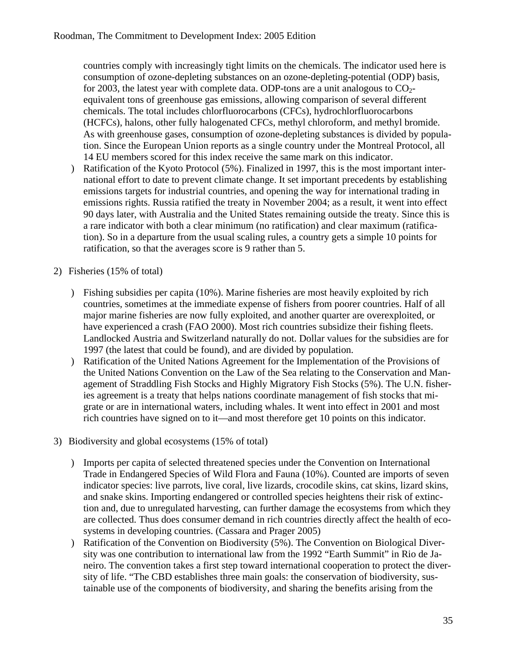countries comply with increasingly tight limits on the chemicals. The indicator used here is consumption of ozone-depleting substances on an ozone-depleting-potential (ODP) basis, for 2003, the latest year with complete data. ODP-tons are a unit analogous to  $CO<sub>2</sub>$ equivalent tons of greenhouse gas emissions, allowing comparison of several different chemicals. The total includes chlorfluorocarbons (CFCs), hydrochlorfluorocarbons (HCFCs), halons, other fully halogenated CFCs, methyl chloroform, and methyl bromide. As with greenhouse gases, consumption of ozone-depleting substances is divided by population. Since the European Union reports as a single country under the Montreal Protocol, all 14 EU members scored for this index receive the same mark on this indicator.

- ) Ratification of the Kyoto Protocol (5%). Finalized in 1997, this is the most important international effort to date to prevent climate change. It set important precedents by establishing emissions targets for industrial countries, and opening the way for international trading in emissions rights. Russia ratified the treaty in November 2004; as a result, it went into effect 90 days later, with Australia and the United States remaining outside the treaty. Since this is a rare indicator with both a clear minimum (no ratification) and clear maximum (ratification). So in a departure from the usual scaling rules, a country gets a simple 10 points for ratification, so that the averages score is 9 rather than 5.
- 2) Fisheries (15% of total)
	- ) Fishing subsidies per capita (10%). Marine fisheries are most heavily exploited by rich countries, sometimes at the immediate expense of fishers from poorer countries. Half of all major marine fisheries are now fully exploited, and another quarter are overexploited, or have experienced a crash (FAO 2000). Most rich countries subsidize their fishing fleets. Landlocked Austria and Switzerland naturally do not. Dollar values for the subsidies are for 1997 (the latest that could be found), and are divided by population.
	- ) Ratification of the United Nations Agreement for the Implementation of the Provisions of the United Nations Convention on the Law of the Sea relating to the Conservation and Management of Straddling Fish Stocks and Highly Migratory Fish Stocks (5%). The U.N. fisheries agreement is a treaty that helps nations coordinate management of fish stocks that migrate or are in international waters, including whales. It went into effect in 2001 and most rich countries have signed on to it—and most therefore get 10 points on this indicator.
- 3) Biodiversity and global ecosystems (15% of total)
	- ) Imports per capita of selected threatened species under the Convention on International Trade in Endangered Species of Wild Flora and Fauna (10%). Counted are imports of seven indicator species: live parrots, live coral, live lizards, crocodile skins, cat skins, lizard skins, and snake skins. Importing endangered or controlled species heightens their risk of extinction and, due to unregulated harvesting, can further damage the ecosystems from which they are collected. Thus does consumer demand in rich countries directly affect the health of ecosystems in developing countries. (Cassara and Prager 2005)
	- ) Ratification of the Convention on Biodiversity (5%). The Convention on Biological Diversity was one contribution to international law from the 1992 "Earth Summit" in Rio de Janeiro. The convention takes a first step toward international cooperation to protect the diversity of life. "The CBD establishes three main goals: the conservation of biodiversity, sustainable use of the components of biodiversity, and sharing the benefits arising from the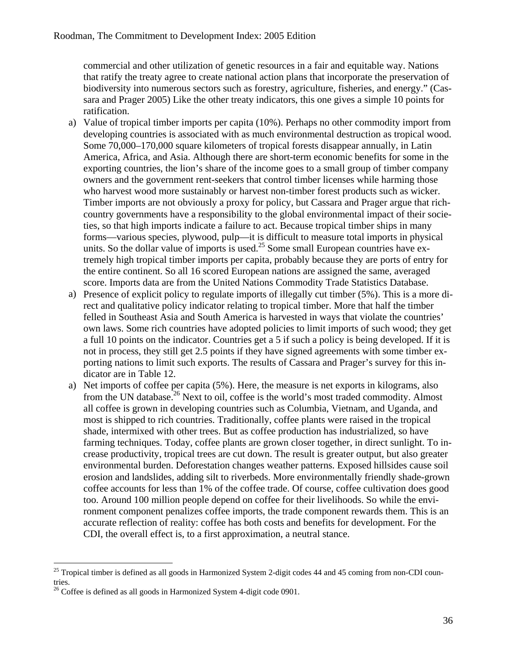commercial and other utilization of genetic resources in a fair and equitable way. Nations that ratify the treaty agree to create national action plans that incorporate the preservation of biodiversity into numerous sectors such as forestry, agriculture, fisheries, and energy." (Cassara and Prager 2005) Like the other treaty indicators, this one gives a simple 10 points for ratification.

- a) Value of tropical timber imports per capita (10%). Perhaps no other commodity import from developing countries is associated with as much environmental destruction as tropical wood. Some 70,000–170,000 square kilometers of tropical forests disappear annually, in Latin America, Africa, and Asia. Although there are short-term economic benefits for some in the exporting countries, the lion's share of the income goes to a small group of timber company owners and the government rent-seekers that control timber licenses while harming those who harvest wood more sustainably or harvest non-timber forest products such as wicker. Timber imports are not obviously a proxy for policy, but Cassara and Prager argue that richcountry governments have a responsibility to the global environmental impact of their societies, so that high imports indicate a failure to act. Because tropical timber ships in many forms—various species, plywood, pulp—it is difficult to measure total imports in physical units. So the dollar value of imports is used.<sup>25</sup> Some small European countries have extremely high tropical timber imports per capita, probably because they are ports of entry for the entire continent. So all 16 scored European nations are assigned the same, averaged score. Imports data are from the United Nations Commodity Trade Statistics Database.
- a) Presence of explicit policy to regulate imports of illegally cut timber (5%). This is a more direct and qualitative policy indicator relating to tropical timber. More that half the timber felled in Southeast Asia and South America is harvested in ways that violate the countries' own laws. Some rich countries have adopted policies to limit imports of such wood; they get a full 10 points on the indicator. Countries get a 5 if such a policy is being developed. If it is not in process, they still get 2.5 points if they have signed agreements with some timber exporting nations to limit such exports. The results of Cassara and Prager's survey for this indicator are in [Table 12.](#page-38-1)
- a) Net imports of coffee per capita (5%). Here, the measure is net exports in kilograms, also from the UN database.<sup>26</sup> Next to oil, coffee is the world's most traded commodity. Almost all coffee is grown in developing countries such as Columbia, Vietnam, and Uganda, and most is shipped to rich countries. Traditionally, coffee plants were raised in the tropical shade, intermixed with other trees. But as coffee production has industrialized, so have farming techniques. Today, coffee plants are grown closer together, in direct sunlight. To increase productivity, tropical trees are cut down. The result is greater output, but also greater environmental burden. Deforestation changes weather patterns. Exposed hillsides cause soil erosion and landslides, adding silt to riverbeds. More environmentally friendly shade-grown coffee accounts for less than 1% of the coffee trade. Of course, coffee cultivation does good too. Around 100 million people depend on coffee for their livelihoods. So while the environment component penalizes coffee imports, the trade component rewards them. This is an accurate reflection of reality: coffee has both costs and benefits for development. For the CDI, the overall effect is, to a first approximation, a neutral stance.

<span id="page-36-0"></span> $25$  Tropical timber is defined as all goods in Harmonized System 2-digit codes 44 and 45 coming from non-CDI countries.

<span id="page-36-1"></span> $^{26}$  Coffee is defined as all goods in Harmonized System 4-digit code 0901.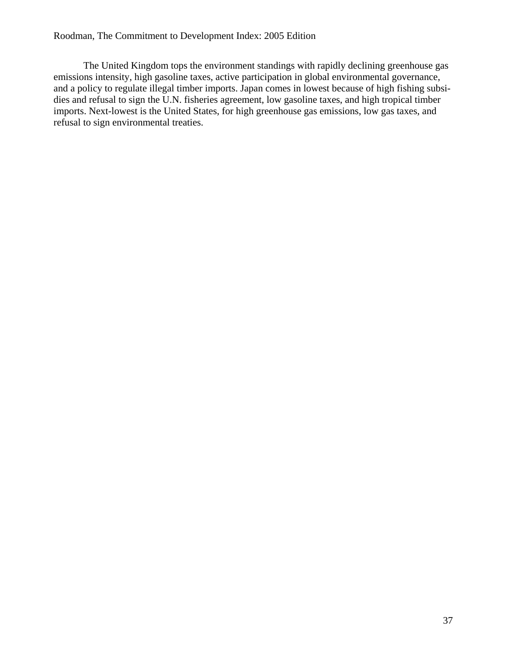The United Kingdom tops the environment standings with rapidly declining greenhouse gas emissions intensity, high gasoline taxes, active participation in global environmental governance, and a policy to regulate illegal timber imports. Japan comes in lowest because of high fishing subsidies and refusal to sign the U.N. fisheries agreement, low gasoline taxes, and high tropical timber imports. Next-lowest is the United States, for high greenhouse gas emissions, low gas taxes, and refusal to sign environmental treaties.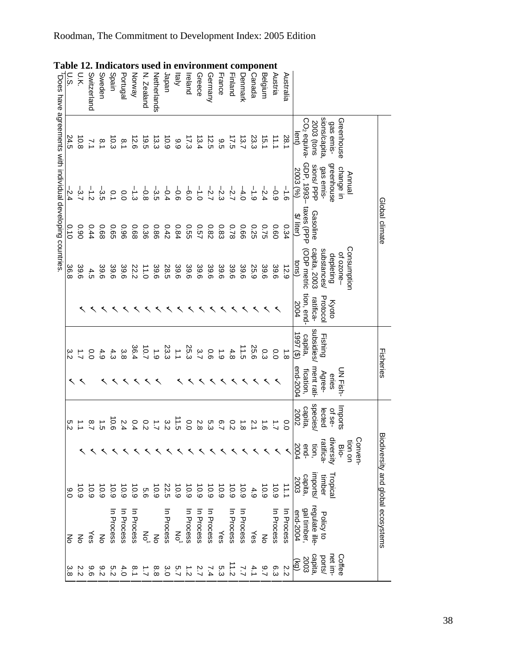|             | sions/capita,<br>Greenhouse<br><b>2003</b> (tons<br>gas emis- | greenhouse<br>gas emis-<br>change in<br>Annual            | Global climate                      | Consumption<br>substances/<br>ot ozone-<br>depleting | Protocol<br><b>Kyoto</b>        | Fishing<br>Fisheries              | <b>DN Fish-</b><br>Agree-<br>enes   | Imports<br>lected<br>of se- | diversity<br>Conven-<br>tion on<br>ratifica<br><b>Bio-</b> |                       |                                                     | Biodiversity and global ecosystems<br>Policy to |
|-------------|---------------------------------------------------------------|-----------------------------------------------------------|-------------------------------------|------------------------------------------------------|---------------------------------|-----------------------------------|-------------------------------------|-----------------------------|------------------------------------------------------------|-----------------------|-----------------------------------------------------|-------------------------------------------------|
|             | CO <sub>2</sub> equiva-<br>lent)                              | GDP, 1993-<br>sions/PPP<br>2003 (%)                       | taxes (PPP<br>Gasoline<br>\$/liter) | capita, 2003<br>(ODP metric<br>tons)                 | tion, end-<br>ratifica-<br>2004 | subsidies/<br>(3) 7661<br>capita, | end-2004<br>ment rati-<br>fication, | species/<br>capita,<br>2002 |                                                            | 2004<br>end-<br>tion, | mports/<br>Fropica<br>$rac{capita}{2003}$<br>timber | regulate ille-<br>gal timber,<br>end-2004       |
|             | 28.1                                                          | $-1.6$                                                    | 0.34                                | 651                                                  |                                 | $\overline{8}$                    |                                     | $\overline{0}$              |                                                            |                       | 11.1                                                | In Process                                      |
|             | $\frac{1}{2}$                                                 | $-0.9$                                                    | 0.60                                | 39.6                                                 |                                 | $\overline{0}$                    |                                     |                             |                                                            |                       | $\frac{10.9}{2}$                                    | n Process                                       |
|             | 15.1                                                          | $-2.4$                                                    | 0.75                                | 39.6                                                 |                                 | Ο.<br>Ω                           |                                     |                             |                                                            |                       | 10.9                                                | ξ                                               |
|             | 23.3                                                          | $\frac{1}{6}$                                             | 0.25                                | 25.9                                                 |                                 | 25.6                              |                                     |                             |                                                            |                       | 4.9                                                 | Yes                                             |
|             | $\overline{37}$                                               | $-4.0$                                                    | 990                                 | 39.6                                                 |                                 | 11.5                              |                                     |                             |                                                            |                       | $\frac{10}{6}$                                      | In Process                                      |
|             | <b>IZ5</b>                                                    | $-2.7$                                                    | 0.78                                | 39.6                                                 |                                 | 4.8                               |                                     |                             |                                                            |                       | 0.9                                                 | In Process                                      |
|             | 9.5                                                           | $-2.3$                                                    | <b>0.83</b>                         | 39.6                                                 |                                 | $\ddot{6}$                        |                                     |                             | ိ                                                          |                       | 6.9                                                 | Yes                                             |
|             | 12.5                                                          | $-2.7$                                                    | 28.0                                | 39.6                                                 |                                 | 0.6                               |                                     |                             | ়্র                                                        |                       | 6.01                                                | In Process                                      |
|             | 13.4                                                          | $\frac{1}{2}$                                             | <b>257</b>                          | 39.6                                                 |                                 | 3.7                               |                                     |                             | 2.8                                                        |                       | 6.01                                                | n Process                                       |
|             | $\overline{173}$                                              | $\frac{1}{9}$                                             | <b>930</b>                          | 39.6                                                 |                                 | 25.3                              |                                     |                             | o.o                                                        |                       | 6.9                                                 | In Process                                      |
|             | 66                                                            | $-5.6$                                                    | 0.84                                | 39.6                                                 |                                 | $\vec{\cdot}$                     |                                     |                             | $\vec{c}$                                                  |                       | 10.9                                                | ξ                                               |
|             | 10.9                                                          | $-0.4$                                                    | 0.42                                | 28.5                                                 |                                 | 23.3                              |                                     |                             |                                                            |                       | 22.5                                                | In Process                                      |
| Netherlands | 13.3                                                          | ၂<br>က                                                    | 98'0                                | 39.6                                                 |                                 | $\ddot{6}$                        |                                     |                             |                                                            |                       | 0.9                                                 | $\frac{2}{5}$                                   |
| N. Zealand  | 19.5                                                          | $-9.8$                                                    | 0.36                                | 11.0                                                 |                                 | 10.7                              |                                     |                             | $\frac{0}{2}$                                              |                       | 9.9                                                 | ŠΓ                                              |
| Norway      | 12.6                                                          | ا<br>ن                                                    | 89.0                                | 22.2                                                 |                                 | 36.4                              |                                     |                             | 0.4                                                        |                       | 0.9                                                 | n Process                                       |
| Portugal    | $\frac{8}{1}$                                                 | 0.0                                                       | 96.0                                | 39.6                                                 |                                 | 3.8                               |                                     |                             | 2.4                                                        |                       | 6.9                                                 | In Process                                      |
| Spain       | 10.3                                                          | 0.1                                                       | <b>GSC</b>                          | 39.6                                                 |                                 | 4.3                               |                                     |                             | $\overline{9}$                                             |                       | 10.9                                                | n Process                                       |
| Sweden      | $\approx$                                                     | ၂<br>က                                                    | 89.0                                | 39.6                                                 |                                 | 4.9                               |                                     |                             |                                                            |                       | 0.9                                                 | 종                                               |
| Switzerland | $\geq$                                                        | $\frac{1}{2}$                                             | 0.44                                | 4.5                                                  |                                 | $\overline{0}$                    |                                     |                             | 8.7                                                        |                       | 10.9                                                | γes                                             |
|             | 10.8                                                          | -3.7                                                      | 06'0                                | 39.6                                                 |                                 | $\vec{L}$                         |                                     |                             |                                                            |                       | 0.9                                                 | 종                                               |
|             | 24.5                                                          | $-2.4$                                                    | 0.10                                | 36.8                                                 |                                 | ن<br>ۃ                            |                                     |                             | ÖΙ                                                         |                       | 0.0                                                 | 종                                               |
|             |                                                               | Does have agreements with individual developing countries |                                     |                                                      |                                 |                                   |                                     |                             |                                                            |                       |                                                     |                                                 |

### <span id="page-38-1"></span>Table 12. Indicators used in environment component

<span id="page-38-0"></span>Roodm an, The Commitment to Development Index: 2005 E dition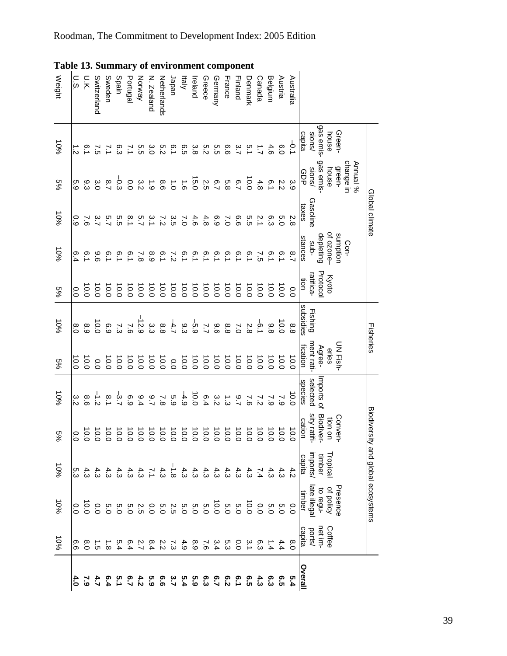<span id="page-39-1"></span><span id="page-39-0"></span>

| <b>Table 13. Summary of environment component</b> |                |                |               |                         |         |                |                     |                   |               |                  |           |         |                 |                  |          |                  |                  |                      |                  |                |                |                        |               |                                   |           |          |                                    |
|---------------------------------------------------|----------------|----------------|---------------|-------------------------|---------|----------------|---------------------|-------------------|---------------|------------------|-----------|---------|-----------------|------------------|----------|------------------|------------------|----------------------|------------------|----------------|----------------|------------------------|---------------|-----------------------------------|-----------|----------|------------------------------------|
| Weight                                            | U.S.           | υ.κ            | Switzerland   | Sweden                  | Spain   | Portugal       | Norway              | N. Zealand        | Netherlands   | Japan            | klaly     | Ireland | Greece          | Germany          | France   | Finland          | <b>Jenmark</b>   | Canada               | Belgium          | Austria        | Australia      |                        |               |                                   |           |          |                                    |
| 10%                                               |                | i.1            | $\frac{1}{2}$ |                         | တ္ပ     | $\geq$         | თ<br>ე              | 3.O               | ς.ς           | $\overline{6.1}$ | 6.5       | 3.8     | 5.2             | თ<br>თ           | 9.9      | 3.7              | is.1             | $\overrightarrow{L}$ | 4.6              | 0.0            | $\overline{5}$ | sions/<br>capita       | gas emis-     | Green-<br>house                   |           |          |                                    |
| %9                                                | 5.9            | ვ<br>ვ         | 3.0           | $\overline{2.7}$        | م.<br>م | 0.0            | 3.2                 | $\ddot{6}$        | 9.6           | $\vec{0}$        | $\vec{e}$ | 15.0    | Σ.S             | $\overline{2.7}$ | 5.8      | $\overline{6.7}$ | $\frac{10}{2}$   | 4.8                  | $\overline{6.1}$ | 2.2            | 3.9            | sions/                 | gas emis-     | green-<br>house                   | change in | Annual % |                                    |
| 10%                                               | 0.9            | $\overline{9}$ |               | $\frac{\alpha}{\alpha}$ | ς.<br>Ω | $\frac{8}{1}$  | n<br>S              | 3.1               | $\frac{7}{2}$ | ပ္ပ<br>၁၁        | $\sim$    | 4.6     | 4.8             | 6.9              | $\sim$   | 9.9              | ς<br>Ω           | 2.1                  | 6.3              | Ω.<br>Ο        | 2.8            | Gasoline<br>taxes      |               |                                   |           |          | Global climate                     |
| $-606$                                            | 6.4            | $\overline{0}$ | 96            | °_i                     | °. با   | $\overline{5}$ | $\approx$           | 8.9               | $\frac{1}{2}$ | ご                | 6.1       | i<br>0  | $\frac{5}{2}$   | io<br>1          | 6.1      | $\tilde{5}$      | $\overline{5}.1$ | $\tilde{c}$          | 6.1              | i.c            | $\frac{8}{7}$  | stances<br>-qns        | depleting     | of ozone-<br>sumption             | Con-      |          |                                    |
| $\frac{5}{2}$                                     | 0.0            | 10.0           | 10.0          | 0.0                     | 0.0     | 0.0            | 0.01                | 10.0              | 0.01          | 10.0             | 0.01      | 0.0     | 0.0             | 0.0              | 10.0     | 10.0             | $\overline{0.0}$ | 0.0                  | 10.0             | 10.0           | $\overline{0}$ | ratifica-<br>tion      | Protocol      | Kyoto                             |           |          |                                    |
| 10%                                               | 6.0            | 8.9            | 10.0          | 6.9                     | 7.3     | $\overline{9}$ | $-12.9$             | 3.3               | 8.8           | $-4.7$           | 9.3       | -5.9    | $\overline{27}$ | 96               | 8.8      | $\overline{7.0}$ | 2.8              | $\frac{1}{9}$        | 8.8              | 10.0           | 8.8            | subsidies<br>Fishing   |               |                                   |           |          | Fisheries                          |
| $\frac{5}{2}$                                     | lo.o           | 10.0           | 0.0           | 10.0                    | 0.0     | 10.0           | 10.0                | 0.0               | 10.0          | $\overline{0}$   | 0.0       | 0.0     | 10.0            | 0.0              | 10.0     | 0.0              | 10.0             | 0.0                  | 10.0             | 10.0           | $\overline{0}$ | ment rati-<br>fication | Agree-        | eries                             | JN Fish-  |          |                                    |
| 10%                                               | 3.2            | 8.6            | $\frac{1}{2}$ | $\overline{8}.1$        | $-3.7$  | 6.9            | 9.4                 | $\frac{6}{5}$     | 7.8           | с.<br>С          | $-4.9$    | 0.0     | 6.4             | 3.2              | <b>ئ</b> | $\frac{6}{5}$    | ر<br>ه           | 7.2                  | 7.9              | $\sim$         | $\overline{5}$ | selected<br>species    | Imports of    |                                   |           |          |                                    |
| $\frac{5}{2}$                                     | o.o            | 0.0            | 0.0           |                         | 0.0     | $\overline{0}$ | 0.0                 |                   | 10.0          |                  | 10.0      | 0.0     | 0.0             | $_{\rm 0.0}$     | 0.0      | 0.0              |                  | 0.0                  |                  | 0.0            | $\overline{0}$ | sity ratifi-<br>cation | Biodi<br>yer. | Conv<br>ion<br>$\mathsf{S}$<br>ēņ |           |          |                                    |
| 10%                                               |                |                |               |                         |         |                |                     |                   |               |                  |           |         |                 |                  |          |                  |                  |                      |                  |                |                | imports/<br>capita     | timber        | Fropica                           |           |          |                                    |
| 10%                                               | $\overline{0}$ | 0.0            | 0.0           | С.О                     |         |                | ちちらというこう<br>つつつうつつつ |                   |               |                  |           |         |                 | 0.0              | 5.0      | 0.5              | 0.0              | 0.0                  | 6.0              | $0.0$<br>$0.0$ |                | late illegal<br>timber | to regu-      | Presence<br>of policy             |           |          | Biodiversity and global ecosystems |
| $-606$                                            |                | 8.0<br>0.6     | $\vec{c}$     | $\overrightarrow{8}$    | 5.4     | 6.4            |                     | $2.282$<br>$2.47$ |               | 7.3              | 4.9       | 8.9     | 9'2             | 3.4              | ი<br>ვ   | 0.0              | $\frac{3}{2}$    | 6.3                  | 1.4              | 4.4            | $\frac{8}{0}$  | capita<br>ports/       | net im-       | Coffee                            |           |          |                                    |
|                                                   |                | 7.9            |               |                         |         |                |                     | ς.α               | 9.9           | 3.7              | 5.4       | ი<br>მ  | ္မ              | 5.7              | 5.9      | 5.1              |                  | ప్                   | ი<br>ვ           | <b>G.5</b>     | 5.4            | Overal                 |               |                                   |           |          |                                    |

39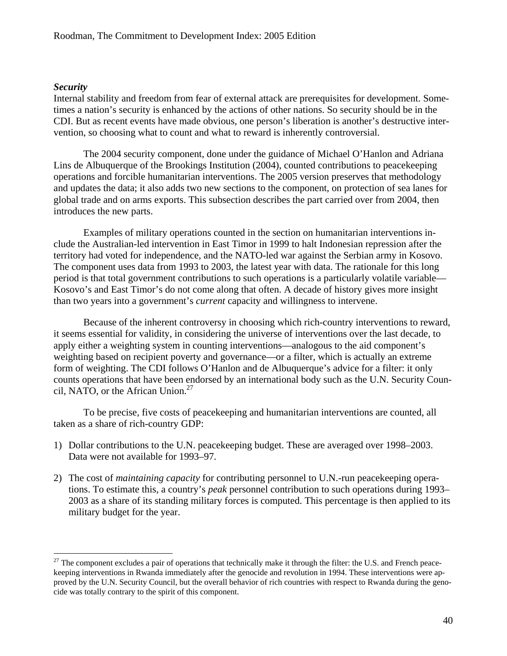### <span id="page-40-0"></span>*Security*

Internal stability and freedom from fear of external attack are prerequisites for development. Sometimes a nation's security is enhanced by the actions of other nations. So security should be in the CDI. But as recent events have made obvious, one person's liberation is another's destructive intervention, so choosing what to count and what to reward is inherently controversial.

The 2004 security component, done under the guidance of Michael O'Hanlon and Adriana Lins de Albuquerque of the Brookings Institution (2004), counted contributions to peacekeeping operations and forcible humanitarian interventions. The 2005 version preserves that methodology and updates the data; it also adds two new sections to the component, on protection of sea lanes for global trade and on arms exports. This subsection describes the part carried over from 2004, then introduces the new parts.

Examples of military operations counted in the section on humanitarian interventions include the Australian-led intervention in East Timor in 1999 to halt Indonesian repression after the territory had voted for independence, and the NATO-led war against the Serbian army in Kosovo. The component uses data from 1993 to 2003, the latest year with data. The rationale for this long period is that total government contributions to such operations is a particularly volatile variable— Kosovo's and East Timor's do not come along that often. A decade of history gives more insight than two years into a government's *current* capacity and willingness to intervene.

Because of the inherent controversy in choosing which rich-country interventions to reward, it seems essential for validity, in considering the universe of interventions over the last decade, to apply either a weighting system in counting interventions—analogous to the aid component's weighting based on recipient poverty and governance—or a filter, which is actually an extreme form of weighting. The CDI follows O'Hanlon and de Albuquerque's advice for a filter: it only counts operations that have been endorsed by an international body such as the U.N. Security Council, NATO, or the African Union. $27$ 

To be precise, five costs of peacekeeping and humanitarian interventions are counted, all taken as a share of rich-country GDP:

- 1) Dollar contributions to the U.N. peacekeeping budget. These are averaged over 1998–2003. Data were not available for 1993–97.
- 2) The cost of *maintaining capacity* for contributing personnel to U.N.-run peacekeeping operations. To estimate this, a country's *peak* personnel contribution to such operations during 1993– 2003 as a share of its standing military forces is computed. This percentage is then applied to its military budget for the year.

<span id="page-40-1"></span> $27$  The component excludes a pair of operations that technically make it through the filter: the U.S. and French peacekeeping interventions in Rwanda immediately after the genocide and revolution in 1994. These interventions were approved by the U.N. Security Council, but the overall behavior of rich countries with respect to Rwanda during the genocide was totally contrary to the spirit of this component.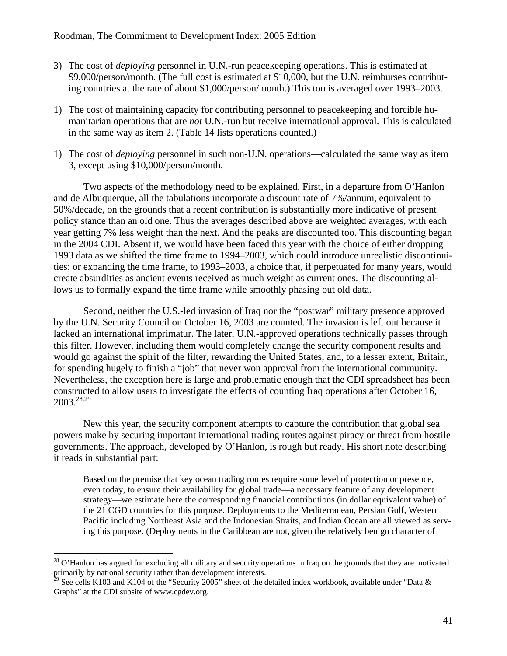- 3) The cost of *deploying* personnel in U.N.-run peacekeeping operations. This is estimated at \$9,000/person/month. (The full cost is estimated at \$10,000, but the U.N. reimburses contributing countries at the rate of about \$1,000/person/month.) This too is averaged over 1993–2003.
- 1) The cost of maintaining capacity for contributing personnel to peacekeeping and forcible humanitarian operations that are *not* U.N.-run but receive international approval. This is calculated in the same way as item 2. [\(Table 14](#page-44-1) lists operations counted.)
- 1) The cost of *deploying* personnel in such non-U.N. operations—calculated the same way as item 3, except using \$10,000/person/month.

Two aspects of the methodology need to be explained. First, in a departure from O'Hanlon and de Albuquerque, all the tabulations incorporate a discount rate of 7%/annum, equivalent to 50%/decade, on the grounds that a recent contribution is substantially more indicative of present policy stance than an old one. Thus the averages described above are weighted averages, with each year getting 7% less weight than the next. And the peaks are discounted too. This discounting began in the 2004 CDI. Absent it, we would have been faced this year with the choice of either dropping 1993 data as we shifted the time frame to 1994–2003, which could introduce unrealistic discontinuities; or expanding the time frame, to 1993–2003, a choice that, if perpetuated for many years, would create absurdities as ancient events received as much weight as current ones. The discounting allows us to formally expand the time frame while smoothly phasing out old data.

Second, neither the U.S.-led invasion of Iraq nor the "postwar" military presence approved by the U.N. Security Council on October 16, 2003 are counted. The invasion is left out because it lacked an international imprimatur. The later, U.N.-approved operations technically passes through this filter. However, including them would completely change the security component results and would go against the spirit of the filter, rewarding the United States, and, to a lesser extent, Britain, for spending hugely to finish a "job" that never won approval from the international community. Nevertheless, the exception here is large and problematic enough that the CDI spreadsheet has been constructed to allow users to investigate the effects of counting Iraq operations after October 16, 2003.[28,](#page-41-0)[29](#page-41-1) 

New this year, the security component attempts to capture the contribution that global sea powers make by securing important international trading routes against piracy or threat from hostile governments. The approach, developed by O'Hanlon, is rough but ready. His short note describing it reads in substantial part:

Based on the premise that key ocean trading routes require some level of protection or presence, even today, to ensure their availability for global trade—a necessary feature of any development strategy—we estimate here the corresponding financial contributions (in dollar equivalent value) of the 21 CGD countries for this purpose. Deployments to the Mediterranean, Persian Gulf, Western Pacific including Northeast Asia and the Indonesian Straits, and Indian Ocean are all viewed as serving this purpose. (Deployments in the Caribbean are not, given the relatively benign character of

<span id="page-41-0"></span> $^{28}$  O'Hanlon has argued for excluding all military and security operations in Iraq on the grounds that they are motivated primarily by national security rather than development interests.

<span id="page-41-1"></span><sup>&</sup>lt;sup>29</sup> See cells K103 and K104 of the "Security 2005" sheet of the detailed index workbook, available under "Data & Graphs" at the CDI subsite of www.cgdev.org.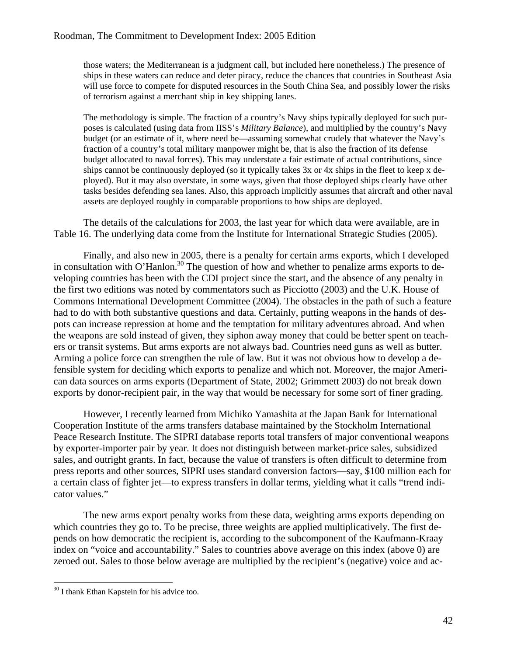those waters; the Mediterranean is a judgment call, but included here nonetheless.) The presence of ships in these waters can reduce and deter piracy, reduce the chances that countries in Southeast Asia will use force to compete for disputed resources in the South China Sea, and possibly lower the risks of terrorism against a merchant ship in key shipping lanes.

The methodology is simple. The fraction of a country's Navy ships typically deployed for such purposes is calculated (using data from IISS's *Military Balance*), and multiplied by the country's Navy budget (or an estimate of it, where need be—assuming somewhat crudely that whatever the Navy's fraction of a country's total military manpower might be, that is also the fraction of its defense budget allocated to naval forces). This may understate a fair estimate of actual contributions, since ships cannot be continuously deployed (so it typically takes 3x or 4x ships in the fleet to keep x deployed). But it may also overstate, in some ways, given that those deployed ships clearly have other tasks besides defending sea lanes. Also, this approach implicitly assumes that aircraft and other naval assets are deployed roughly in comparable proportions to how ships are deployed.

The details of the calculations for 2003, the last year for which data were available, are in [Table 16.](#page-46-1) The underlying data come from the Institute for International Strategic Studies (2005).

Finally, and also new in 2005, there is a penalty for certain arms exports, which I developed in consultation with O'Hanlon.<sup>30</sup> The question of how and whether to penalize arms exports to developing countries has been with the CDI project since the start, and the absence of any penalty in the first two editions was noted by commentators such as Picciotto (2003) and the U.K. House of Commons International Development Committee (2004). The obstacles in the path of such a feature had to do with both substantive questions and data. Certainly, putting weapons in the hands of despots can increase repression at home and the temptation for military adventures abroad. And when the weapons are sold instead of given, they siphon away money that could be better spent on teachers or transit systems. But arms exports are not always bad. Countries need guns as well as butter. Arming a police force can strengthen the rule of law. But it was not obvious how to develop a defensible system for deciding which exports to penalize and which not. Moreover, the major American data sources on arms exports (Department of State, 2002; Grimmett 2003) do not break down exports by donor-recipient pair, in the way that would be necessary for some sort of finer grading.

However, I recently learned from Michiko Yamashita at the Japan Bank for International Cooperation Institute of the arms transfers database maintained by the Stockholm International Peace Research Institute. The SIPRI database reports total transfers of major conventional weapons by exporter-importer pair by year. It does not distinguish between market-price sales, subsidized sales, and outright grants. In fact, because the value of transfers is often difficult to determine from press reports and other sources, SIPRI uses standard conversion factors—say, \$100 million each for a certain class of fighter jet—to express transfers in dollar terms, yielding what it calls "trend indicator values."

The new arms export penalty works from these data, weighting arms exports depending on which countries they go to. To be precise, three weights are applied multiplicatively. The first depends on how democratic the recipient is, according to the subcomponent of the Kaufmann-Kraay index on "voice and accountability." Sales to countries above average on this index (above 0) are zeroed out. Sales to those below average are multiplied by the recipient's (negative) voice and ac-

<span id="page-42-0"></span><sup>&</sup>lt;sup>30</sup> I thank Ethan Kapstein for his advice too.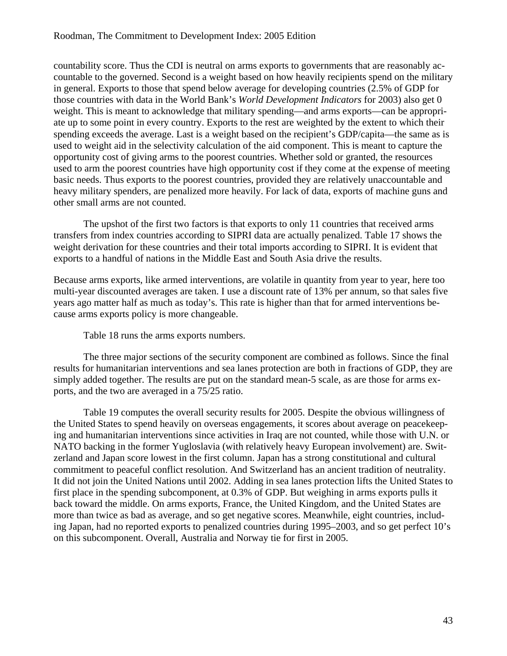countability score. Thus the CDI is neutral on arms exports to governments that are reasonably accountable to the governed. Second is a weight based on how heavily recipients spend on the military in general. Exports to those that spend below average for developing countries (2.5% of GDP for those countries with data in the World Bank's *World Development Indicators* for 2003) also get 0 weight. This is meant to acknowledge that military spending—and arms exports—can be appropriate up to some point in every country. Exports to the rest are weighted by the extent to which their spending exceeds the average. Last is a weight based on the recipient's GDP/capita—the same as is used to weight aid in the selectivity calculation of the aid component. This is meant to capture the opportunity cost of giving arms to the poorest countries. Whether sold or granted, the resources used to arm the poorest countries have high opportunity cost if they come at the expense of meeting basic needs. Thus exports to the poorest countries, provided they are relatively unaccountable and heavy military spenders, are penalized more heavily. For lack of data, exports of machine guns and other small arms are not counted.

The upshot of the first two factors is that exports to only 11 countries that received arms transfers from index countries according to SIPRI data are actually penalized. [Table 17](#page-47-1) shows the weight derivation for these countries and their total imports according to SIPRI. It is evident that exports to a handful of nations in the Middle East and South Asia drive the results.

Because arms exports, like armed interventions, are volatile in quantity from year to year, here too multi-year discounted averages are taken. I use a discount rate of 13% per annum, so that sales five years ago matter half as much as today's. This rate is higher than that for armed interventions because arms exports policy is more changeable.

[Table 18](#page-47-2) runs the arms exports numbers.

The three major sections of the security component are combined as follows. Since the final results for humanitarian interventions and sea lanes protection are both in fractions of GDP, they are simply added together. The results are put on the standard mean-5 scale, as are those for arms exports, and the two are averaged in a 75/25 ratio.

[Table 19](#page-48-1) computes the overall security results for 2005. Despite the obvious willingness of the United States to spend heavily on overseas engagements, it scores about average on peacekeeping and humanitarian interventions since activities in Iraq are not counted, while those with U.N. or NATO backing in the former Yugloslavia (with relatively heavy European involvement) are. Switzerland and Japan score lowest in the first column. Japan has a strong constitutional and cultural commitment to peaceful conflict resolution. And Switzerland has an ancient tradition of neutrality. It did not join the United Nations until 2002. Adding in sea lanes protection lifts the United States to first place in the spending subcomponent, at 0.3% of GDP. But weighing in arms exports pulls it back toward the middle. On arms exports, France, the United Kingdom, and the United States are more than twice as bad as average, and so get negative scores. Meanwhile, eight countries, including Japan, had no reported exports to penalized countries during 1995–2003, and so get perfect 10's on this subcomponent. Overall, Australia and Norway tie for first in 2005.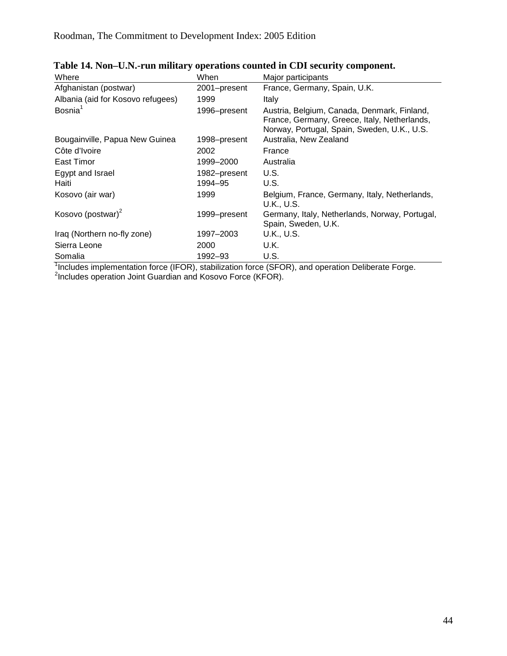| Where                             | When         | Major participants                                                                                                                         |
|-----------------------------------|--------------|--------------------------------------------------------------------------------------------------------------------------------------------|
| Afghanistan (postwar)             | 2001-present | France, Germany, Spain, U.K.                                                                                                               |
| Albania (aid for Kosovo refugees) | 1999         | Italy                                                                                                                                      |
| Bosnia <sup>1</sup>               | 1996-present | Austria, Belgium, Canada, Denmark, Finland,<br>France, Germany, Greece, Italy, Netherlands,<br>Norway, Portugal, Spain, Sweden, U.K., U.S. |
| Bougainville, Papua New Guinea    | 1998–present | Australia, New Zealand                                                                                                                     |
| Côte d'Ivoire                     | 2002         | France                                                                                                                                     |
| East Timor                        | 1999-2000    | Australia                                                                                                                                  |
| Egypt and Israel                  | 1982-present | U.S.                                                                                                                                       |
| Haiti                             | 1994-95      | U.S.                                                                                                                                       |
| Kosovo (air war)                  | 1999         | Belgium, France, Germany, Italy, Netherlands,<br>U.K., U.S.                                                                                |
| Kosovo (postwar) <sup>2</sup>     | 1999-present | Germany, Italy, Netherlands, Norway, Portugal,<br>Spain, Sweden, U.K.                                                                      |
| Iraq (Northern no-fly zone)       | 1997–2003    | <b>U.K., U.S.</b>                                                                                                                          |
| Sierra Leone                      | 2000         | U.K.                                                                                                                                       |
| Somalia                           | 1992–93      | U.S.                                                                                                                                       |

<span id="page-44-1"></span><span id="page-44-0"></span>

Somalia<br><sup>1</sup>Includes implementation force (IFOR), stabilization force (SFOR), and operation Deliberate Forge.<br><sup>2</sup>Includes operation Joint Guardian and Kosovo Force (KFOR).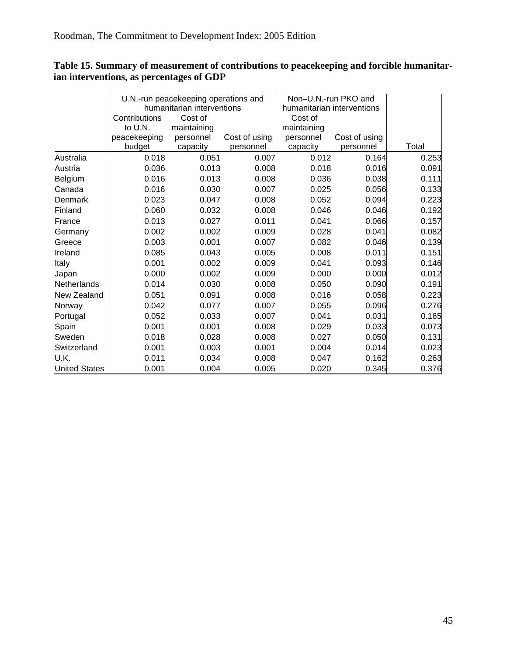### <span id="page-45-0"></span>**Table 15. Summary of measurement of contributions to peacekeeping and forcible humanitarian interventions, as percentages of GDP**

|                      |                        | U.N.-run peacekeeping operations and |                            | Non-U.N.-run PKO and       |                            |       |
|----------------------|------------------------|--------------------------------------|----------------------------|----------------------------|----------------------------|-------|
|                      |                        | humanitarian interventions           |                            | humanitarian interventions |                            |       |
|                      | Contributions          | Cost of                              |                            | Cost of                    |                            |       |
|                      | to U.N.                | maintaining                          |                            | maintaining                |                            |       |
|                      | peacekeeping<br>budget | personnel<br>capacity                | Cost of using<br>personnel | personnel<br>capacity      | Cost of using<br>personnel | Total |
| Australia            | 0.018                  | 0.051                                | 0.007                      | 0.012                      | 0.164                      | 0.253 |
| Austria              | 0.036                  | 0.013                                | 0.008                      | 0.018                      | 0.016                      | 0.091 |
| Belgium              | 0.016                  | 0.013                                | 0.008                      | 0.036                      | 0.038                      | 0.111 |
| Canada               | 0.016                  | 0.030                                | 0.007                      | 0.025                      | 0.056                      | 0.133 |
| Denmark              | 0.023                  | 0.047                                | 0.008                      | 0.052                      | 0.094                      | 0.223 |
| Finland              | 0.060                  | 0.032                                | 0.008                      | 0.046                      | 0.046                      | 0.192 |
| France               | 0.013                  | 0.027                                | 0.011                      | 0.041                      | 0.066                      | 0.157 |
| Germany              | 0.002                  | 0.002                                | 0.009                      | 0.028                      | 0.041                      | 0.082 |
| Greece               | 0.003                  | 0.001                                | 0.007                      | 0.082                      | 0.046                      | 0.139 |
| Ireland              | 0.085                  | 0.043                                | 0.005                      | 0.008                      | 0.011                      | 0.151 |
| Italy                | 0.001                  | 0.002                                | 0.009                      | 0.041                      | 0.093                      | 0.146 |
| Japan                | 0.000                  | 0.002                                | 0.009                      | 0.000                      | 0.000                      | 0.012 |
| Netherlands          | 0.014                  | 0.030                                | 0.008                      | 0.050                      | 0.090                      | 0.191 |
| New Zealand          | 0.051                  | 0.091                                | 0.008                      | 0.016                      | 0.058                      | 0.223 |
| Norway               | 0.042                  | 0.077                                | 0.007                      | 0.055                      | 0.096                      | 0.276 |
| Portugal             | 0.052                  | 0.033                                | 0.007                      | 0.041                      | 0.031                      | 0.165 |
| Spain                | 0.001                  | 0.001                                | 0.008                      | 0.029                      | 0.033                      | 0.073 |
| Sweden               | 0.018                  | 0.028                                | 0.008                      | 0.027                      | 0.050                      | 0.131 |
| Switzerland          | 0.001                  | 0.003                                | 0.001                      | 0.004                      | 0.014                      | 0.023 |
| U.K.                 | 0.011                  | 0.034                                | 0.008                      | 0.047                      | 0.162                      | 0.263 |
| <b>United States</b> | 0.001                  | 0.004                                | 0.005                      | 0.020                      | 0.345                      | 0.376 |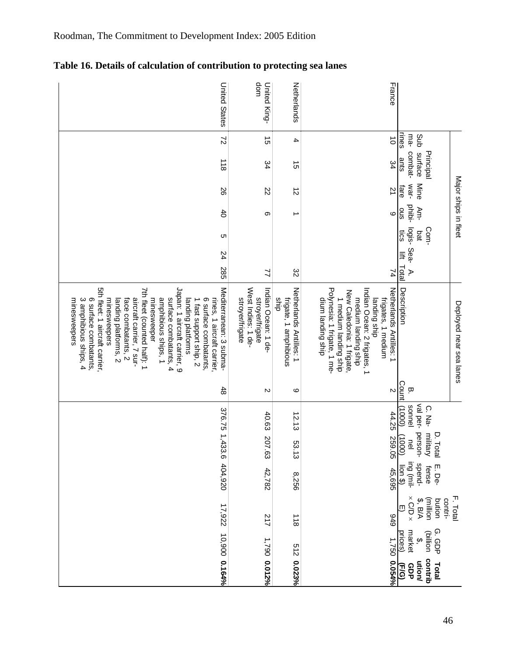| <b>United States</b>                                                                                                                                                                                                                                                                                                                                                                                                                                      | dom<br>United King-                                                             | Netherlands                                              | France                                                                                                                                                                                                                                  |                                                                                                          |
|-----------------------------------------------------------------------------------------------------------------------------------------------------------------------------------------------------------------------------------------------------------------------------------------------------------------------------------------------------------------------------------------------------------------------------------------------------------|---------------------------------------------------------------------------------|----------------------------------------------------------|-----------------------------------------------------------------------------------------------------------------------------------------------------------------------------------------------------------------------------------------|----------------------------------------------------------------------------------------------------------|
| $\overline{z}$                                                                                                                                                                                                                                                                                                                                                                                                                                            | ີຕ                                                                              | 4                                                        | $\vec{o}$                                                                                                                                                                                                                               | rines<br>ma-<br>Sub                                                                                      |
| $rac{1}{8}$                                                                                                                                                                                                                                                                                                                                                                                                                                               | 34                                                                              | ີຕ                                                       | 34                                                                                                                                                                                                                                      | combat-<br>Principal<br>surface<br>ants                                                                  |
| 92                                                                                                                                                                                                                                                                                                                                                                                                                                                        | 22                                                                              | $\vec{z}$                                                | $\overline{2}$                                                                                                                                                                                                                          | Major ships in fleet<br>war-<br>Mine<br>fare                                                             |
| $\ddot{\sigma}$                                                                                                                                                                                                                                                                                                                                                                                                                                           | თ                                                                               |                                                          | ဖ                                                                                                                                                                                                                                       | phibi-<br>Am-<br>Sno                                                                                     |
| C                                                                                                                                                                                                                                                                                                                                                                                                                                                         |                                                                                 |                                                          |                                                                                                                                                                                                                                         | logis-<br>Com-<br>saj<br>bđ                                                                              |
| 24                                                                                                                                                                                                                                                                                                                                                                                                                                                        |                                                                                 |                                                          |                                                                                                                                                                                                                                         | Sea-<br>手                                                                                                |
| 285                                                                                                                                                                                                                                                                                                                                                                                                                                                       | ゴ                                                                               | ŝΣ                                                       | 74                                                                                                                                                                                                                                      | Total<br>Þ.                                                                                              |
| 5th fleet: 1 aircraft carrier,<br>Japan: 1 aircraft carrier, 9<br>Mediterranean: 3 subma-<br>7th fleet (counted half): 1<br>6 surface combatants,<br>aircraft carrier, 7 sur-<br>surface combatants, 4<br>amphibious ships, 1<br>rines, 1 aircraft carrier,<br>minesweepers<br>3 amphibious ships, 4<br>face combatants, 2<br>landing platforms<br>6 surface combatants.<br>minesweepers<br>landing platforms, 2<br>1 fast support ship, 2<br>minesweeper | West Indies: 1 de-<br>Indian Ocean: 1 de-<br>stroyer/frigate<br>stroyer/frigate | Netherlands Antilles: 1<br>frigate, 1 amphibious<br>dius | Polynesia: 1 frigate, 1 me-<br>Netherlands Antilles: 1<br>Indian Ocean: 2 frigates, 1<br>New Caledonia: 1 frigate.<br>medium landing ship<br>1 medium landing ship<br>frigates, 1 medium<br>dium landing ship<br>dus <sub>Oup</sub> oup | Description<br>Deployed near sea lanes                                                                   |
| $\frac{4}{5}$                                                                                                                                                                                                                                                                                                                                                                                                                                             | N                                                                               | ဖ                                                        | $\mathbbmss{N}$                                                                                                                                                                                                                         | Count<br>Ţ                                                                                               |
|                                                                                                                                                                                                                                                                                                                                                                                                                                                           | 40.63                                                                           | 12.13                                                    | 44.25                                                                                                                                                                                                                                   | val per-<br>sonnel<br>C. Na-<br>(0001)                                                                   |
|                                                                                                                                                                                                                                                                                                                                                                                                                                                           | 207.63                                                                          | 53.13                                                    | 259.05                                                                                                                                                                                                                                  | person-<br>military<br>D. Total<br>(0001)<br>$\overline{6}$                                              |
| 376.75 1,433.6 404,920                                                                                                                                                                                                                                                                                                                                                                                                                                    | 42,782                                                                          | 8,256                                                    | 45,695                                                                                                                                                                                                                                  | ing (mil-<br>spend-<br>E. De-<br>fense<br>$\frac{1}{\sqrt{2}}$                                           |
| 17,922                                                                                                                                                                                                                                                                                                                                                                                                                                                    | 217                                                                             | $rac{1}{8}$                                              | 676                                                                                                                                                                                                                                     | $\times$ C/D $\times$<br>F. Total<br>(million<br>contri-<br>$\frac{3}{2}$ , $\frac{3}{4}$<br>bution<br>▥ |
|                                                                                                                                                                                                                                                                                                                                                                                                                                                           |                                                                                 |                                                          |                                                                                                                                                                                                                                         | G. GDP<br>(billion<br>market<br>prices)<br>$\hat{\mathbf{e}}$                                            |
| 10,900 0.164%                                                                                                                                                                                                                                                                                                                                                                                                                                             | 1,790 0.012%                                                                    | 512 0.023%                                               | 1,750 0.054%                                                                                                                                                                                                                            | contrib<br>ution/<br>Total<br>Elg<br>GDP                                                                 |

<span id="page-46-1"></span>**Table 16. Details of calculation of contribution to protecting sea lanes** 

<span id="page-46-0"></span>Roodman, The Commitment to Development Index: 2005 Edition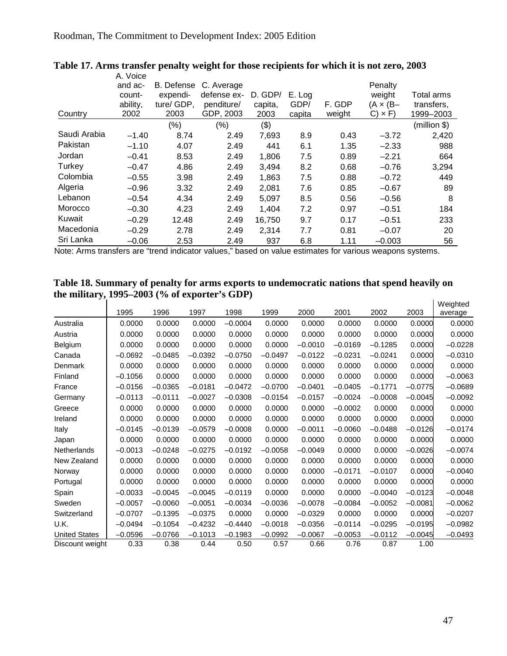|              | A. Voice |                   |             |         |        |        |               |              |
|--------------|----------|-------------------|-------------|---------|--------|--------|---------------|--------------|
|              | and ac-  | <b>B.</b> Defense | C. Average  |         |        |        | Penalty       |              |
|              | count-   | expendi-          | defense ex- | D. GDP/ | E. Log |        | weight        | Total arms   |
|              | ability, | ture/ GDP,        | penditure/  | capita, | GDP/   | F. GDP | (A × (B–      | transfers,   |
| Country      | 2002     | 2003              | GDP, 2003   | 2003    | capita | weight | $C) \times F$ | 1999-2003    |
|              |          | (%)               | $(\%)$      | (3)     |        |        |               | (million \$) |
| Saudi Arabia | $-1.40$  | 8.74              | 2.49        | 7,693   | 8.9    | 0.43   | $-3.72$       | 2,420        |
| Pakistan     | $-1.10$  | 4.07              | 2.49        | 441     | 6.1    | 1.35   | $-2.33$       | 988          |
| Jordan       | $-0.41$  | 8.53              | 2.49        | 1,806   | 7.5    | 0.89   | $-2.21$       | 664          |
| Turkey       | $-0.47$  | 4.86              | 2.49        | 3,494   | 8.2    | 0.68   | $-0.76$       | 3,294        |
| Colombia     | $-0.55$  | 3.98              | 2.49        | 1,863   | 7.5    | 0.88   | $-0.72$       | 449          |
| Algeria      | $-0.96$  | 3.32              | 2.49        | 2,081   | 7.6    | 0.85   | $-0.67$       | 89           |
| Lebanon      | $-0.54$  | 4.34              | 2.49        | 5.097   | 8.5    | 0.56   | $-0.56$       | 8            |
| Morocco      | $-0.30$  | 4.23              | 2.49        | 1,404   | 7.2    | 0.97   | $-0.51$       | 184          |
| Kuwait       | $-0.29$  | 12.48             | 2.49        | 16,750  | 9.7    | 0.17   | $-0.51$       | 233          |
| Macedonia    | $-0.29$  | 2.78              | 2.49        | 2,314   | 7.7    | 0.81   | $-0.07$       | 20           |
| Sri Lanka    | $-0.06$  | 2.53              | 2.49        | 937     | 6.8    | 1.11   | $-0.003$      | 56           |

### <span id="page-47-1"></span><span id="page-47-0"></span>**Table 17. Arms transfer penalty weight for those recipients for which it is not zero, 2003**

<span id="page-47-2"></span>Note: Arms transfers are "trend indicator values," based on value estimates for various weapons systems.

#### **Table 18. Summary of penalty for arms exports to undemocratic nations that spend heavily on the military, 1995–2003 (% of exporter's GDP)**  Weighted

|                      | 1995      | 1996      | 1997      | 1998      | 1999      | 2000      | 2001      | 2002      | 2003      | <i>vveignted</i><br>average |
|----------------------|-----------|-----------|-----------|-----------|-----------|-----------|-----------|-----------|-----------|-----------------------------|
| Australia            | 0.0000    | 0.0000    | 0.0000    | $-0.0004$ | 0.0000    | 0.0000    | 0.0000    | 0.0000    | 0.0000    | 0.0000                      |
| Austria              | 0.0000    | 0.0000    | 0.0000    | 0.0000    | 0.0000    | 0.0000    | 0.0000    | 0.0000    | 0.0000    | 0.0000                      |
| Belgium              | 0.0000    | 0.0000    | 0.0000    | 0.0000    | 0.0000    | $-0.0010$ | $-0.0169$ | $-0.1285$ | 0.0000    | $-0.0228$                   |
| Canada               | $-0.0692$ | $-0.0485$ | $-0.0392$ | $-0.0750$ | $-0.0497$ | $-0.0122$ | $-0.0231$ | $-0.0241$ | 0.0000    | $-0.0310$                   |
| Denmark              | 0.0000    | 0.0000    | 0.0000    | 0.0000    | 0.0000    | 0.0000    | 0.0000    | 0.0000    | 0.0000    | 0.0000                      |
| Finland              | $-0.1056$ | 0.0000    | 0.0000    | 0.0000    | 0.0000    | 0.0000    | 0.0000    | 0.0000    | 0.0000    | $-0.0063$                   |
| France               | $-0.0156$ | $-0.0365$ | $-0.0181$ | $-0.0472$ | $-0.0700$ | $-0.0401$ | $-0.0405$ | $-0.1771$ | $-0.0775$ | $-0.0689$                   |
| Germany              | $-0.0113$ | $-0.0111$ | $-0.0027$ | $-0.0308$ | $-0.0154$ | $-0.0157$ | $-0.0024$ | $-0.0008$ | $-0.0045$ | $-0.0092$                   |
| Greece               | 0.0000    | 0.0000    | 0.0000    | 0.0000    | 0.0000    | 0.0000    | $-0.0002$ | 0.0000    | 0.0000    | 0.0000                      |
| Ireland              | 0.0000    | 0.0000    | 0.0000    | 0.0000    | 0.0000    | 0.0000    | 0.0000    | 0.0000    | 0.0000    | 0.0000                      |
| Italy                | $-0.0145$ | $-0.0139$ | $-0.0579$ | $-0.0008$ | 0.0000    | $-0.0011$ | $-0.0060$ | $-0.0488$ | $-0.0126$ | $-0.0174$                   |
| Japan                | 0.0000    | 0.0000    | 0.0000    | 0.0000    | 0.0000    | 0.0000    | 0.0000    | 0.0000    | 0.0000    | 0.0000                      |
| Netherlands          | $-0.0013$ | $-0.0248$ | $-0.0275$ | $-0.0192$ | $-0.0058$ | $-0.0049$ | 0.0000    | 0.0000    | $-0.0026$ | $-0.0074$                   |
| New Zealand          | 0.0000    | 0.0000    | 0.0000    | 0.0000    | 0.0000    | 0.0000    | 0.0000    | 0.0000    | 0.0000    | 0.0000                      |
| Norway               | 0.0000    | 0.0000    | 0.0000    | 0.0000    | 0.0000    | 0.0000    | $-0.0171$ | $-0.0107$ | 0.0000    | $-0.0040$                   |
| Portugal             | 0.0000    | 0.0000    | 0.0000    | 0.0000    | 0.0000    | 0.0000    | 0.0000    | 0.0000    | 0.0000    | 0.0000                      |
| Spain                | $-0.0033$ | $-0.0045$ | $-0.0045$ | $-0.0119$ | 0.0000    | 0.0000    | 0.0000    | $-0.0040$ | $-0.0123$ | $-0.0048$                   |
| Sweden               | $-0.0057$ | $-0.0060$ | $-0.0051$ | $-0.0034$ | $-0.0036$ | $-0.0078$ | $-0.0084$ | $-0.0052$ | $-0.0081$ | $-0.0062$                   |
| Switzerland          | $-0.0707$ | $-0.1395$ | $-0.0375$ | 0.0000    | 0.0000    | $-0.0329$ | 0.0000    | 0.0000    | 0.0000    | $-0.0207$                   |
| U.K.                 | $-0.0494$ | $-0.1054$ | $-0.4232$ | $-0.4440$ | $-0.0018$ | $-0.0356$ | $-0.0114$ | $-0.0295$ | $-0.0195$ | $-0.0982$                   |
| <b>United States</b> | $-0.0596$ | $-0.0766$ | $-0.1013$ | $-0.1983$ | $-0.0992$ | $-0.0067$ | $-0.0053$ | $-0.0112$ | $-0.0045$ | $-0.0493$                   |
| Discount weight      | 0.33      | 0.38      | 0.44      | 0.50      | 0.57      | 0.66      | 0.76      | 0.87      | 1.00      |                             |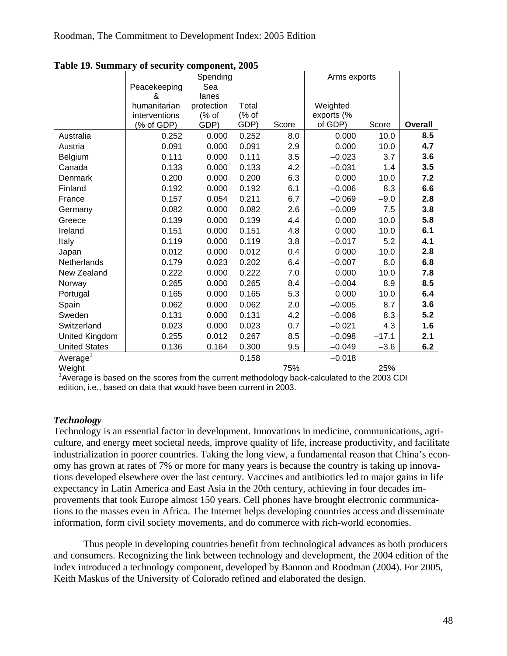|                      |               | Spending   |       |       | Arms exports |         |                |
|----------------------|---------------|------------|-------|-------|--------------|---------|----------------|
|                      | Peacekeeping  | Sea        |       |       |              |         |                |
|                      | &             | lanes      |       |       |              |         |                |
|                      | humanitarian  | protection | Total |       | Weighted     |         |                |
|                      | interventions | (% of      | (% of |       | exports (%   |         |                |
|                      | (% of GDP)    | GDP)       | GDP)  | Score | of GDP)      | Score   | <b>Overall</b> |
| Australia            | 0.252         | 0.000      | 0.252 | 8.0   | 0.000        | 10.0    | 8.5            |
| Austria              | 0.091         | 0.000      | 0.091 | 2.9   | 0.000        | 10.0    | 4.7            |
| Belgium              | 0.111         | 0.000      | 0.111 | 3.5   | $-0.023$     | 3.7     | 3.6            |
| Canada               | 0.133         | 0.000      | 0.133 | 4.2   | $-0.031$     | 1.4     | 3.5            |
| Denmark              | 0.200         | 0.000      | 0.200 | 6.3   | 0.000        | 10.0    | 7.2            |
| Finland              | 0.192         | 0.000      | 0.192 | 6.1   | $-0.006$     | 8.3     | 6.6            |
| France               | 0.157         | 0.054      | 0.211 | 6.7   | $-0.069$     | $-9.0$  | 2.8            |
| Germany              | 0.082         | 0.000      | 0.082 | 2.6   | $-0.009$     | 7.5     | 3.8            |
| Greece               | 0.139         | 0.000      | 0.139 | 4.4   | 0.000        | 10.0    | 5.8            |
| Ireland              | 0.151         | 0.000      | 0.151 | 4.8   | 0.000        | 10.0    | 6.1            |
| Italy                | 0.119         | 0.000      | 0.119 | 3.8   | $-0.017$     | 5.2     | 4.1            |
| Japan                | 0.012         | 0.000      | 0.012 | 0.4   | 0.000        | 10.0    | 2.8            |
| Netherlands          | 0.179         | 0.023      | 0.202 | 6.4   | $-0.007$     | 8.0     | 6.8            |
| New Zealand          | 0.222         | 0.000      | 0.222 | 7.0   | 0.000        | 10.0    | 7.8            |
| Norway               | 0.265         | 0.000      | 0.265 | 8.4   | $-0.004$     | 8.9     | 8.5            |
| Portugal             | 0.165         | 0.000      | 0.165 | 5.3   | 0.000        | 10.0    | 6.4            |
| Spain                | 0.062         | 0.000      | 0.062 | 2.0   | $-0.005$     | 8.7     | 3.6            |
| Sweden               | 0.131         | 0.000      | 0.131 | 4.2   | $-0.006$     | 8.3     | 5.2            |
| Switzerland          | 0.023         | 0.000      | 0.023 | 0.7   | $-0.021$     | 4.3     | 1.6            |
| United Kingdom       | 0.255         | 0.012      | 0.267 | 8.5   | $-0.098$     | $-17.1$ | 2.1            |
| <b>United States</b> | 0.136         | 0.164      | 0.300 | 9.5   | $-0.049$     | $-3.6$  | 6.2            |
| Average <sup>1</sup> |               |            | 0.158 |       | $-0.018$     |         |                |
| Weight               |               |            |       | 75%   |              | 25%     |                |
|                      |               |            |       |       |              |         |                |

<span id="page-48-1"></span><span id="page-48-0"></span>**Table 19. Summary of security component, 2005** 

<sup>1</sup> Average is based on the scores from the current methodology back-calculated to the 2003 CDI edition, i.e., based on data that would have been current in 2003.

### *Technology*

Technology is an essential factor in development. Innovations in medicine, communications, agriculture, and energy meet societal needs, improve quality of life, increase productivity, and facilitate industrialization in poorer countries. Taking the long view, a fundamental reason that China's economy has grown at rates of 7% or more for many years is because the country is taking up innovations developed elsewhere over the last century. Vaccines and antibiotics led to major gains in life expectancy in Latin America and East Asia in the 20th century, achieving in four decades improvements that took Europe almost 150 years. Cell phones have brought electronic communications to the masses even in Africa. The Internet helps developing countries access and disseminate information, form civil society movements, and do commerce with rich-world economies.

Thus people in developing countries benefit from technological advances as both producers and consumers. Recognizing the link between technology and development, the 2004 edition of the index introduced a technology component, developed by Bannon and Roodman (2004). For 2005, Keith Maskus of the University of Colorado refined and elaborated the design.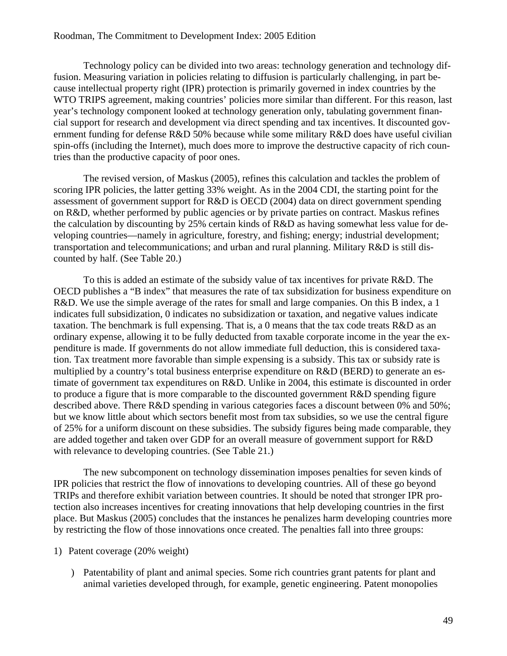Technology policy can be divided into two areas: technology generation and technology diffusion. Measuring variation in policies relating to diffusion is particularly challenging, in part because intellectual property right (IPR) protection is primarily governed in index countries by the WTO TRIPS agreement, making countries' policies more similar than different. For this reason, last year's technology component looked at technology generation only, tabulating government financial support for research and development via direct spending and tax incentives. It discounted government funding for defense R&D 50% because while some military R&D does have useful civilian spin-offs (including the Internet), much does more to improve the destructive capacity of rich countries than the productive capacity of poor ones.

The revised version, of Maskus (2005), refines this calculation and tackles the problem of scoring IPR policies, the latter getting 33% weight. As in the 2004 CDI, the starting point for the assessment of government support for R&D is OECD (2004) data on direct government spending on R&D, whether performed by public agencies or by private parties on contract. Maskus refines the calculation by discounting by 25% certain kinds of R&D as having somewhat less value for developing countries—namely in agriculture, forestry, and fishing; energy; industrial development; transportation and telecommunications; and urban and rural planning. Military R&D is still discounted by half. (See [Table 20.](#page-52-1))

To this is added an estimate of the subsidy value of tax incentives for private R&D. The OECD publishes a "B index" that measures the rate of tax subsidization for business expenditure on R&D. We use the simple average of the rates for small and large companies. On this B index, a 1 indicates full subsidization, 0 indicates no subsidization or taxation, and negative values indicate taxation. The benchmark is full expensing. That is, a 0 means that the tax code treats  $R&D$  as an ordinary expense, allowing it to be fully deducted from taxable corporate income in the year the expenditure is made. If governments do not allow immediate full deduction, this is considered taxation. Tax treatment more favorable than simple expensing is a subsidy. This tax or subsidy rate is multiplied by a country's total business enterprise expenditure on  $R&D$  (BERD) to generate an estimate of government tax expenditures on R&D. Unlike in 2004, this estimate is discounted in order to produce a figure that is more comparable to the discounted government  $R&D$  spending figure described above. There R&D spending in various categories faces a discount between 0% and 50%; but we know little about which sectors benefit most from tax subsidies, so we use the central figure of 25% for a uniform discount on these subsidies. The subsidy figures being made comparable, they are added together and taken over GDP for an overall measure of government support for R&D with relevance to developing countries. (See [Table 21.](#page-53-1))

The new subcomponent on technology dissemination imposes penalties for seven kinds of IPR policies that restrict the flow of innovations to developing countries. All of these go beyond TRIPs and therefore exhibit variation between countries. It should be noted that stronger IPR protection also increases incentives for creating innovations that help developing countries in the first place. But Maskus (2005) concludes that the instances he penalizes harm developing countries more by restricting the flow of those innovations once created. The penalties fall into three groups:

#### 1) Patent coverage (20% weight)

 ) Patentability of plant and animal species. Some rich countries grant patents for plant and animal varieties developed through, for example, genetic engineering. Patent monopolies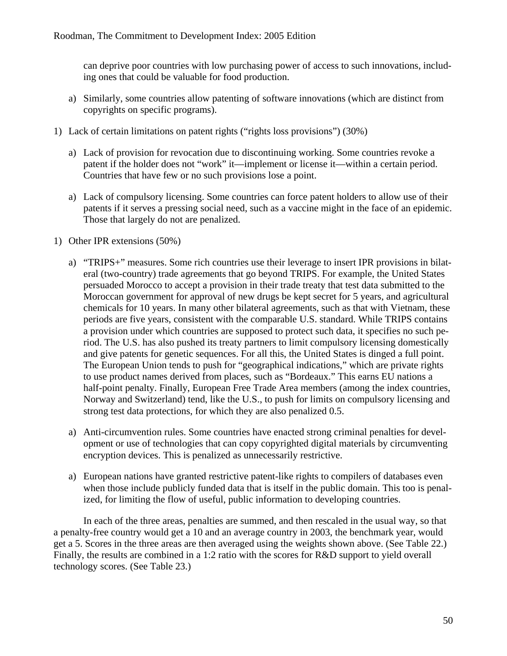can deprive poor countries with low purchasing power of access to such innovations, including ones that could be valuable for food production.

- a) Similarly, some countries allow patenting of software innovations (which are distinct from copyrights on specific programs).
- 1) Lack of certain limitations on patent rights ("rights loss provisions") (30%)
	- a) Lack of provision for revocation due to discontinuing working. Some countries revoke a patent if the holder does not "work" it—implement or license it—within a certain period. Countries that have few or no such provisions lose a point.
	- a) Lack of compulsory licensing. Some countries can force patent holders to allow use of their patents if it serves a pressing social need, such as a vaccine might in the face of an epidemic. Those that largely do not are penalized.
- 1) Other IPR extensions (50%)
	- a) "TRIPS+" measures. Some rich countries use their leverage to insert IPR provisions in bilateral (two-country) trade agreements that go beyond TRIPS. For example, the United States persuaded Morocco to accept a provision in their trade treaty that test data submitted to the Moroccan government for approval of new drugs be kept secret for 5 years, and agricultural chemicals for 10 years. In many other bilateral agreements, such as that with Vietnam, these periods are five years, consistent with the comparable U.S. standard. While TRIPS contains a provision under which countries are supposed to protect such data, it specifies no such period. The U.S. has also pushed its treaty partners to limit compulsory licensing domestically and give patents for genetic sequences. For all this, the United States is dinged a full point. The European Union tends to push for "geographical indications," which are private rights to use product names derived from places, such as "Bordeaux." This earns EU nations a half-point penalty. Finally, European Free Trade Area members (among the index countries, Norway and Switzerland) tend, like the U.S., to push for limits on compulsory licensing and strong test data protections, for which they are also penalized 0.5.
	- a) Anti-circumvention rules. Some countries have enacted strong criminal penalties for development or use of technologies that can copy copyrighted digital materials by circumventing encryption devices. This is penalized as unnecessarily restrictive.
	- a) European nations have granted restrictive patent-like rights to compilers of databases even when those include publicly funded data that is itself in the public domain. This too is penalized, for limiting the flow of useful, public information to developing countries.

In each of the three areas, penalties are summed, and then rescaled in the usual way, so that a penalty-free country would get a 10 and an average country in 2003, the benchmark year, would get a 5. Scores in the three areas are then averaged using the weights shown above. (See [Table 22.](#page-54-1)) Finally, the results are combined in a 1:2 ratio with the scores for R&D support to yield overall technology scores. (See [Table 23.](#page-55-2))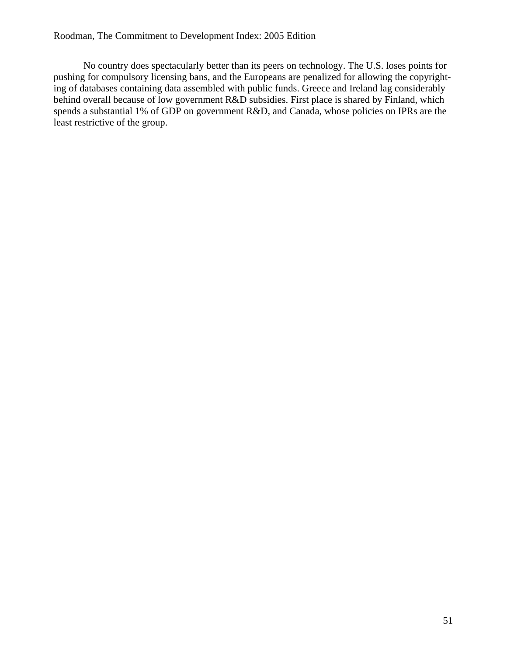No country does spectacularly better than its peers on technology. The U.S. loses points for pushing for compulsory licensing bans, and the Europeans are penalized for allowing the copyrighting of databases containing data assembled with public funds. Greece and Ireland lag considerably behind overall because of low government R&D subsidies. First place is shared by Finland, which spends a substantial 1% of GDP on government R&D, and Canada, whose policies on IPRs are the least restrictive of the group.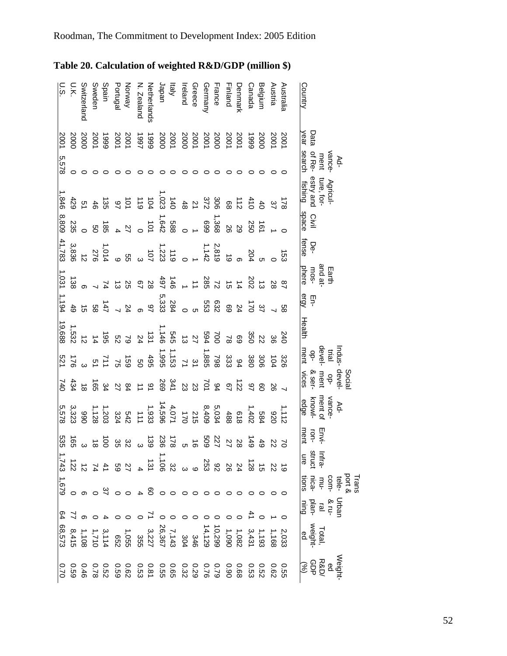| U.S.           | Ο.Κ.                   | Switzerland  | Sweden | Spain              | Portugal | Norway                                                                                                                                                                                                                                                                                                                               | N. Zealand             | Netherlands          | Japan | ltaly | Ireland | Greece | Germany | France                       | Finland | Jenmark | Canada             | <b>Belgium</b>   | Austria      | Australia | Country                                                                                                                                                                                                                                                                                                                                               |                         |     |  |
|----------------|------------------------|--------------|--------|--------------------|----------|--------------------------------------------------------------------------------------------------------------------------------------------------------------------------------------------------------------------------------------------------------------------------------------------------------------------------------------|------------------------|----------------------|-------|-------|---------|--------|---------|------------------------------|---------|---------|--------------------|------------------|--------------|-----------|-------------------------------------------------------------------------------------------------------------------------------------------------------------------------------------------------------------------------------------------------------------------------------------------------------------------------------------------------------|-------------------------|-----|--|
| 2001           |                        | 2000<br>2000 |        | 1999<br>2001       |          | 2001<br>2001                                                                                                                                                                                                                                                                                                                         |                        | 2001<br>2000<br>2000 |       |       |         |        |         | 2007<br>2008<br>2007<br>2008 |         |         | 6661               | 2000             | 2001<br>2001 |           | Data<br>year                                                                                                                                                                                                                                                                                                                                          |                         |     |  |
| 5,578          | $\circ$                |              |        |                    |          |                                                                                                                                                                                                                                                                                                                                      |                        |                      |       |       |         | ○      |         | ○                            | ○       | 0       | 0                  | $\circ$          |              |           | of Re-<br>search                                                                                                                                                                                                                                                                                                                                      | vance-                  | Ad- |  |
| .846           |                        |              |        |                    |          |                                                                                                                                                                                                                                                                                                                                      |                        |                      |       |       |         |        |         |                              |         |         |                    |                  |              |           | Agricul-<br>ture, for-<br>estry and<br>fishing                                                                                                                                                                                                                                                                                                        |                         |     |  |
| 8,809          | 235                    |              |        | ្ត ខ្លួ ឆ្ន        |          | $\begin{array}{cccc}\n & 2886 \\  & 2847 \\  & 207\n\end{array}$                                                                                                                                                                                                                                                                     |                        |                      |       |       |         |        |         | $-368$<br>$-368$             |         |         | $\frac{28}{20}$ 20 |                  |              |           | Civil<br>space                                                                                                                                                                                                                                                                                                                                        |                         |     |  |
| 41,783         |                        |              |        |                    |          |                                                                                                                                                                                                                                                                                                                                      |                        |                      |       |       |         |        |         |                              |         |         |                    |                  |              |           | De-<br>fense                                                                                                                                                                                                                                                                                                                                          |                         |     |  |
| 1,031          |                        |              |        |                    |          |                                                                                                                                                                                                                                                                                                                                      |                        |                      |       |       |         |        |         |                              |         |         |                    |                  |              |           | and at-<br>mos-<br>phere                                                                                                                                                                                                                                                                                                                              | Earth                   |     |  |
| 1,194          |                        |              |        |                    |          | 5<br>28.33<br>4 3 3 5 6 7 7 8 7 9 9<br>4 3 9 7 7 8 7 9 9                                                                                                                                                                                                                                                                             |                        |                      |       |       |         |        |         |                              |         |         |                    |                  |              | ပ္ထ       | 트다.<br>이후                                                                                                                                                                                                                                                                                                                                             |                         |     |  |
| 19,688         |                        |              |        |                    |          |                                                                                                                                                                                                                                                                                                                                      |                        |                      |       |       |         |        |         |                              |         |         |                    |                  |              |           | Health                                                                                                                                                                                                                                                                                                                                                |                         |     |  |
|                | $\frac{1}{2}$ 32<br>32 |              |        |                    |          |                                                                                                                                                                                                                                                                                                                                      |                        |                      |       |       |         |        |         |                              |         |         |                    |                  |              |           | Indus<br>trial<br>devel-<br>ment                                                                                                                                                                                                                                                                                                                      |                         |     |  |
| 740            |                        |              |        |                    |          |                                                                                                                                                                                                                                                                                                                                      | $280$<br>$260$<br>$27$ |                      |       |       |         |        |         | 8922523<br>89225233          |         |         |                    |                  |              |           | ment<br>& ser-<br>vices                                                                                                                                                                                                                                                                                                                               | Social<br>devel-<br>op- |     |  |
| 5,578          | 990<br>0823            |              |        | $1,203$<br>$1,128$ |          |                                                                                                                                                                                                                                                                                                                                      |                        |                      |       |       |         |        |         |                              |         |         |                    | $1,402$<br>1,402 | 020          | 1,112     | vance-<br>ment of<br>edge                                                                                                                                                                                                                                                                                                                             |                         | Ad- |  |
|                |                        |              |        |                    |          |                                                                                                                                                                                                                                                                                                                                      |                        |                      |       |       |         |        |         |                              |         |         | $-149$             | $49$             | <b>22</b>    |           | Envi-<br>ment<br>$\overline{5}$                                                                                                                                                                                                                                                                                                                       |                         |     |  |
|                |                        |              |        |                    |          |                                                                                                                                                                                                                                                                                                                                      |                        |                      |       |       |         |        |         |                              |         |         |                    |                  |              |           | Infra-<br>struct                                                                                                                                                                                                                                                                                                                                      |                         |     |  |
| 1,679          |                        |              |        |                    |          |                                                                                                                                                                                                                                                                                                                                      |                        |                      |       |       |         |        |         |                              |         |         |                    |                  |              |           | Trans<br>$\frac{3}{2}$<br>$\frac{1}{2}$<br>$\frac{1}{2}$<br>$\frac{1}{2}$<br>$\frac{1}{2}$<br>$\frac{1}{2}$<br>$\frac{1}{2}$<br>$\frac{1}{2}$<br>$\frac{1}{2}$<br>$\frac{1}{2}$<br>$\frac{1}{2}$<br>$\frac{1}{2}$<br>$\frac{1}{2}$<br>$\frac{1}{2}$<br>$\frac{1}{2}$<br>$\frac{1}{2}$<br>$\frac{1}{2}$<br>$\frac{1}{2}$<br>$\frac{1}{2}$<br>$\frac{1$ |                         |     |  |
| $\frac{64}{3}$ |                        |              |        |                    |          |                                                                                                                                                                                                                                                                                                                                      |                        |                      |       |       |         |        |         |                              |         |         |                    |                  |              |           | Drbar<br>La andar<br>Dining                                                                                                                                                                                                                                                                                                                           |                         |     |  |
|                |                        |              |        |                    |          | $\begin{array}{cccc} 0.4 & - & 0.5 & - & 0.4 & - & 0.4 & - & 0.4 & - & 0.4 & - & 0.4 & - & 0.4 & - & 0.4 & - & 0.4 & - & 0.4 & - & 0.4 & - & 0.4 & - & 0.4 & - & 0.4 & - & 0.4 & - & 0.4 & - & 0.4 & - & 0.4 & - & 0.4 & - & 0.4 & - & 0.4 & - & 0.4 & - & 0.4 & - & 0.4 & - & 0.4 & - & 0.4 & - & 0.4 & - & 0.4 & - & 0.4 & - & 0.$ |                        |                      |       |       |         |        |         |                              |         |         |                    |                  |              |           | Total,<br>weight<br>ed                                                                                                                                                                                                                                                                                                                                |                         |     |  |
|                |                        |              |        |                    |          |                                                                                                                                                                                                                                                                                                                                      |                        |                      |       |       |         |        |         |                              |         |         |                    |                  |              |           | Weigh<br>Pasa<br>Sop<br>Sop                                                                                                                                                                                                                                                                                                                           |                         |     |  |

<span id="page-52-1"></span><span id="page-52-0"></span>**Table 20. Calculation of w eighted R&D/GDP (million \$)**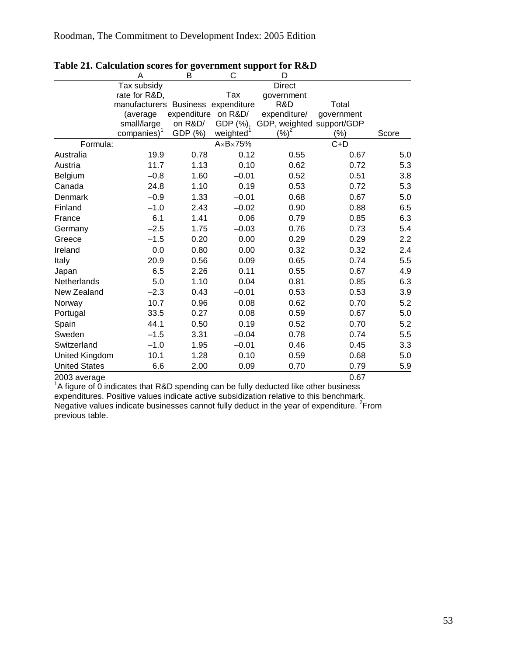|                       | A                                  | В                   | C                        | D                         |            |       |
|-----------------------|------------------------------------|---------------------|--------------------------|---------------------------|------------|-------|
|                       | Tax subsidy                        |                     |                          | <b>Direct</b>             |            |       |
|                       | rate for R&D,                      |                     | Tax                      | government                |            |       |
|                       | manufacturers Business expenditure |                     |                          | R&D                       | Total      |       |
|                       | (average                           | expenditure on R&D/ |                          | expenditure/              | government |       |
|                       | small/large                        | on R&D/             | GDP (%),                 | GDP, weighted support/GDP |            |       |
|                       | companies) <sup>1</sup>            | GDP (%)             | weighted <sup>1</sup>    | (%)                       | (%)        | Score |
| Formula:              |                                    |                     | $A \times B \times 75\%$ |                           | $C+D$      |       |
| Australia             | 19.9                               | 0.78                | 0.12                     | 0.55                      | 0.67       | 5.0   |
| Austria               | 11.7                               | 1.13                | 0.10                     | 0.62                      | 0.72       | 5.3   |
| Belgium               | $-0.8$                             | 1.60                | $-0.01$                  | 0.52                      | 0.51       | 3.8   |
| Canada                | 24.8                               | 1.10                | 0.19                     | 0.53                      | 0.72       | 5.3   |
| Denmark               | $-0.9$                             | 1.33                | $-0.01$                  | 0.68                      | 0.67       | 5.0   |
| Finland               | $-1.0$                             | 2.43                | $-0.02$                  | 0.90                      | 0.88       | 6.5   |
| France                | 6.1                                | 1.41                | 0.06                     | 0.79                      | 0.85       | 6.3   |
| Germany               | $-2.5$                             | 1.75                | $-0.03$                  | 0.76                      | 0.73       | 5.4   |
| Greece                | $-1.5$                             | 0.20                | 0.00                     | 0.29                      | 0.29       | 2.2   |
| Ireland               | 0.0                                | 0.80                | 0.00                     | 0.32                      | 0.32       | 2.4   |
| Italy                 | 20.9                               | 0.56                | 0.09                     | 0.65                      | 0.74       | 5.5   |
| Japan                 | 6.5                                | 2.26                | 0.11                     | 0.55                      | 0.67       | 4.9   |
| Netherlands           | 5.0                                | 1.10                | 0.04                     | 0.81                      | 0.85       | 6.3   |
| New Zealand           | $-2.3$                             | 0.43                | $-0.01$                  | 0.53                      | 0.53       | 3.9   |
| Norway                | 10.7                               | 0.96                | 0.08                     | 0.62                      | 0.70       | 5.2   |
| Portugal              | 33.5                               | 0.27                | 0.08                     | 0.59                      | 0.67       | 5.0   |
| Spain                 | 44.1                               | 0.50                | 0.19                     | 0.52                      | 0.70       | 5.2   |
| Sweden                | $-1.5$                             | 3.31                | $-0.04$                  | 0.78                      | 0.74       | 5.5   |
| Switzerland           | $-1.0$                             | 1.95                | $-0.01$                  | 0.46                      | 0.45       | 3.3   |
| <b>United Kingdom</b> | 10.1                               | 1.28                | 0.10                     | 0.59                      | 0.68       | 5.0   |
| <b>United States</b>  | 6.6                                | 2.00                | 0.09                     | 0.70                      | 0.79       | 5.9   |
| $\sim$                |                                    |                     |                          |                           | ~ ~-       |       |

### <span id="page-53-1"></span><span id="page-53-0"></span>**Table 21. Calculation scores for government support for R&D**

2003 average 0.67 1 A figure of 0 indicates that R&D spending can be fully deducted like other business expenditures. Positive values indicate active subsidization relative to this benchmark. Negative values indicate businesses cannot fully deduct in the year of expenditure.  ${}^{2}$ From previous table.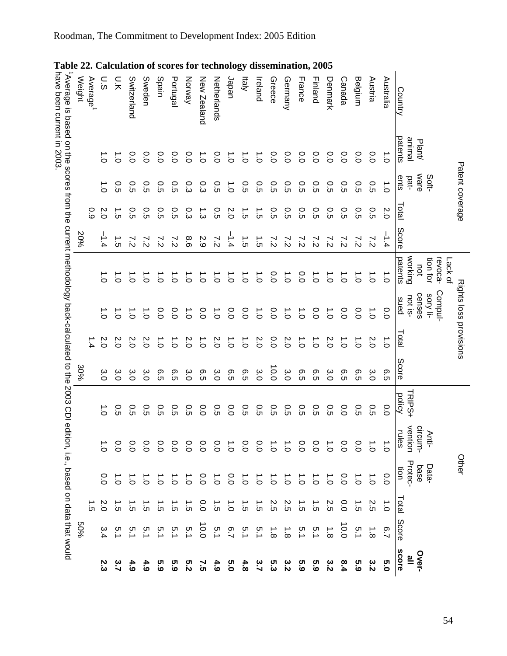<span id="page-54-1"></span><span id="page-54-0"></span>

54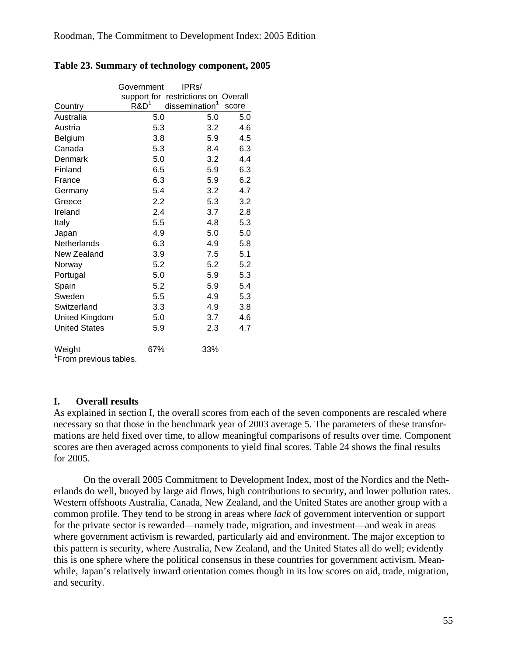|                      | Government       | IPR <sub>s</sub> /                  |       |
|----------------------|------------------|-------------------------------------|-------|
|                      |                  | support for restrictions on Overall |       |
| Country              | R&D <sup>1</sup> | dissemination <sup>1</sup>          | score |
| Australia            | 5.0              | 5.0                                 | 5.0   |
| Austria              | 5.3              | 3.2                                 | 4.6   |
| Belgium              | 3.8              | 5.9                                 | 4.5   |
| Canada               | 5.3              | 8.4                                 | 6.3   |
| Denmark              | 5.0              | 3.2                                 | 4.4   |
| Finland              | 6.5              | 5.9                                 | 6.3   |
| France               | 6.3              | 5.9                                 | 6.2   |
| Germany              | 5.4              | 3.2                                 | 4.7   |
| Greece               | 2.2              | 5.3                                 | 3.2   |
| Ireland              | 2.4              | 3.7                                 | 2.8   |
| Italy                | 5.5              | 4.8                                 | 5.3   |
| Japan                | 4.9              | 5.0                                 | 5.0   |
| Netherlands          | 6.3              | 4.9                                 | 5.8   |
| New Zealand          | 3.9              | 7.5                                 | 5.1   |
| Norway               | 5.2              | 5.2                                 | 5.2   |
| Portugal             | 5.0              | 5.9                                 | 5.3   |
| Spain                | 5.2              | 5.9                                 | 5.4   |
| Sweden               | 5.5              | 4.9                                 | 5.3   |
| Switzerland          | 3.3              | 4.9                                 | 3.8   |
| United Kingdom       | 5.0              | 3.7                                 | 4.6   |
| <b>United States</b> | 5.9              | 2.3                                 | 4.7   |
| Weight               | 67%              | 33%                                 |       |

#### <span id="page-55-2"></span><span id="page-55-0"></span>**Table 23. Summary of technology component, 2005**

<sup>1</sup> From previous tables.

### **I. Overall results**

<span id="page-55-1"></span>As explained in section [I,](#page-3-1) the overall scores from each of the seven components are rescaled where necessary so that those in the benchmark year of 2003 average 5. The parameters of these transformations are held fixed over time, to allow meaningful comparisons of results over time. Component scores are then averaged across components to yield final scores. [Table 24](#page-57-1) shows the final results for 2005.

On the overall 2005 Commitment to Development Index, most of the Nordics and the Netherlands do well, buoyed by large aid flows, high contributions to security, and lower pollution rates. Western offshoots Australia, Canada, New Zealand, and the United States are another group with a common profile. They tend to be strong in areas where *lack* of government intervention or support for the private sector is rewarded—namely trade, migration, and investment—and weak in areas where government activism is rewarded, particularly aid and environment. The major exception to this pattern is security, where Australia, New Zealand, and the United States all do well; evidently this is one sphere where the political consensus in these countries for government activism. Meanwhile, Japan's relatively inward orientation comes though in its low scores on aid, trade, migration, and security.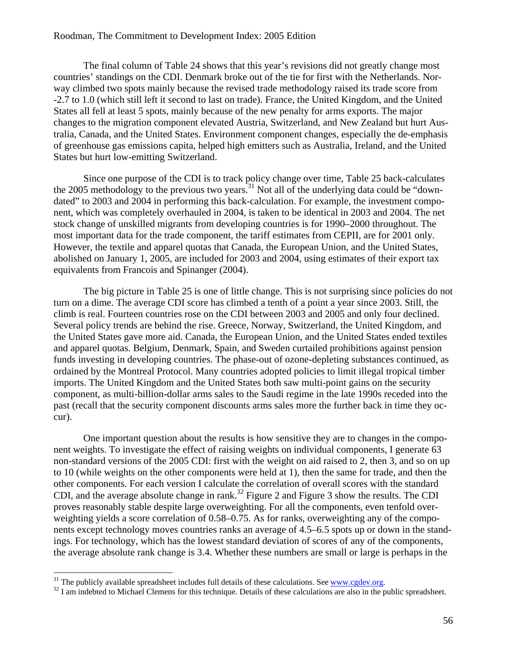The final column of [Table 24](#page-57-1) shows that this year's revisions did not greatly change most countries' standings on the CDI. Denmark broke out of the tie for first with the Netherlands. Norway climbed two spots mainly because the revised trade methodology raised its trade score from -2.7 to 1.0 (which still left it second to last on trade). France, the United Kingdom, and the United States all fell at least 5 spots, mainly because of the new penalty for arms exports. The major changes to the migration component elevated Austria, Switzerland, and New Zealand but hurt Australia, Canada, and the United States. Environment component changes, especially the de-emphasis of greenhouse gas emissions capita, helped high emitters such as Australia, Ireland, and the United States but hurt low-emitting Switzerland.

Since one purpose of the CDI is to track policy change over time, [Table 25](#page-58-1) back-calculates the 2005 methodology to the previous two years.<sup>31</sup> Not all of the underlying data could be "downdated" to 2003 and 2004 in performing this back-calculation. For example, the investment component, which was completely overhauled in 2004, is taken to be identical in 2003 and 2004. The net stock change of unskilled migrants from developing countries is for 1990–2000 throughout. The most important data for the trade component, the tariff estimates from CEPII, are for 2001 only. However, the textile and apparel quotas that Canada, the European Union, and the United States, abolished on January 1, 2005, are included for 2003 and 2004, using estimates of their export tax equivalents from Francois and Spinanger (2004).

The big picture in [Table 25](#page-58-1) is one of little change. This is not surprising since policies do not turn on a dime. The average CDI score has climbed a tenth of a point a year since 2003. Still, the climb is real. Fourteen countries rose on the CDI between 2003 and 2005 and only four declined. Several policy trends are behind the rise. Greece, Norway, Switzerland, the United Kingdom, and the United States gave more aid. Canada, the European Union, and the United States ended textiles and apparel quotas. Belgium, Denmark, Spain, and Sweden curtailed prohibitions against pension funds investing in developing countries. The phase-out of ozone-depleting substances continued, as ordained by the Montreal Protocol. Many countries adopted policies to limit illegal tropical timber imports. The United Kingdom and the United States both saw multi-point gains on the security component, as multi-billion-dollar arms sales to the Saudi regime in the late 1990s receded into the past (recall that the security component discounts arms sales more the further back in time they occur).

One important question about the results is how sensitive they are to changes in the component weights. To investigate the effect of raising weights on individual components, I generate 63 non-standard versions of the 2005 CDI: first with the weight on aid raised to 2, then 3, and so on up to 10 (while weights on the other components were held at 1), then the same for trade, and then the other components. For each version I calculate the correlation of overall scores with the standard CDI, and the average absolute change in rank.[32](#page-56-1) [Figure 2](#page-59-1) and [Figure 3](#page-60-1) show the results. The CDI proves reasonably stable despite large overweighting. For all the components, even tenfold overweighting yields a score correlation of 0.58–0.75. As for ranks, overweighting any of the components except technology moves countries ranks an average of 4.5–6.5 spots up or down in the standings. For technology, which has the lowest standard deviation of scores of any of the components, the average absolute rank change is 3.4. Whether these numbers are small or large is perhaps in the

<span id="page-56-1"></span>

<span id="page-56-0"></span><sup>&</sup>lt;sup>31</sup> The publicly available spreadsheet includes full details of these calculations. See  $\frac{www.cgdev.org}{www.cgdev.org}$ .<br><sup>32</sup> I am indebted to Michael Clemens for this technique. Details of these calculations are also in the public sp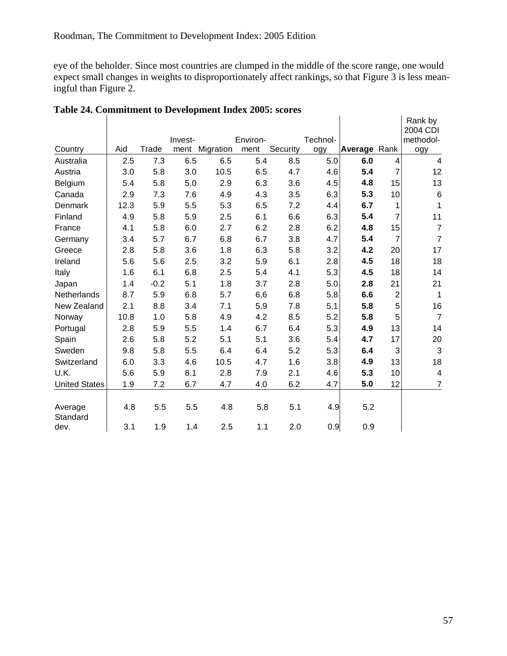<span id="page-57-0"></span>eye of the beholder. Since most countries are clumped in the middle of the score range, one would expect small changes in weights to disproportionately affect rankings, so that [Figure 3](#page-60-1) is less meaningful than [Figure 2.](#page-59-1)

| Table 24. Commitment to Development Index 2005: scores |      |        |         |           |          |          |          |              |                |                                  |  |  |
|--------------------------------------------------------|------|--------|---------|-----------|----------|----------|----------|--------------|----------------|----------------------------------|--|--|
|                                                        |      |        | Invest- |           | Environ- |          | Technol- |              |                | Rank by<br>2004 CDI<br>methodol- |  |  |
| Country                                                | Aid  | Trade  | ment    | Migration | ment     | Security | ogy      | Average Rank |                | ogy                              |  |  |
| Australia                                              | 2.5  | 7.3    | 6.5     | 6.5       | 5.4      | 8.5      | 5.0      | 6.0          | 4              | $\overline{4}$                   |  |  |
| Austria                                                | 3.0  | 5.8    | 3.0     | 10.5      | 6.5      | 4.7      | 4.6      | 5.4          | 7              | 12                               |  |  |
| Belgium                                                | 5.4  | 5.8    | 5.0     | 2.9       | 6.3      | 3.6      | 4.5      | 4.8          | 15             | 13                               |  |  |
| Canada                                                 | 2.9  | 7.3    | 7.6     | 4.9       | 4.3      | 3.5      | 6.3      | 5.3          | 10             | $\,6$                            |  |  |
| Denmark                                                | 12.3 | 5.9    | 5.5     | 5.3       | 6.5      | 7.2      | 4.4      | 6.7          | 1              | 1                                |  |  |
| Finland                                                | 4.9  | 5.8    | 5.9     | 2.5       | 6.1      | 6.6      | 6.3      | 5.4          | $\overline{7}$ | 11                               |  |  |
| France                                                 | 4.1  | 5.8    | 6.0     | 2.7       | 6.2      | 2.8      | 6.2      | 4.8          | 15             | $\overline{7}$                   |  |  |
| Germany                                                | 3.4  | 5.7    | 6.7     | 6.8       | 6.7      | 3.8      | 4.7      | 5.4          | $\overline{7}$ | $\overline{7}$                   |  |  |
| Greece                                                 | 2.8  | 5.8    | 3.6     | 1.8       | 6.3      | 5.8      | 3.2      | 4.2          | 20             | 17                               |  |  |
| Ireland                                                | 5.6  | 5.6    | 2.5     | 3.2       | 5.9      | 6.1      | 2.8      | 4.5          | 18             | 18                               |  |  |
| Italy                                                  | 1.6  | 6.1    | 6.8     | 2.5       | 5.4      | 4.1      | 5.3      | 4.5          | 18             | 14                               |  |  |
| Japan                                                  | 1.4  | $-0.2$ | 5.1     | 1.8       | 3.7      | 2.8      | 5.0      | 2.8          | 21             | 21                               |  |  |
| Netherlands                                            | 8.7  | 5.9    | 6.8     | 5.7       | 6.6      | 6.8      | 5.8      | 6.6          | $\overline{c}$ | $\mathbf{1}$                     |  |  |
| New Zealand                                            | 2.1  | 8.8    | 3.4     | 7.1       | 5.9      | 7.8      | 5.1      | 5.8          | 5              | 16                               |  |  |
| Norway                                                 | 10.8 | 1.0    | 5.8     | 4.9       | 4.2      | 8.5      | 5.2      | 5.8          | 5              | $\overline{7}$                   |  |  |
| Portugal                                               | 2.8  | 5.9    | 5.5     | 1.4       | 6.7      | 6.4      | 5.3      | 4.9          | 13             | 14                               |  |  |
| Spain                                                  | 2.6  | 5.8    | 5.2     | 5.1       | 5.1      | 3.6      | 5.4      | 4.7          | 17             | 20                               |  |  |
| Sweden                                                 | 9.8  | 5.8    | 5.5     | 6.4       | 6.4      | 5.2      | 5.3      | 6.4          | 3              | 3                                |  |  |
| Switzerland                                            | 6.0  | 3.3    | 4.6     | 10.5      | 4.7      | 1.6      | 3.8      | 4.9          | 13             | 18                               |  |  |
| U.K.                                                   | 5.6  | 5.9    | 8.1     | 2.8       | 7.9      | 2.1      | 4.6      | 5.3          | 10             | $\overline{\mathbf{4}}$          |  |  |
| <b>United States</b>                                   | 1.9  | 7.2    | 6.7     | 4.7       | 4.0      | 6.2      | 4.7      | 5.0          | 12             | $\overline{7}$                   |  |  |
| Average<br>Standard                                    | 4.8  | 5.5    | 5.5     | 4.8       | 5.8      | 5.1      | 4.9      | 5.2          |                |                                  |  |  |
| dev.                                                   | 3.1  | 1.9    | 1.4     | 2.5       | 1.1      | 2.0      | 0.9      | 0.9          |                |                                  |  |  |

### <span id="page-57-1"></span>**Table 24. Commitment to Development Index 2005: scores**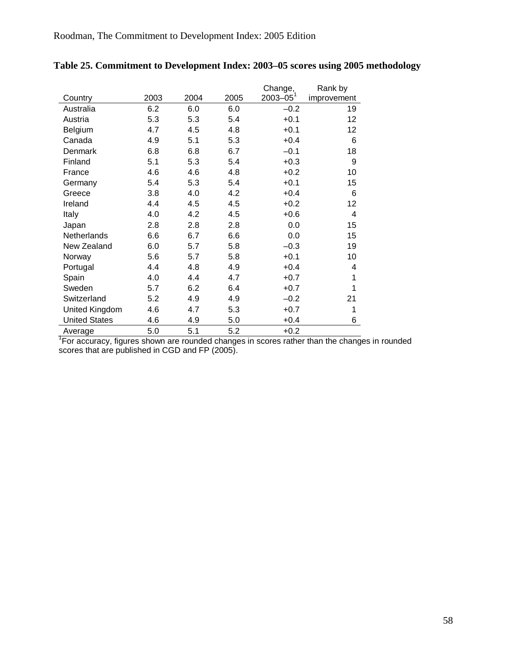|                      |      |      |      | Change,       | Rank by         |
|----------------------|------|------|------|---------------|-----------------|
| Country              | 2003 | 2004 | 2005 | $2003 - 05^1$ | improvement     |
| Australia            | 6.2  | 6.0  | 6.0  | $-0.2$        | 19              |
| Austria              | 5.3  | 5.3  | 5.4  | $+0.1$        | 12              |
| Belgium              | 4.7  | 4.5  | 4.8  | $+0.1$        | 12              |
| Canada               | 4.9  | 5.1  | 5.3  | $+0.4$        | 6               |
| Denmark              | 6.8  | 6.8  | 6.7  | $-0.1$        | 18              |
| Finland              | 5.1  | 5.3  | 5.4  | $+0.3$        | 9               |
| France               | 4.6  | 4.6  | 4.8  | $+0.2$        | 10              |
| Germany              | 5.4  | 5.3  | 5.4  | $+0.1$        | 15              |
| Greece               | 3.8  | 4.0  | 4.2  | $+0.4$        | 6               |
| Ireland              | 4.4  | 4.5  | 4.5  | $+0.2$        | 12 <sub>2</sub> |
| Italy                | 4.0  | 4.2  | 4.5  | $+0.6$        | $\overline{4}$  |
| Japan                | 2.8  | 2.8  | 2.8  | 0.0           | 15              |
| <b>Netherlands</b>   | 6.6  | 6.7  | 6.6  | 0.0           | 15              |
| New Zealand          | 6.0  | 5.7  | 5.8  | $-0.3$        | 19              |
| Norway               | 5.6  | 5.7  | 5.8  | $+0.1$        | 10              |
| Portugal             | 4.4  | 4.8  | 4.9  | $+0.4$        | 4               |
| Spain                | 4.0  | 4.4  | 4.7  | $+0.7$        | 1               |
| Sweden               | 5.7  | 6.2  | 6.4  | $+0.7$        | 1               |
| Switzerland          | 5.2  | 4.9  | 4.9  | $-0.2$        | 21              |
| United Kingdom       | 4.6  | 4.7  | 5.3  | $+0.7$        | 1               |
| <b>United States</b> | 4.6  | 4.9  | 5.0  | $+0.4$        | 6               |
| Average              | 5.0  | 5.1  | 5.2  | $+0.2$        |                 |

### <span id="page-58-1"></span><span id="page-58-0"></span>**Table 25. Commitment to Development Index: 2003–05 scores using 2005 methodology**

Average 5.0 5.1 5.2 +0.2<br><sup>1</sup> For accuracy, figures shown are rounded changes in scores rather than the changes in rounded scores that are published in CGD and FP (2005).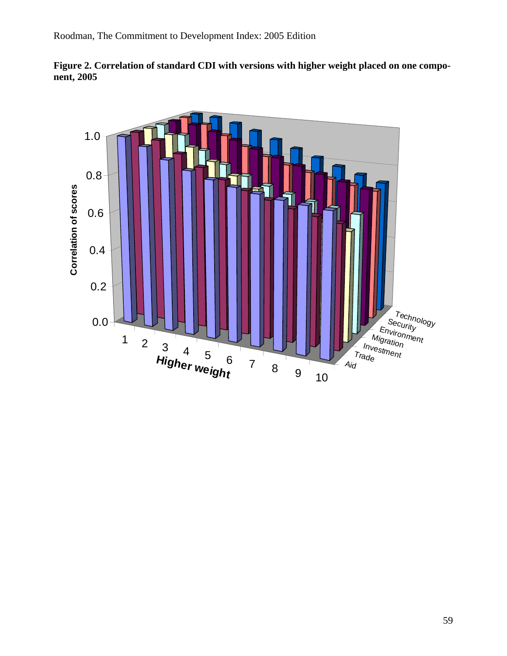<span id="page-59-0"></span>

<span id="page-59-1"></span>

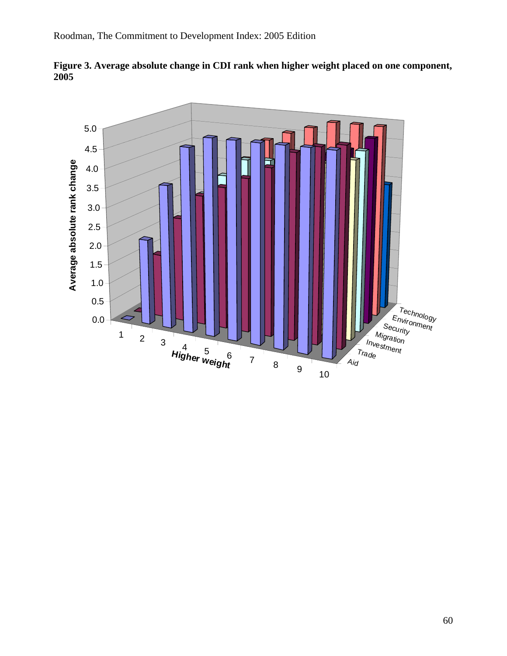

<span id="page-60-1"></span><span id="page-60-0"></span>**Figure 3. Average absolute change in CDI rank when higher weight placed on one component, 2005**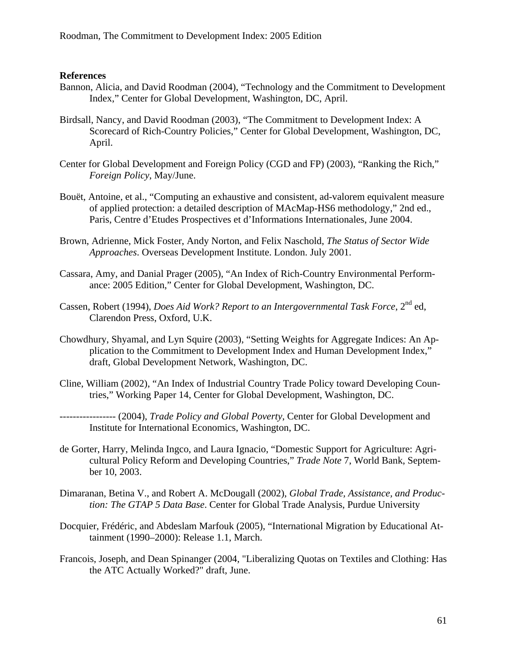### <span id="page-61-0"></span>**References**

- Bannon, Alicia, and David Roodman (2004), "Technology and the Commitment to Development Index," Center for Global Development, Washington, DC, April.
- Birdsall, Nancy, and David Roodman (2003), "The Commitment to Development Index: A Scorecard of Rich-Country Policies," Center for Global Development, Washington, DC, April.
- Center for Global Development and Foreign Policy (CGD and FP) (2003), "Ranking the Rich," *Foreign Policy*, May/June.
- Bouët, Antoine, et al., "Computing an exhaustive and consistent, ad-valorem equivalent measure of applied protection: a detailed description of MAcMap-HS6 methodology," 2nd ed., Paris, Centre d'Etudes Prospectives et d'Informations Internationales, June 2004.
- Brown, Adrienne, Mick Foster, Andy Norton, and Felix Naschold, *The Status of Sector Wide Approaches*. Overseas Development Institute. London. July 2001.
- Cassara, Amy, and Danial Prager (2005), "An Index of Rich-Country Environmental Performance: 2005 Edition," Center for Global Development, Washington, DC.
- Cassen, Robert (1994), *Does Aid Work? Report to an Intergovernmental Task Force*, 2<sup>nd</sup> ed, Clarendon Press, Oxford, U.K.
- Chowdhury, Shyamal, and Lyn Squire (2003), "Setting Weights for Aggregate Indices: An Application to the Commitment to Development Index and Human Development Index," draft, Global Development Network, Washington, DC.
- Cline, William (2002), "An Index of Industrial Country Trade Policy toward Developing Countries," Working Paper 14, Center for Global Development, Washington, DC.

----------------- (2004), *Trade Policy and Global Poverty*, Center for Global Development and Institute for International Economics, Washington, DC.

- de Gorter, Harry, Melinda Ingco, and Laura Ignacio, "Domestic Support for Agriculture: Agricultural Policy Reform and Developing Countries," *Trade Note* 7, World Bank, September 10, 2003.
- Dimaranan, Betina V., and Robert A. McDougall (2002), *Global Trade, Assistance, and Production: The GTAP 5 Data Base*. Center for Global Trade Analysis, Purdue University
- Docquier, Frédéric, and Abdeslam Marfouk (2005), "International Migration by Educational Attainment (1990–2000): Release 1.1, March.
- Francois, Joseph, and Dean Spinanger (2004, "Liberalizing Quotas on Textiles and Clothing: Has the ATC Actually Worked?" draft, June.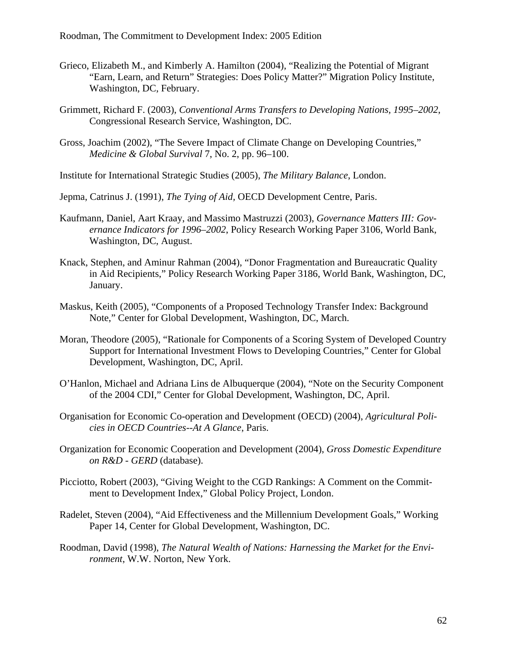- Grieco, Elizabeth M., and Kimberly A. Hamilton (2004), "Realizing the Potential of Migrant "Earn, Learn, and Return" Strategies: Does Policy Matter?" Migration Policy Institute, Washington, DC, February.
- Grimmett, Richard F. (2003), *Conventional Arms Transfers to Developing Nations, 1995–2002*, Congressional Research Service, Washington, DC.
- Gross, Joachim (2002), "The Severe Impact of Climate Change on Developing Countries," *Medicine & Global Survival* 7, No. 2, pp. 96–100.

Institute for International Strategic Studies (2005), *The Military Balance*, London.

Jepma, Catrinus J. (1991), *The Tying of Aid,* OECD Development Centre, Paris.

- Kaufmann, Daniel, Aart Kraay, and Massimo Mastruzzi (2003), *Governance Matters III: Governance Indicators for 1996–2002*, Policy Research Working Paper 3106, World Bank, Washington, DC, August.
- Knack, Stephen, and Aminur Rahman (2004), "Donor Fragmentation and Bureaucratic Quality in Aid Recipients," Policy Research Working Paper 3186, World Bank, Washington, DC, January.
- Maskus, Keith (2005), "Components of a Proposed Technology Transfer Index: Background Note," Center for Global Development, Washington, DC, March.
- Moran, Theodore (2005), "Rationale for Components of a Scoring System of Developed Country Support for International Investment Flows to Developing Countries," Center for Global Development, Washington, DC, April.
- O'Hanlon, Michael and Adriana Lins de Albuquerque (2004), "Note on the Security Component of the 2004 CDI," Center for Global Development, Washington, DC, April.
- Organisation for Economic Co-operation and Development (OECD) (2004), *Agricultural Policies in OECD Countries--At A Glance*, Paris.
- Organization for Economic Cooperation and Development (2004), *Gross Domestic Expenditure on R&D - GERD* (database).
- Picciotto, Robert (2003), "Giving Weight to the CGD Rankings: A Comment on the Commitment to Development Index," Global Policy Project, London.
- Radelet, Steven (2004), "Aid Effectiveness and the Millennium Development Goals," Working Paper 14, Center for Global Development, Washington, DC.
- Roodman, David (1998), *The Natural Wealth of Nations: Harnessing the Market for the Environment*, W.W. Norton, New York.